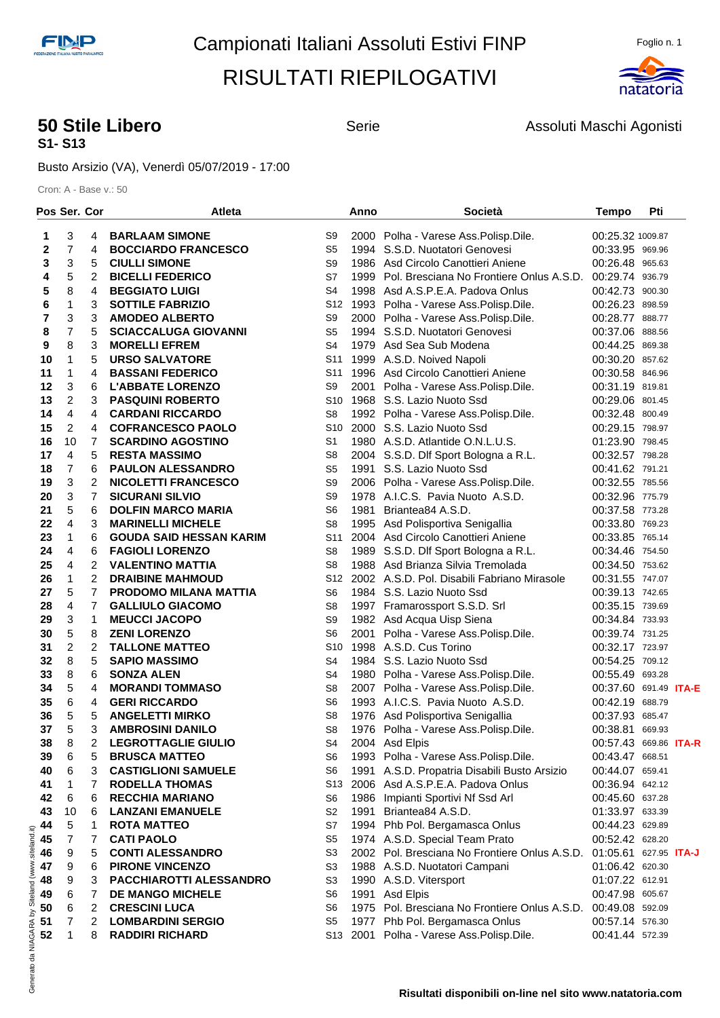

#### **50 Stile Libero** Serie **Serie Assoluti Maschi Agonisti 50 Stile Libero** Assoluti Maschi Agonisti **S1- S13**

Busto Arsizio (VA), Venerdì 05/07/2019 - 17:00

|                |                | Pos Ser. Cor   | <b>Atleta</b>                  |                 | Anno | Società                                                       | <b>Tempo</b>                 | Pti |  |
|----------------|----------------|----------------|--------------------------------|-----------------|------|---------------------------------------------------------------|------------------------------|-----|--|
| 1              | 3              | 4              | <b>BARLAAM SIMONE</b>          | S9              |      | 2000 Polha - Varese Ass.Polisp.Dile.                          | 00:25.32 1009.87             |     |  |
| $\mathbf 2$    | 7              | 4              | <b>BOCCIARDO FRANCESCO</b>     | S5              |      | 1994 S.S.D. Nuotatori Genovesi                                | 00:33.95 969.96              |     |  |
| 3              | 3              | 5              | <b>CIULLI SIMONE</b>           | S9              |      | 1986 Asd Circolo Canottieri Aniene                            | 00:26.48 965.63              |     |  |
| 4              | 5              | $\overline{2}$ | <b>BICELLI FEDERICO</b>        | S7              |      | 1999 Pol. Bresciana No Frontiere Onlus A.S.D.                 | 00:29.74 936.79              |     |  |
| 5              | 8              | 4              | <b>BEGGIATO LUIGI</b>          | S <sub>4</sub>  |      | 1998 Asd A.S.P.E.A. Padova Onlus                              | 00:42.73 900.30              |     |  |
| 6              | 1              | 3              | <b>SOTTILE FABRIZIO</b>        | S <sub>12</sub> |      | 1993 Polha - Varese Ass. Polisp. Dile.                        | 00:26.23 898.59              |     |  |
| $\overline{7}$ | 3              | 3              | <b>AMODEO ALBERTO</b>          | S <sub>9</sub>  |      | 2000 Polha - Varese Ass. Polisp. Dile.                        | 00:28.77 888.77              |     |  |
| 8              | 7              | 5              | <b>SCIACCALUGA GIOVANNI</b>    | S <sub>5</sub>  |      | 1994 S.S.D. Nuotatori Genovesi                                | 00:37.06 888.56              |     |  |
| 9              | 8              | 3              | <b>MORELLI EFREM</b>           | S <sub>4</sub>  |      | 1979 Asd Sea Sub Modena                                       | 00:44.25 869.38              |     |  |
| 10             | 1              | 5              | <b>URSO SALVATORE</b>          | S <sub>11</sub> |      | 1999 A.S.D. Noived Napoli                                     | 00:30.20 857.62              |     |  |
| 11             | 1              | 4              | <b>BASSANI FEDERICO</b>        | S11             |      | 1996 Asd Circolo Canottieri Aniene                            |                              |     |  |
| 12             | 3              | 6              | <b>L'ABBATE LORENZO</b>        | S9              |      | 2001 Polha - Varese Ass. Polisp. Dile.                        | 00:30.58 846.96              |     |  |
|                | $\overline{2}$ | 3              |                                | S <sub>10</sub> |      |                                                               | 00:31.19 819.81              |     |  |
| 13             |                |                | <b>PASQUINI ROBERTO</b>        |                 |      | 1968 S.S. Lazio Nuoto Ssd                                     | 00:29.06 801.45              |     |  |
| 14             | 4              | 4              | <b>CARDANI RICCARDO</b>        | S <sub>8</sub>  |      | 1992 Polha - Varese Ass. Polisp. Dile.                        | 00:32.48 800.49              |     |  |
| 15             | $\overline{c}$ | 4              | <b>COFRANCESCO PAOLO</b>       | S <sub>10</sub> |      | 2000 S.S. Lazio Nuoto Ssd                                     | 00:29.15 798.97              |     |  |
| 16             | 10             | $\overline{7}$ | <b>SCARDINO AGOSTINO</b>       | S <sub>1</sub>  |      | 1980 A.S.D. Atlantide O.N.L.U.S.                              | 01:23.90 798.45              |     |  |
| 17             | 4              | 5              | <b>RESTA MASSIMO</b>           | S <sub>8</sub>  |      | 2004 S.S.D. Dlf Sport Bologna a R.L.                          | 00:32.57 798.28              |     |  |
| 18             | $\overline{7}$ | 6              | <b>PAULON ALESSANDRO</b>       | S <sub>5</sub>  |      | 1991 S.S. Lazio Nuoto Ssd                                     | 00:41.62 791.21              |     |  |
| 19             | 3              | 2              | <b>NICOLETTI FRANCESCO</b>     | S <sub>9</sub>  |      | 2006 Polha - Varese Ass. Polisp. Dile.                        | 00:32.55 785.56              |     |  |
| 20             | 3              | $\overline{7}$ | <b>SICURANI SILVIO</b>         | S <sub>9</sub>  |      | 1978 A.I.C.S. Pavia Nuoto A.S.D.                              | 00:32.96 775.79              |     |  |
| 21             | 5              | 6              | <b>DOLFIN MARCO MARIA</b>      | S <sub>6</sub>  |      | 1981 Briantea84 A.S.D.                                        | 00:37.58 773.28              |     |  |
| 22             | $\overline{4}$ | 3              | <b>MARINELLI MICHELE</b>       | S <sub>8</sub>  |      | 1995 Asd Polisportiva Senigallia                              | 00:33.80 769.23              |     |  |
| 23             | 1              | 6              | <b>GOUDA SAID HESSAN KARIM</b> | S <sub>11</sub> |      | 2004 Asd Circolo Canottieri Aniene                            | 00:33.85 765.14              |     |  |
| 24             | 4              | 6              | <b>FAGIOLI LORENZO</b>         | S <sub>8</sub>  |      | 1989 S.S.D. Dlf Sport Bologna a R.L.                          | 00:34.46 754.50              |     |  |
| 25             | 4              | $\overline{2}$ | <b>VALENTINO MATTIA</b>        | S <sub>8</sub>  |      | 1988 Asd Brianza Silvia Tremolada                             | 00:34.50 753.62              |     |  |
| 26             | 1              | $\overline{2}$ | <b>DRAIBINE MAHMOUD</b>        | S <sub>12</sub> |      | 2002 A.S.D. Pol. Disabili Fabriano Mirasole                   | 00:31.55 747.07              |     |  |
| 27             | 5              | $\overline{7}$ | <b>PRODOMO MILANA MATTIA</b>   | S6              |      | 1984 S.S. Lazio Nuoto Ssd                                     | 00:39.13 742.65              |     |  |
| 28             | 4              | $\overline{7}$ | <b>GALLIULO GIACOMO</b>        | S <sub>8</sub>  |      | 1997 Framarossport S.S.D. Srl                                 | 00:35.15 739.69              |     |  |
| 29             | 3              | 1              | <b>MEUCCI JACOPO</b>           | S <sub>9</sub>  |      | 1982 Asd Acqua Uisp Siena                                     | 00:34.84 733.93              |     |  |
| 30             | 5              | 8              | <b>ZENI LORENZO</b>            | S <sub>6</sub>  |      | 2001 Polha - Varese Ass. Polisp. Dile.                        | 00:39.74 731.25              |     |  |
| 31             | 2              | 2              | <b>TALLONE MATTEO</b>          | S <sub>10</sub> |      | 1998 A.S.D. Cus Torino                                        | 00:32.17 723.97              |     |  |
| 32             | 8              | 5              | <b>SAPIO MASSIMO</b>           | S <sub>4</sub>  |      | 1984 S.S. Lazio Nuoto Ssd                                     | 00:54.25 709.12              |     |  |
| 33             | 8              | 6              | <b>SONZA ALEN</b>              | S <sub>4</sub>  |      | 1980 Polha - Varese Ass.Polisp.Dile.                          | 00:55.49 693.28              |     |  |
| 34             | 5              | 4              | <b>MORANDI TOMMASO</b>         | S <sub>8</sub>  |      | 2007 Polha - Varese Ass.Polisp.Dile.                          | 00:37.60 691.49 ITA-E        |     |  |
| 35             | 6              | 4              | <b>GERI RICCARDO</b>           | S <sub>6</sub>  |      | 1993 A.I.C.S. Pavia Nuoto A.S.D.                              | 00:42.19 688.79              |     |  |
| 36             | 5              | 5              | <b>ANGELETTI MIRKO</b>         | S8              |      | 1976 Asd Polisportiva Senigallia                              | 00:37.93 685.47              |     |  |
| 37             | 5              | 3              | <b>AMBROSINI DANILO</b>        | S <sub>8</sub>  |      | 1976 Polha - Varese Ass. Polisp. Dile.                        | 00:38.81 669.93              |     |  |
| 38             | 8              | 2              | <b>LEGROTTAGLIE GIULIO</b>     | S <sub>4</sub>  |      | 2004 Asd Elpis                                                | 00:57.43 669.86 ITA-R        |     |  |
| 39             | 6              | 5              | <b>BRUSCA MATTEO</b>           | S6              |      | 1993 Polha - Varese Ass.Polisp.Dile.                          | 00:43.47 668.51              |     |  |
| 40             | 6              | 3              | <b>CASTIGLIONI SAMUELE</b>     | S6              |      | 1991 A.S.D. Propatria Disabili Busto Arsizio                  | 00:44.07 659.41              |     |  |
| 41             | 1              | 7              | <b>RODELLA THOMAS</b>          | S <sub>13</sub> |      | 2006 Asd A.S.P.E.A. Padova Onlus                              | 00:36.94 642.12              |     |  |
| 42             | 6              | 6              | <b>RECCHIA MARIANO</b>         | S6              |      | 1986 Impianti Sportivi Nf Ssd Arl                             | 00:45.60 637.28              |     |  |
| 43             | 10             | 6              | <b>LANZANI EMANUELE</b>        | S <sub>2</sub>  |      | 1991 Briantea84 A.S.D.                                        | 01:33.97 633.39              |     |  |
| 44             | 5              | 1              | <b>ROTA MATTEO</b>             | S7              |      | 1994 Phb Pol. Bergamasca Onlus                                | 00:44.23 629.89              |     |  |
| 45             | 7              | 7              | <b>CATI PAOLO</b>              | S <sub>5</sub>  |      | 1974 A.S.D. Special Team Prato                                | 00:52.42 628.20              |     |  |
| 46             | 9              | 5              | <b>CONTI ALESSANDRO</b>        | S3              |      | 2002 Pol. Bresciana No Frontiere Onlus A.S.D.                 | 01:05.61 627.95 <b>ITA-J</b> |     |  |
| 47             | 9              | 6              | <b>PIRONE VINCENZO</b>         | S <sub>3</sub>  |      | 1988 A.S.D. Nuotatori Campani                                 | 01:06.42 620.30              |     |  |
| 48             | 9              | 3              | PACCHIAROTTI ALESSANDRO        | S3              |      | 1990 A.S.D. Vitersport                                        | 01:07.22 612.91              |     |  |
| 49             | 6              | 7              | DE MANGO MICHELE               | S <sub>6</sub>  |      | 1991 Asd Elpis                                                | 00:47.98 605.67              |     |  |
| 50             | 6              | 2              | <b>CRESCINI LUCA</b>           | S6              |      | 1975 Pol. Bresciana No Frontiere Onlus A.S.D. 00:49.08 592.09 |                              |     |  |
| 51             | 7              | $\overline{2}$ | <b>LOMBARDINI SERGIO</b>       | S <sub>5</sub>  |      | 1977 Phb Pol. Bergamasca Onlus                                | 00:57.14 576.30              |     |  |
| 52             | 1              | 8              | <b>RADDIRI RICHARD</b>         | S <sub>13</sub> |      | 2001 Polha - Varese Ass. Polisp. Dile.                        | 00:41.44 572.39              |     |  |
|                |                |                |                                |                 |      |                                                               |                              |     |  |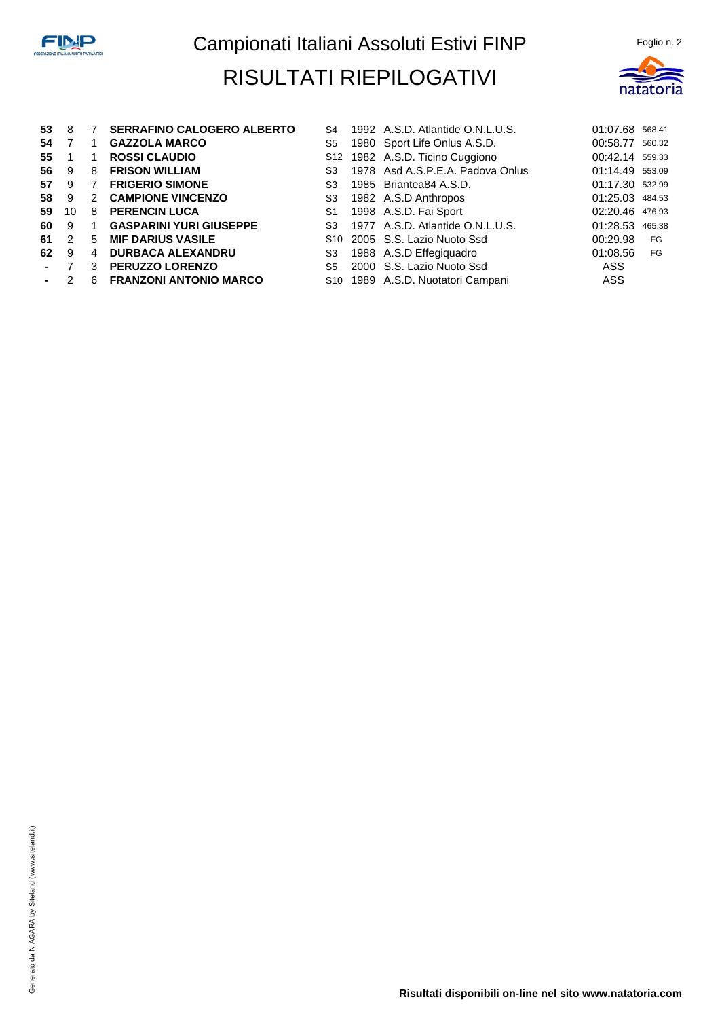

| 53             | 8  |               | <b>SERRAFINO CALOGERO ALBERTO</b> | S4             | 1992 A.S.D. Atlantide O.N.L.U.S.          | 01:07.68 568.41 |        |
|----------------|----|---------------|-----------------------------------|----------------|-------------------------------------------|-----------------|--------|
| 54             |    |               | <b>GAZZOLA MARCO</b>              | S5             | 1980 Sport Life Onlus A.S.D.              | 00:58.77        | 560.32 |
| 55             | 1  | $\mathbf 1$   | <b>ROSSI CLAUDIO</b>              |                | S12 1982 A.S.D. Ticino Cuggiono           | 00:42.14 559.33 |        |
| 56             | 9  | 8             | <b>FRISON WILLIAM</b>             | S3             | 1978 Asd A.S.P.E.A. Padova Onlus          | 01:14.49 553.09 |        |
| 57             | 9  | 7             | <b>FRIGERIO SIMONE</b>            | S3             | 1985 Briantea84 A.S.D.                    | 01:17.30 532.99 |        |
| 58             | 9  | $\mathcal{P}$ | <b>CAMPIONE VINCENZO</b>          | S3             | 1982 A.S.D Anthropos                      | 01:25.03 484.53 |        |
| 59             | 10 | 8             | <b>PERENCIN LUCA</b>              | S1             | 1998 A.S.D. Fai Sport                     | 02:20.46 476.93 |        |
| 60             | 9  | -1            | <b>GASPARINI YURI GIUSEPPE</b>    | S <sub>3</sub> | 1977 A.S.D. Atlantide O.N.L.U.S.          | 01:28.53 465.38 |        |
| 61             | 2  | 5             | <b>MIF DARIUS VASILE</b>          |                | S <sub>10</sub> 2005 S.S. Lazio Nuoto Ssd | 00:29.98        | FG     |
| 62             | 9  | 4             | <b>DURBACA ALEXANDRU</b>          | S3             | 1988 A.S.D Effegiquadro                   | 01:08.56        | FG     |
| $\blacksquare$ | 7  | 3             | <b>PERUZZO LORENZO</b>            | S5             | 2000 S.S. Lazio Nuoto Ssd                 | ASS             |        |
|                | 2  | 6             | <b>FRANZONI ANTONIO MARCO</b>     |                | S10 1989 A.S.D. Nuotatori Campani         | ASS             |        |
|                |    |               |                                   |                |                                           |                 |        |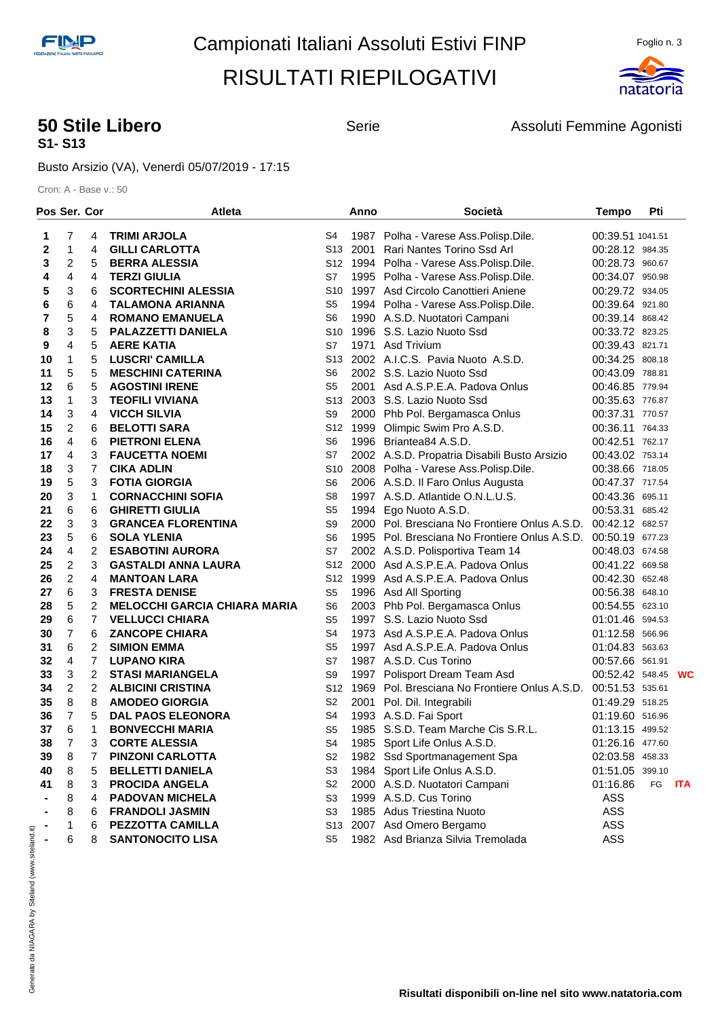

## **S1- S13**

**50 Stile Libero Serie** Serie **Assoluti Femmine Agonisti 50 Stile Libero Assoluti Femmine Agonisti** 

Busto Arsizio (VA), Venerdì 05/07/2019 - 17:15

| Pos Ser. Cor |                     |        | Atleta                                      |                        | Anno | Società                                                       | <b>Tempo</b>                       | Pti |            |
|--------------|---------------------|--------|---------------------------------------------|------------------------|------|---------------------------------------------------------------|------------------------------------|-----|------------|
| 1            | 7                   | 4      | <b>TRIMI ARJOLA</b>                         | S4                     |      | 1987 Polha - Varese Ass. Polisp. Dile.                        | 00:39.51 1041.51                   |     |            |
| 2            | 1                   | 4      | <b>GILLI CARLOTTA</b>                       | S13 I                  | 2001 | Rari Nantes Torino Ssd Arl                                    | 00:28.12 984.35                    |     |            |
| 3            | 2                   | 5      | <b>BERRA ALESSIA</b>                        |                        |      | S12 1994 Polha - Varese Ass. Polisp. Dile.                    | 00:28.73 960.67                    |     |            |
| 4            | 4                   | 4      | <b>TERZI GIULIA</b>                         | S7                     |      | 1995 Polha - Varese Ass. Polisp. Dile.                        | 00:34.07 950.98                    |     |            |
| 5            | 3                   | 6      | <b>SCORTECHINI ALESSIA</b>                  | S10                    |      | 1997 Asd Circolo Canottieri Aniene                            | 00:29.72 934.05                    |     |            |
| 6            | 6                   | 4      | <b>TALAMONA ARIANNA</b>                     | S5                     |      | 1994 Polha - Varese Ass. Polisp. Dile.                        | 00:39.64 921.80                    |     |            |
| 7            | 5                   | 4      | <b>ROMANO EMANUELA</b>                      | S6                     |      | 1990 A.S.D. Nuotatori Campani                                 | 00:39.14 868.42                    |     |            |
| 8            | 3                   | 5      | <b>PALAZZETTI DANIELA</b>                   | S10                    |      | 1996 S.S. Lazio Nuoto Ssd                                     | 00:33.72 823.25                    |     |            |
| 9            | 4                   | 5      | <b>AERE KATIA</b>                           | S7                     |      | 1971 Asd Trivium                                              | 00:39.43 821.71                    |     |            |
| 10           | 1                   | 5      | <b>LUSCRI' CAMILLA</b>                      | S <sub>13</sub>        |      | 2002 A.I.C.S. Pavia Nuoto A.S.D.                              | 00:34.25 808.18                    |     |            |
| 11           | 5                   | 5      | <b>MESCHINI CATERINA</b>                    | S6                     |      | 2002 S.S. Lazio Nuoto Ssd                                     | 00:43.09 788.81                    |     |            |
| 12           | 6                   | 5      | <b>AGOSTINI IRENE</b>                       | S5                     |      | 2001 Asd A.S.P.E.A. Padova Onlus                              | 00:46.85 779.94                    |     |            |
| 13           | 1                   | 3      | <b>TEOFILI VIVIANA</b>                      | S13                    |      | 2003 S.S. Lazio Nuoto Ssd                                     | 00:35.63 776.87                    |     |            |
| 14           | 3                   | 4      | <b>VICCH SILVIA</b>                         | S9                     |      | 2000 Phb Pol. Bergamasca Onlus                                | 00:37.31 770.57                    |     |            |
| 15           | 2                   | 6      | <b>BELOTTI SARA</b>                         | S12                    | 1999 | Olimpic Swim Pro A.S.D.                                       | 00:36.11 764.33                    |     |            |
| 16           | 4                   | 6      | <b>PIETRONI ELENA</b>                       | S6                     |      | 1996 Briantea84 A.S.D.                                        | 00:42.51 762.17                    |     |            |
| 17           | 4                   | 3      | <b>FAUCETTA NOEMI</b>                       | S7                     |      | 2002 A.S.D. Propatria Disabili Busto Arsizio                  | 00:43.02 753.14                    |     |            |
| 18           | 3                   | 7      | <b>CIKA ADLIN</b>                           | S <sub>10</sub>        |      | 2008 Polha - Varese Ass. Polisp. Dile.                        | 00:38.66 718.05                    |     |            |
| 19           | 5                   | 3      | <b>FOTIA GIORGIA</b>                        | S6                     |      | 2006 A.S.D. Il Faro Onlus Augusta                             | 00:47.37 717.54                    |     |            |
| 20           | 3                   | 1      | <b>CORNACCHINI SOFIA</b>                    | S8                     |      | 1997 A.S.D. Atlantide O.N.L.U.S.                              | 00:43.36 695.11                    |     |            |
| 21           | 6                   | 6      | <b>GHIRETTI GIULIA</b>                      | S <sub>5</sub>         | 1994 | Ego Nuoto A.S.D.                                              | 00:53.31 685.42                    |     |            |
| 22           | 3                   | 3      | <b>GRANCEA FLORENTINA</b>                   | S9                     |      | 2000 Pol. Bresciana No Frontiere Onlus A.S.D.                 | 00:42.12 682.57                    |     |            |
| 23           | 5                   | 6      | <b>SOLA YLENIA</b>                          | S6                     |      | 1995 Pol. Bresciana No Frontiere Onlus A.S.D.                 | 00:50.19 677.23                    |     |            |
| 24           | 4<br>$\overline{c}$ | 2      | <b>ESABOTINI AURORA</b>                     | S7                     |      | 2002 A.S.D. Polisportiva Team 14                              | 00:48.03 674.58                    |     |            |
| 25           | $\overline{2}$      | 3<br>4 | <b>GASTALDI ANNA LAURA</b>                  | S12<br>S <sub>12</sub> |      | 2000 Asd A.S.P.E.A. Padova Onlus                              | 00:41.22 669.58                    |     |            |
| 26           | 6                   | 3      | <b>MANTOAN LARA</b><br><b>FRESTA DENISE</b> | S5                     |      | 1999 Asd A.S.P.E.A. Padova Onlus                              | 00:42.30 652.48<br>00:56.38 648.10 |     |            |
| 27<br>28     | 5                   | 2      | <b>MELOCCHI GARCIA CHIARA MARIA</b>         | S6                     |      | 1996 Asd All Sporting<br>2003 Phb Pol. Bergamasca Onlus       | 00:54.55 623.10                    |     |            |
| 29           | 6                   | 7      | <b>VELLUCCI CHIARA</b>                      | S <sub>5</sub>         |      | 1997 S.S. Lazio Nuoto Ssd                                     | 01:01.46 594.53                    |     |            |
| 30           | $\overline{7}$      | 6      | <b>ZANCOPE CHIARA</b>                       | S4                     |      | 1973 Asd A.S.P.E.A. Padova Onlus                              | 01:12.58 566.96                    |     |            |
| 31           | 6                   | 2      | <b>SIMION EMMA</b>                          | S5                     |      | 1997 Asd A.S.P.E.A. Padova Onlus                              | 01:04.83 563.63                    |     |            |
| 32           | 4                   | 7      | LUPANO KIRA                                 | S7                     |      | 1987 A.S.D. Cus Torino                                        | 00:57.66 561.91                    |     |            |
| 33           | 3                   | 2      | <b>STASI MARIANGELA</b>                     | S9                     |      | 1997 Polisport Dream Team Asd                                 | 00:52.42 548.45                    |     | <b>WC</b>  |
| 34           | 2                   | 2      | <b>ALBICINI CRISTINA</b>                    | S <sub>12</sub>        |      | 1969 Pol. Bresciana No Frontiere Onlus A.S.D. 00:51.53 535.61 |                                    |     |            |
| 35           | 8                   | 8      | <b>AMODEO GIORGIA</b>                       | S2                     |      | 2001 Pol. Dil. Integrabili                                    | 01:49.29 518.25                    |     |            |
| 36           | 7                   | 5      | <b>DAL PAOS ELEONORA</b>                    | S4                     |      | 1993 A.S.D. Fai Sport                                         | 01:19.60 516.96                    |     |            |
| 37           | 6                   | 1      | <b>BONVECCHI MARIA</b>                      | S <sub>5</sub>         |      | 1985 S.S.D. Team Marche Cis S.R.L.                            | 01:13.15 499.52                    |     |            |
| 38           | $\overline{7}$      | 3      | <b>CORTE ALESSIA</b>                        | S4                     |      | 1985 Sport Life Onlus A.S.D.                                  | 01:26.16 477.60                    |     |            |
| 39           | 8                   | 7      | <b>PINZONI CARLOTTA</b>                     | S2                     |      | 1982 Ssd Sportmanagement Spa                                  | 02:03.58 458.33                    |     |            |
| 40           | 8                   | 5      | <b>BELLETTI DANIELA</b>                     | S <sub>3</sub>         |      | 1984 Sport Life Onlus A.S.D.                                  | 01:51.05 399.10                    |     |            |
| 41           | 8                   | 3      | <b>PROCIDA ANGELA</b>                       | S <sub>2</sub>         |      | 2000 A.S.D. Nuotatori Campani                                 | 01:16.86                           | FG  | <b>ITA</b> |
|              | 8                   | 4      | <b>PADOVAN MICHELA</b>                      | S3                     |      | 1999 A.S.D. Cus Torino                                        | ASS                                |     |            |
|              | 8                   | 6      | <b>FRANDOLI JASMIN</b>                      | S3                     |      | 1985 Adus Triestina Nuoto                                     | ASS                                |     |            |
|              | 1                   | 6      | <b>PEZZOTTA CAMILLA</b>                     | S13                    |      | 2007 Asd Omero Bergamo                                        | ASS                                |     |            |
|              | 6                   | 8      | <b>SANTONOCITO LISA</b>                     | S5                     |      | 1982 Asd Brianza Silvia Tremolada                             | ASS                                |     |            |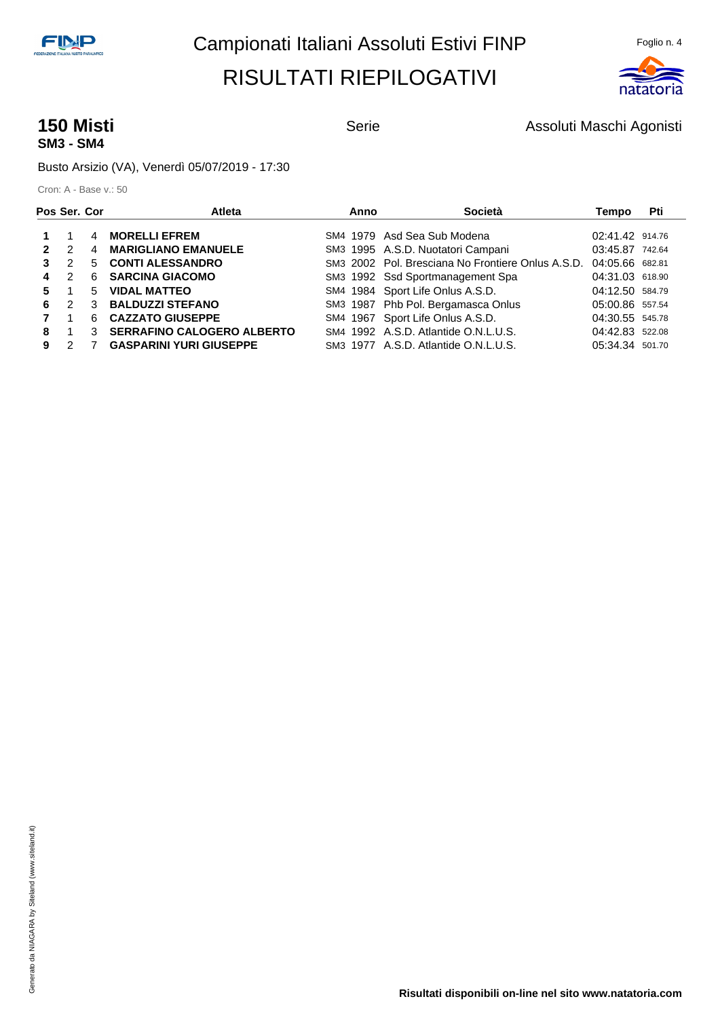

## **SM3 - SM4**

**150 Misti 150 Misti Agonisti** Serie **Assoluti Maschi Agonisti 150 Misti** Agonisti

Busto Arsizio (VA), Venerdì 05/07/2019 - 17:30

| Pos Ser. Cor |               |    | <b>Atleta</b>                     | Anno | Società                                           | Tempo           | Pti |
|--------------|---------------|----|-----------------------------------|------|---------------------------------------------------|-----------------|-----|
|              |               | 4  | <b>MORELLI EFREM</b>              |      | SM4 1979 Asd Sea Sub Modena                       | 02:41.42 914.76 |     |
|              | $\mathcal{P}$ | 4  | <b>MARIGLIANO EMANUELE</b>        |      | SM3 1995 A.S.D. Nuotatori Campani                 | 03:45.87 742.64 |     |
|              | $\mathcal{P}$ | 5. | <b>CONTI ALESSANDRO</b>           |      | SM3 2002 Pol. Bresciana No Frontiere Onlus A.S.D. | 04:05.66 682.81 |     |
| 4            | $\mathcal{P}$ | 6. | <b>SARCINA GIACOMO</b>            |      | SM3 1992 Ssd Sportmanagement Spa                  | 04:31.03 618.90 |     |
| 5.           |               | 5. | <b>VIDAL MATTEO</b>               |      | SM4 1984 Sport Life Onlus A.S.D.                  | 04:12.50 584.79 |     |
| 6            | $\mathcal{P}$ | 3  | <b>BALDUZZI STEFANO</b>           |      | SM3 1987 Phb Pol. Bergamasca Onlus                | 05:00.86 557.54 |     |
|              |               | 6. | <b>CAZZATO GIUSEPPE</b>           |      | SM4 1967 Sport Life Onlus A.S.D.                  | 04:30.55 545.78 |     |
| 8            |               | 3  | <b>SERRAFINO CALOGERO ALBERTO</b> |      | SM4 1992 A.S.D. Atlantide O.N.L.U.S.              | 04:42.83 522.08 |     |
| 9            |               |    | <b>GASPARINI YURI GIUSEPPE</b>    |      | SM3 1977 A.S.D. Atlantide O.N.L.U.S.              | 05:34.34 501.70 |     |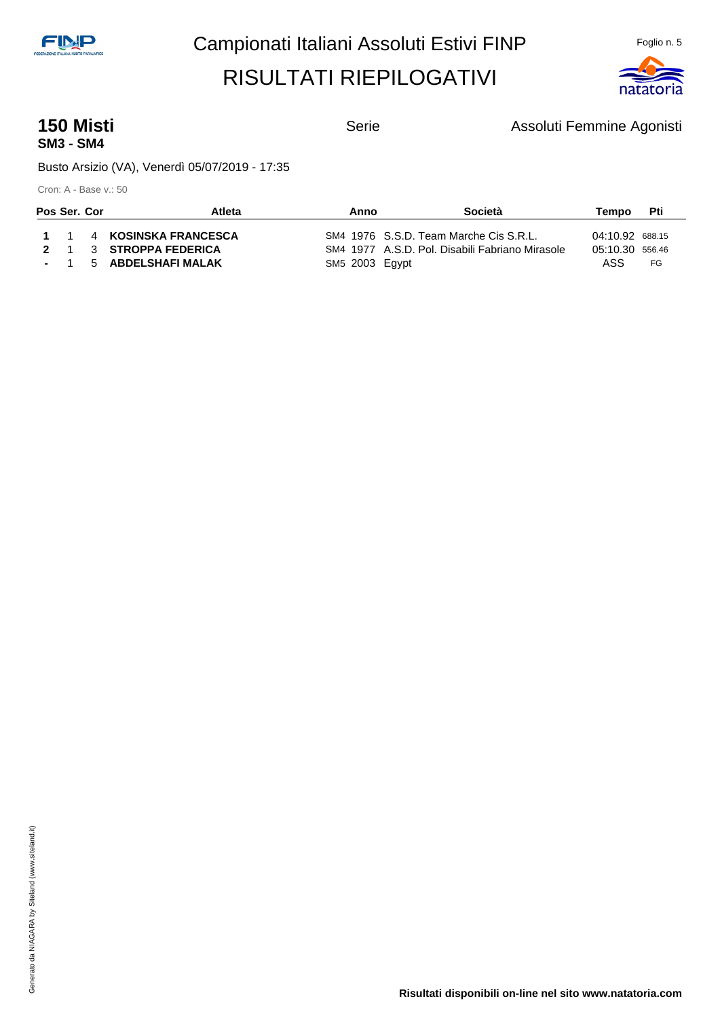

## **SM3 - SM4**

**150 Misti 150 Misti Assoluti Femmine Agonisti** Serie Assoluti Femmine Agonisti

Busto Arsizio (VA), Venerdì 05/07/2019 - 17:35

| Pos Ser. Cor |  | Atleta                   | Anno           | Società                                         | Tempo           | Pti |
|--------------|--|--------------------------|----------------|-------------------------------------------------|-----------------|-----|
|              |  | 1 1 4 KOSINSKA FRANCESCA |                | SM4 1976 S.S.D. Team Marche Cis S.R.L.          | 04:10.92 688.15 |     |
|              |  | 2 1 3 STROPPA FEDERICA   |                | SM4 1977 A.S.D. Pol. Disabili Fabriano Mirasole | 05:10.30 556.46 |     |
|              |  | - 1 5 ABDELSHAFI MALAK   | SM5 2003 Egypt |                                                 | ASS             | FG  |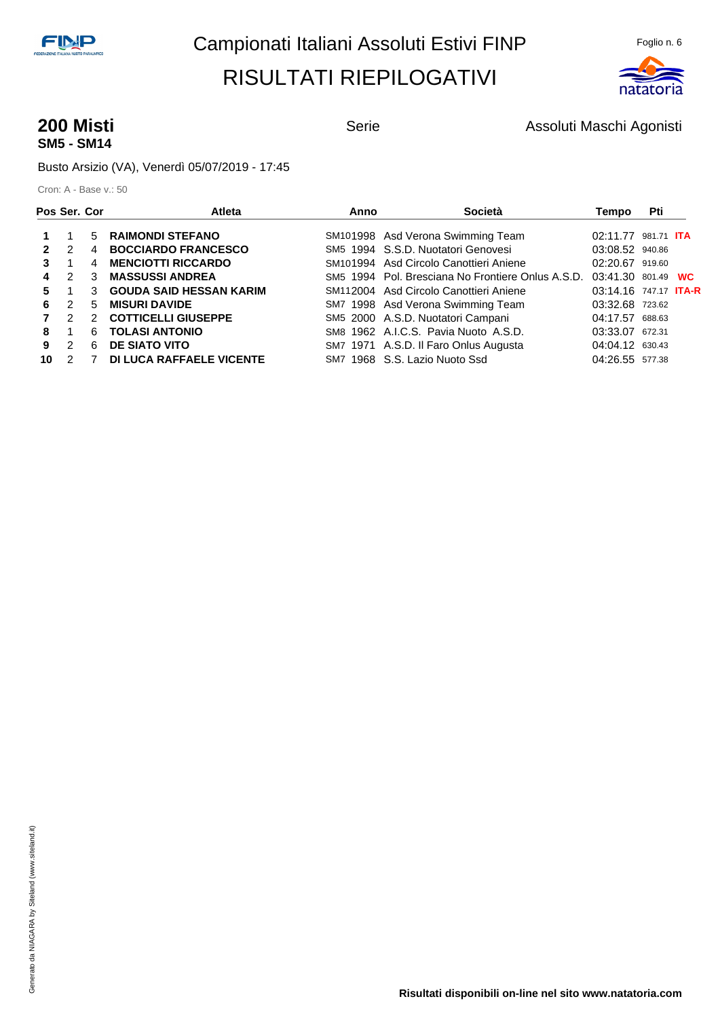

## **SM5 - SM14**

**200 Misti 200 Misti Agonisti** Serie **Assoluti Maschi Agonisti 200 Misti** Agonisti

Busto Arsizio (VA), Venerdì 05/07/2019 - 17:45

| Pos Ser. Cor |               |               | <b>Atleta</b>                  | Anno | Società                                           | Tempo                        | Pti |  |
|--------------|---------------|---------------|--------------------------------|------|---------------------------------------------------|------------------------------|-----|--|
|              |               | 5             | <b>RAIMONDI STEFANO</b>        |      | SM101998 Asd Verona Swimming Team                 | 02:11.77 981.71 <b>ITA</b>   |     |  |
|              | $\mathcal{P}$ | 4             | <b>BOCCIARDO FRANCESCO</b>     |      | SM5 1994 S.S.D. Nuotatori Genovesi                | 03:08.52 940.86              |     |  |
|              |               | 4             | <b>MENCIOTTI RICCARDO</b>      |      | SM101994 Asd Circolo Canottieri Aniene            | 02:20.67 919.60              |     |  |
| 4            | $\mathcal{P}$ | 3             | <b>MASSUSSI ANDREA</b>         |      | SM5 1994 Pol. Bresciana No Frontiere Onlus A.S.D. | 03:41.30 801.49 WC           |     |  |
| 5.           |               | 3             | <b>GOUDA SAID HESSAN KARIM</b> |      | SM112004 Asd Circolo Canottieri Aniene            | 03:14.16 747.17 <b>ITA-R</b> |     |  |
| 6            | $\mathcal{P}$ | 5             | <b>MISURI DAVIDE</b>           |      | SM7 1998 Asd Verona Swimming Team                 | 03:32.68 723.62              |     |  |
|              | $\mathcal{P}$ | $\mathcal{P}$ | <b>COTTICELLI GIUSEPPE</b>     |      | SM5 2000 A.S.D. Nuotatori Campani                 | 04:17.57 688.63              |     |  |
| 8            |               | 6             | <b>TOLASI ANTONIO</b>          |      | SM8 1962 A.I.C.S. Pavia Nuoto A.S.D.              | 03:33.07 672.31              |     |  |
| 9            | $\mathcal{P}$ | 6             | <b>DE SIATO VITO</b>           |      | SM7 1971 A.S.D. Il Faro Onlus Augusta             | 04:04.12 630.43              |     |  |
| 10           | $\mathcal{P}$ |               | DI LUCA RAFFAELE VICENTE       |      | SM7 1968 S.S. Lazio Nuoto Ssd                     | 04:26.55 577.38              |     |  |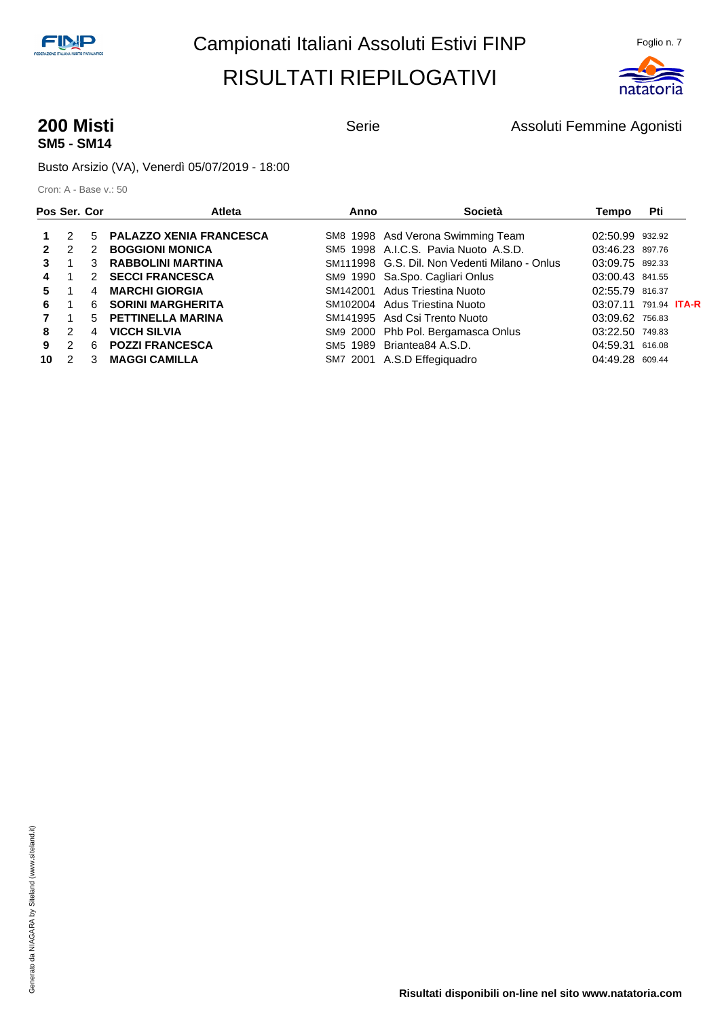

# **SM5 - SM14**

**200 Misti 200 Misti Assoluti Femmine Agonisti** Serie **Assoluti Femmine Agonisti** 

Busto Arsizio (VA), Venerdì 05/07/2019 - 18:00

| Pos Ser. Cor |               |               | <b>Atleta</b>                  | Anno | <b>Società</b>                                | Tempo                          | Pti    |  |
|--------------|---------------|---------------|--------------------------------|------|-----------------------------------------------|--------------------------------|--------|--|
|              | 2             | 5             | <b>PALAZZO XENIA FRANCESCA</b> |      | SM8 1998 Asd Verona Swimming Team             | 02:50.99 932.92                |        |  |
|              | $\mathcal{P}$ | $\mathcal{P}$ | <b>BOGGIONI MONICA</b>         |      | SM5 1998 A.I.C.S. Pavia Nuoto A.S.D.          | 03:46.23 897.76                |        |  |
|              |               | 3             | <b>RABBOLINI MARTINA</b>       |      | SM111998 G.S. Dil. Non Vedenti Milano - Onlus | 03:09.75 892.33                |        |  |
| 4            |               | $\mathcal{P}$ | <b>SECCI FRANCESCA</b>         |      | SM9 1990 Sa.Spo. Cagliari Onlus               | 03:00.43 841.55                |        |  |
| 5.           |               | 4             | <b>MARCHI GIORGIA</b>          |      | SM142001 Adus Triestina Nuoto                 | 02:55.79 816.37                |        |  |
| 6            |               | 6             | <b>SORINI MARGHERITA</b>       |      | SM102004 Adus Triestina Nuoto                 | $03:07.11$ 791.94 <b>ITA-R</b> |        |  |
|              |               | $5 -$         | <b>PETTINELLA MARINA</b>       |      | SM141995 Asd Csi Trento Nuoto                 | 03:09.62 756.83                |        |  |
| 8            | $\mathcal{P}$ | 4             | <b>VICCH SILVIA</b>            |      | SM9 2000 Phb Pol. Bergamasca Onlus            | 03:22.50 749.83                |        |  |
| 9            | $\mathcal{P}$ | 6             | <b>POZZI FRANCESCA</b>         |      | SM5 1989 Briantea84 A.S.D.                    | 04:59.31                       | 616.08 |  |
| 10           | $\mathcal{P}$ | 3             | <b>MAGGI CAMILLA</b>           |      | SM7 2001 A.S.D Effegiguadro                   | 04:49.28 609.44                |        |  |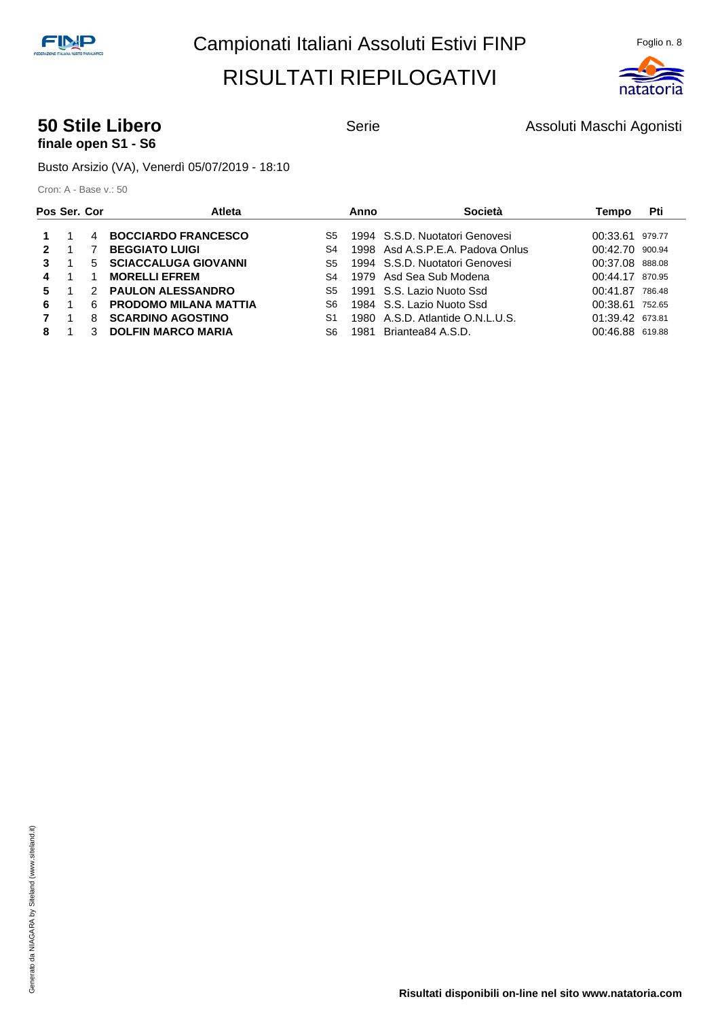

#### **50 Stile Libero** Serie **Serie Assoluti Maschi Agonisti 50 Stile Libero** Assoluti Maschi Agonisti **finale open S1 - S6**

Busto Arsizio (VA), Venerdì 05/07/2019 - 18:10

| Pos Ser. Cor |    | <b>Atleta</b>                |     | Anno | Società                          | Tempo           | Pti    |
|--------------|----|------------------------------|-----|------|----------------------------------|-----------------|--------|
|              | 4  | <b>BOCCIARDO FRANCESCO</b>   | S5  |      | 1994 S.S.D. Nuotatori Genovesi   | 00:33.61        | 979.77 |
|              |    | <b>BEGGIATO LUIGI</b>        | S4  |      | 1998 Asd A.S.P.E.A. Padova Onlus | 00:42.70 900.94 |        |
| 3            | .5 | <b>SCIACCALUGA GIOVANNI</b>  | S5  |      | 1994 S.S.D. Nuotatori Genovesi   | 00:37.08 888.08 |        |
| 4            |    | <b>MORELLI EFREM</b>         | S4  |      | 1979 Asd Sea Sub Modena          | 00:44.17 870.95 |        |
| 5.           |    | 2 PAULON ALESSANDRO          | S5  |      | 1991 S.S. Lazio Nuoto Ssd        | 00:41.87        | 786.48 |
| 6            | 6  | <b>PRODOMO MILANA MATTIA</b> | S6  |      | 1984 S.S. Lazio Nuoto Ssd        | 00:38.61        | 752.65 |
|              | 8  | <b>SCARDINO AGOSTINO</b>     | S1  |      | 1980 A.S.D. Atlantide O.N.L.U.S. | 01:39.42 673.81 |        |
| 8            |    | <b>DOLFIN MARCO MARIA</b>    | S6. | 1981 | Briantea84 A.S.D.                | 00:46.88 619.88 |        |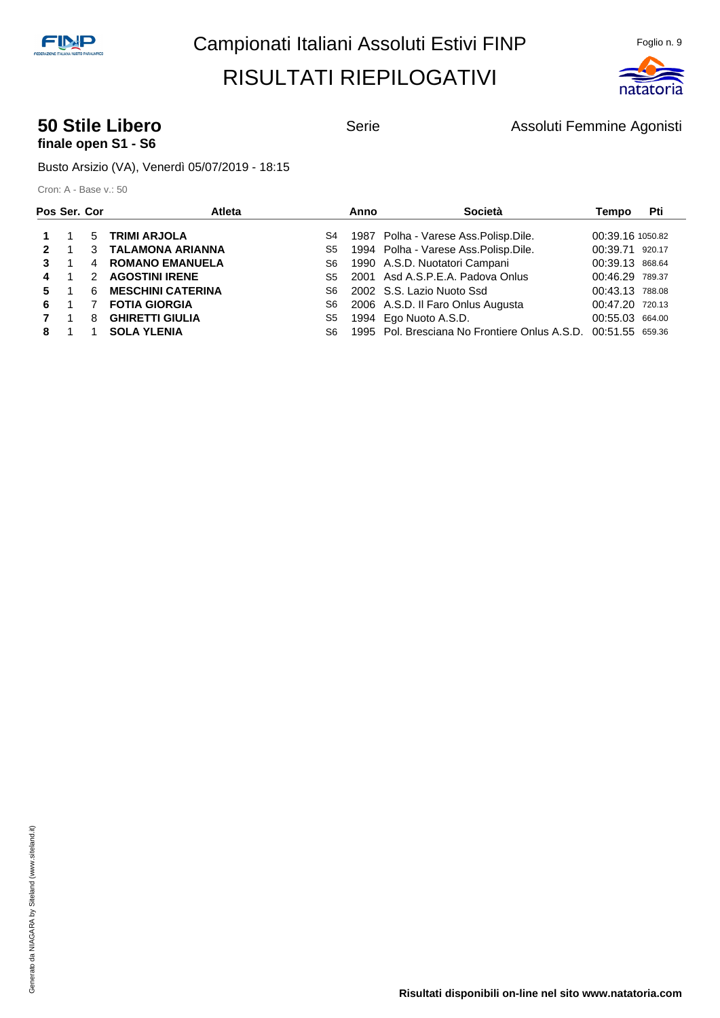

## **finale open S1 - S6**

**50 Stile Libero** Serie **Serie Assoluti Femmine Agonisti** Constants Agonisti

Busto Arsizio (VA), Venerdì 05/07/2019 - 18:15

| Pos Ser. Cor |    |               | Atleta                   |     | Anno | Società                                                       | Tempo            | Pti |
|--------------|----|---------------|--------------------------|-----|------|---------------------------------------------------------------|------------------|-----|
|              |    | 5             | <b>TRIMI ARJOLA</b>      | S4  |      | 1987 Polha - Varese Ass. Polisp. Dile.                        | 00:39.16 1050.82 |     |
| 2            |    |               | 3 TALAMONA ARIANNA       | S5  |      | 1994 Polha - Varese Ass. Polisp. Dile.                        | 00:39.71 920.17  |     |
| 3            |    | 4             | <b>ROMANO EMANUELA</b>   | S6  |      | 1990 A.S.D. Nuotatori Campani                                 | 00:39.13 868.64  |     |
|              |    | $\mathcal{P}$ | <b>AGOSTINI IRENE</b>    | S5  |      | 2001 Asd A.S.P.E.A. Padova Onlus                              | 00:46.29 789.37  |     |
| 5.           |    | 6             | <b>MESCHINI CATERINA</b> | S6. |      | 2002 S.S. Lazio Nuoto Ssd                                     | 00:43.13 788.08  |     |
| 6.           |    |               | <b>FOTIA GIORGIA</b>     | S6  |      | 2006 A.S.D. Il Faro Onlus Augusta                             | 00:47.20 720.13  |     |
|              | 1. | 8             | <b>GHIRETTI GIULIA</b>   | S5  |      | 1994 Ego Nuoto A.S.D.                                         | 00:55.03 664.00  |     |
| 8            |    |               | <b>SOLA YLENIA</b>       | S6. |      | 1995 Pol. Bresciana No Frontiere Onlus A.S.D. 00:51.55 659.36 |                  |     |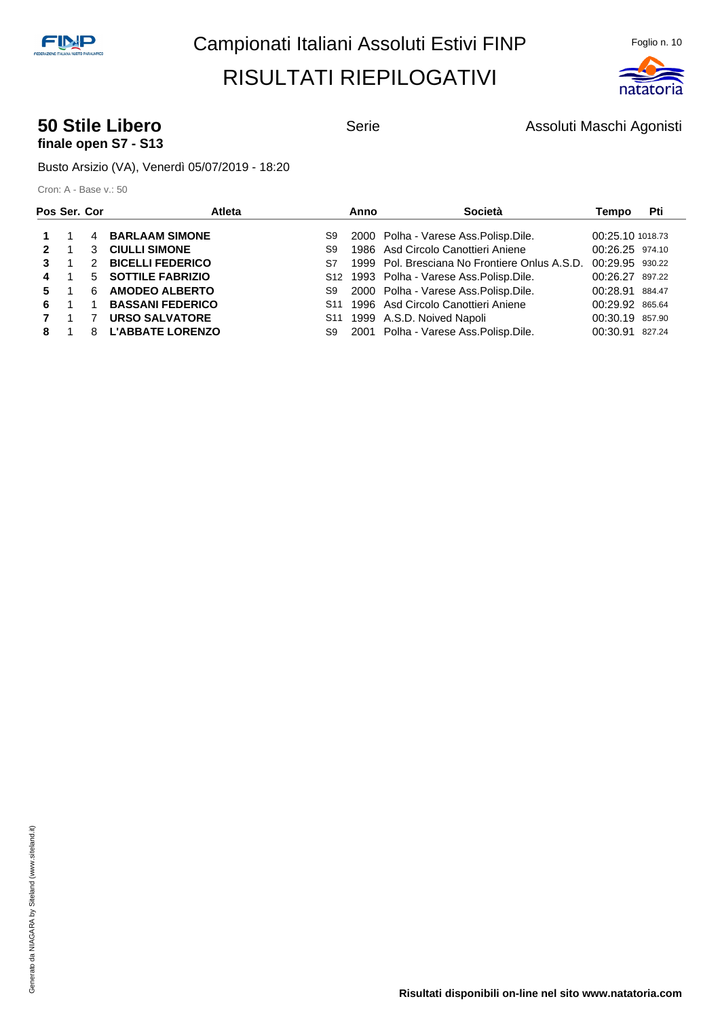

#### **50 Stile Libero** Serie **Serie Assoluti Maschi Agonisti 50 Stile Libero** Assoluti Maschi Agonisti **finale open S7 - S13**

Busto Arsizio (VA), Venerdì 05/07/2019 - 18:20

|    | Pos Ser. Cor |   | Atleta                  |                 | Anno | Società                                       | Tempo            | Pti |
|----|--------------|---|-------------------------|-----------------|------|-----------------------------------------------|------------------|-----|
|    |              |   | 4 BARLAAM SIMONE        | S9              |      | 2000 Polha - Varese Ass. Polisp. Dile.        | 00:25.10 1018.73 |     |
| 2  |              | 3 | <b>CIULLI SIMONE</b>    | S9              |      | 1986 Asd Circolo Canottieri Aniene            | 00:26.25 974.10  |     |
|    |              | 2 | <b>BICELLI FEDERICO</b> | S7              |      | 1999 Pol. Bresciana No Frontiere Onlus A.S.D. | 00:29.95 930.22  |     |
| 4  |              |   | 5 SOTTILE FABRIZIO      |                 |      | S12 1993 Polha - Varese Ass. Polisp. Dile.    | 00:26.27 897.22  |     |
| 5. |              | 6 | <b>AMODEO ALBERTO</b>   | S9              |      | 2000 Polha - Varese Ass. Polisp. Dile.        | 00:28.91 884.47  |     |
| 6. |              |   | <b>BASSANI FEDERICO</b> |                 |      | S11 1996 Asd Circolo Canottieri Aniene        | 00:29.92 865.64  |     |
|    | 1.           |   | <b>URSO SALVATORE</b>   | S <sub>11</sub> |      | 1999 A.S.D. Noived Napoli                     | 00:30.19 857.90  |     |
| 8  |              | 8 | <b>L'ABBATE LORENZO</b> | S9              |      | 2001 Polha - Varese Ass. Polisp. Dile.        | 00:30.91 827.24  |     |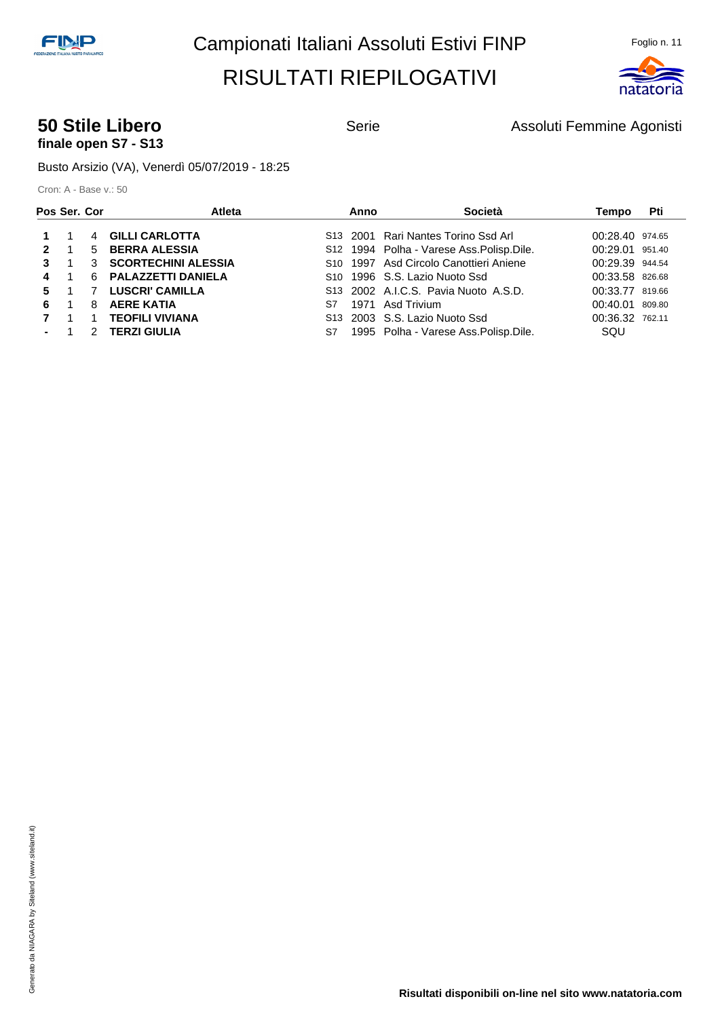

## **finale open S7 - S13**

**50 Stile Libero** Serie **Serie Assoluti Femmine Agonisti** Constants Agonisti

Busto Arsizio (VA), Venerdì 05/07/2019 - 18:25

| Pos Ser. Cor |   | Atleta                 | Anno | Società                                            | Tempo           | Pti    |
|--------------|---|------------------------|------|----------------------------------------------------|-----------------|--------|
|              |   | 4 GILLI CARLOTTA       |      | S13 2001 Rari Nantes Torino Ssd Arl                | 00:28.40 974.65 |        |
| $\mathbf{p}$ |   | 5 BERRA ALESSIA        |      | S12 1994 Polha - Varese Ass. Polisp. Dile.         | 00:29.01 951.40 |        |
| 3            |   | 3 SCORTECHINI ALESSIA  |      | S <sub>10</sub> 1997 Asd Circolo Canottieri Aniene | 00:29.39 944.54 |        |
| 4            |   | 6 PALAZZETTI DANIELA   |      | S <sub>10</sub> 1996 S.S. Lazio Nuoto Ssd          | 00:33.58 826.68 |        |
| 5.           |   | <b>LUSCRI' CAMILLA</b> |      | S13 2002 A.I.C.S. Pavia Nuoto A.S.D.               | 00:33.77 819.66 |        |
| 6.           | 8 | <b>AERE KATIA</b>      | S7   | 1971 Asd Trivium                                   | 00:40.01        | 809.80 |
|              |   | <b>TEOFILI VIVIANA</b> |      | S <sub>13</sub> 2003 S.S. Lazio Nuoto Ssd          | 00:36.32 762.11 |        |
|              | 2 | <b>TERZI GIULIA</b>    | S7   | 1995 Polha - Varese Ass. Polisp. Dile.             | SQU             |        |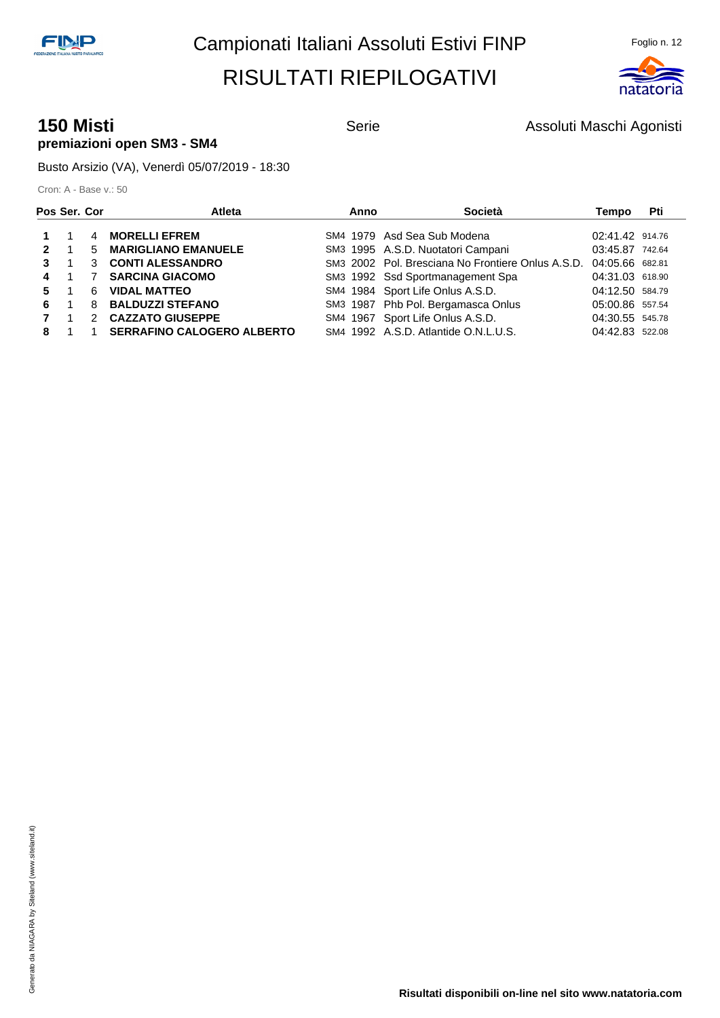

#### **150 Misti 150 Misti Agonisti** Serie **Assoluti Maschi Agonisti 150 Misti** Agonisti **premiazioni open SM3 - SM4**

Busto Arsizio (VA), Venerdì 05/07/2019 - 18:30

| Pos Ser. Cor |    | Atleta                            | Anno | Società                                           | Tempo           | Pti |
|--------------|----|-----------------------------------|------|---------------------------------------------------|-----------------|-----|
|              | 4  | <b>MORELLI EFREM</b>              |      | SM4 1979 Asd Sea Sub Modena                       | 02:41.42 914.76 |     |
| $\mathbf{2}$ |    | 5 MARIGLIANO EMANUELE             |      | SM3 1995 A.S.D. Nuotatori Campani                 | 03:45.87 742.64 |     |
|              | 3  | <b>CONTI ALESSANDRO</b>           |      | SM3 2002 Pol. Bresciana No Frontiere Onlus A.S.D. | 04:05.66 682.81 |     |
| 4            |    | <b>SARCINA GIACOMO</b>            |      | SM3 1992 Ssd Sportmanagement Spa                  | 04:31.03 618.90 |     |
| 5.           | 6. | <b>VIDAL MATTEO</b>               |      | SM4 1984 Sport Life Onlus A.S.D.                  | 04:12.50 584.79 |     |
| 6.           | 8  | <b>BALDUZZI STEFANO</b>           |      | SM3 1987 Phb Pol. Bergamasca Onlus                | 05:00.86 557.54 |     |
|              |    | 2 CAZZATO GIUSEPPE                |      | SM4 1967 Sport Life Onlus A.S.D.                  | 04:30.55 545.78 |     |
| 8            |    | <b>SERRAFINO CALOGERO ALBERTO</b> |      | SM4 1992 A.S.D. Atlantide O.N.L.U.S.              | 04:42.83 522.08 |     |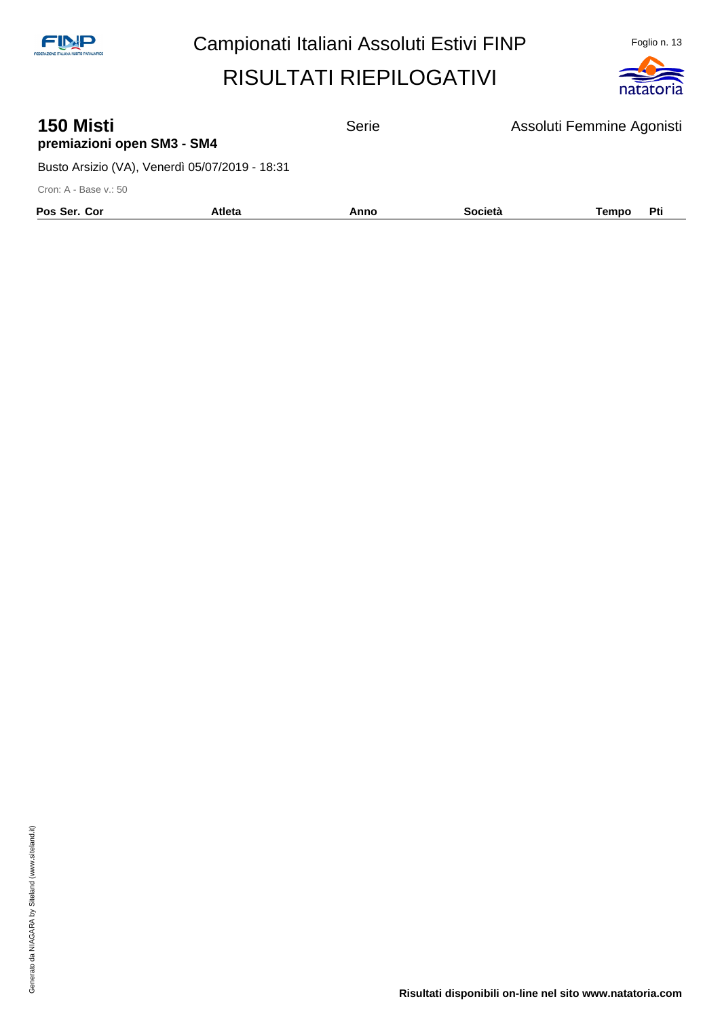

| <b>150 Misti</b><br>premiazioni open SM3 - SM4 |               | <b>Serie</b> |                | Assoluti Femmine Agonisti |
|------------------------------------------------|---------------|--------------|----------------|---------------------------|
| Busto Arsizio (VA), Venerdì 05/07/2019 - 18:31 |               |              |                |                           |
| Cron: A - Base v.: 50                          |               |              |                |                           |
| Pos Ser. Cor                                   | <b>Atleta</b> | Anno         | <b>Società</b> | Pti<br>Tempo              |
|                                                |               |              |                |                           |

**Risultati disponibili on-line nel sito www.natatoria.com**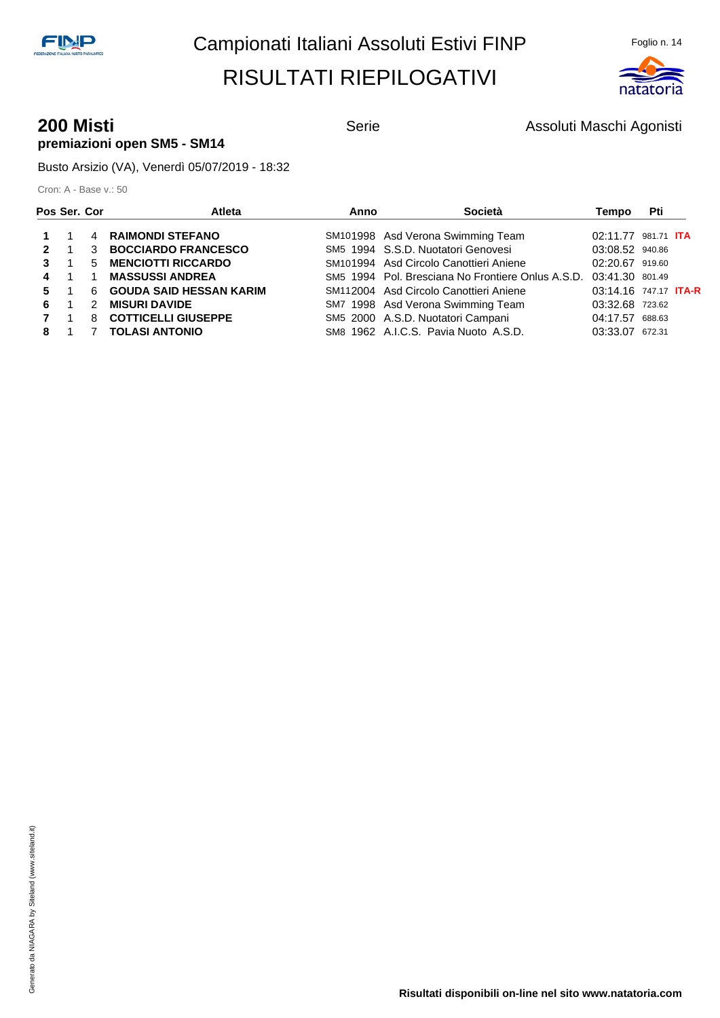

#### **200 Misti 200 Misti Agonisti** Serie **Assoluti Maschi Agonisti 200 Misti** Agonisti **premiazioni open SM5 - SM14**

Busto Arsizio (VA), Venerdì 05/07/2019 - 18:32

| Pos Ser. Cor |               | Atleta                         | Anno | Società                                           | Tempo                        | Pti    |  |
|--------------|---------------|--------------------------------|------|---------------------------------------------------|------------------------------|--------|--|
|              | 4             | <b>RAIMONDI STEFANO</b>        |      | SM101998 Asd Verona Swimming Team                 | 02:11.77 981.71 <b>ITA</b>   |        |  |
| $\mathbf{2}$ | 3             | <b>BOCCIARDO FRANCESCO</b>     |      | SM5 1994 S.S.D. Nuotatori Genovesi                | 03:08.52 940.86              |        |  |
| $\mathbf{3}$ | 5             | <b>MENCIOTTI RICCARDO</b>      |      | SM101994 Asd Circolo Canottieri Aniene            | 02:20.67 919.60              |        |  |
| 4            |               | <b>MASSUSSI ANDREA</b>         |      | SM5 1994 Pol. Bresciana No Frontiere Onlus A.S.D. | 03:41.30 801.49              |        |  |
| $5 \quad 1$  | 6             | <b>GOUDA SAID HESSAN KARIM</b> |      | SM112004 Asd Circolo Canottieri Aniene            | 03:14.16 747.17 <b>ITA-R</b> |        |  |
| 6.           | $\mathcal{P}$ | <b>MISURI DAVIDE</b>           |      | SM7 1998 Asd Verona Swimming Team                 | 03:32.68 723.62              |        |  |
|              | 8             | <b>COTTICELLI GIUSEPPE</b>     |      | SM5 2000 A.S.D. Nuotatori Campani                 | 04:17.57                     | 688.63 |  |
|              |               | <b>TOLASI ANTONIO</b>          |      | SM8 1962 A.I.C.S. Pavia Nuoto A.S.D.              | 03:33.07                     | 672.31 |  |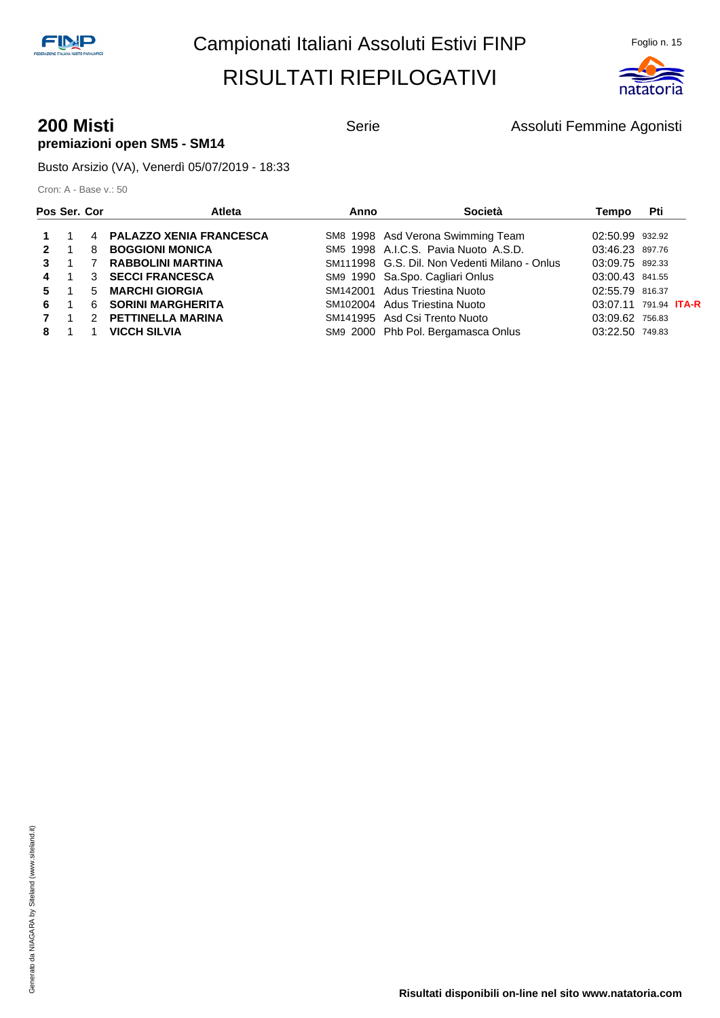

#### **200 Misti 200 Misti COLLECTE Assoluti Femmine Agonisti** Serie Assoluti Femmine Agonisti **premiazioni open SM5 - SM14**

Busto Arsizio (VA), Venerdì 05/07/2019 - 18:33

| Pos Ser. Cor |             | <b>Atleta</b>             | Anno | Società                                       | Tempo                        | Pti |  |
|--------------|-------------|---------------------------|------|-----------------------------------------------|------------------------------|-----|--|
|              |             | 4 PALAZZO XENIA FRANCESCA |      | SM8 1998 Asd Verona Swimming Team             | 02:50.99 932.92              |     |  |
| $\mathbf{2}$ | 8           | <b>BOGGIONI MONICA</b>    |      | SM5 1998 A.I.C.S. Pavia Nuoto A.S.D.          | 03:46.23 897.76              |     |  |
|              |             | <b>RABBOLINI MARTINA</b>  |      | SM111998 G.S. Dil. Non Vedenti Milano - Onlus | 03:09.75 892.33              |     |  |
| 4            |             | 3 SECCI FRANCESCA         |      | SM9 1990 Sa.Spo. Cagliari Onlus               | 03:00.43 841.55              |     |  |
| 5            | $5^{\circ}$ | <b>MARCHI GIORGIA</b>     |      | SM142001 Adus Triestina Nuoto                 | 02:55.79 816.37              |     |  |
| 6.           | 6           | <b>SORINI MARGHERITA</b>  |      | SM102004 Adus Triestina Nuoto                 | 03:07.11 791.94 <b>ITA-R</b> |     |  |
|              |             | 2 PETTINELLA MARINA       |      | SM141995 Asd Csi Trento Nuoto                 | 03:09.62 756.83              |     |  |
| 8            |             | <b>VICCH SILVIA</b>       |      | SM9 2000 Phb Pol. Bergamasca Onlus            | 03:22.50 749.83              |     |  |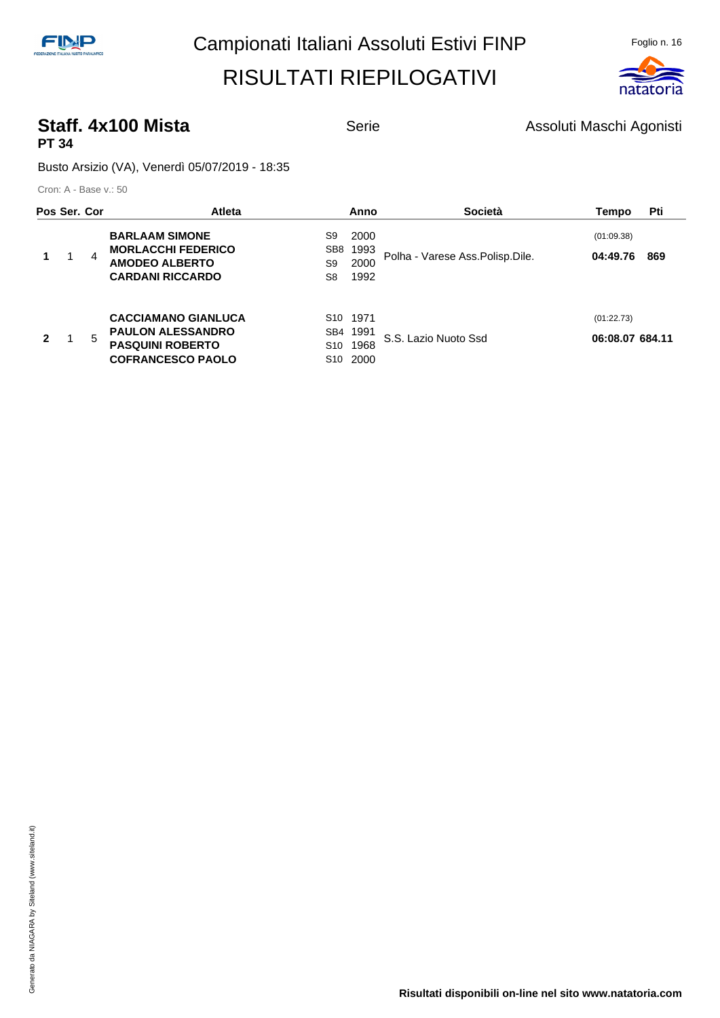

#### **Staff. 4x100 Mista** Serie Serie Assoluti Maschi Agonisti **PT 34**

Busto Arsizio (VA), Venerdì 05/07/2019 - 18:35

| Pos Ser. Cor |   | <b>Atleta</b>                                                                                                 |                                                       | Anno                         | <b>Società</b>                  | Tempo                         | Pti |
|--------------|---|---------------------------------------------------------------------------------------------------------------|-------------------------------------------------------|------------------------------|---------------------------------|-------------------------------|-----|
|              | 4 | <b>BARLAAM SIMONE</b><br><b>MORLACCHI FEDERICO</b><br><b>AMODEO ALBERTO</b><br><b>CARDANI RICCARDO</b>        | S9<br>SB <sub>8</sub><br>S9<br>S8                     | 2000<br>1993<br>2000<br>1992 | Polha - Varese Ass.Polisp.Dile. | (01:09.38)<br>04:49.76        | 869 |
| 2            | 5 | <b>CACCIAMANO GIANLUCA</b><br><b>PAULON ALESSANDRO</b><br><b>PASQUINI ROBERTO</b><br><b>COFRANCESCO PAOLO</b> | S <sub>10</sub> 1971<br>SB4<br>S <sub>10</sub><br>S10 | 1991<br>1968<br>2000         | S.S. Lazio Nuoto Ssd            | (01:22.73)<br>06:08.07 684.11 |     |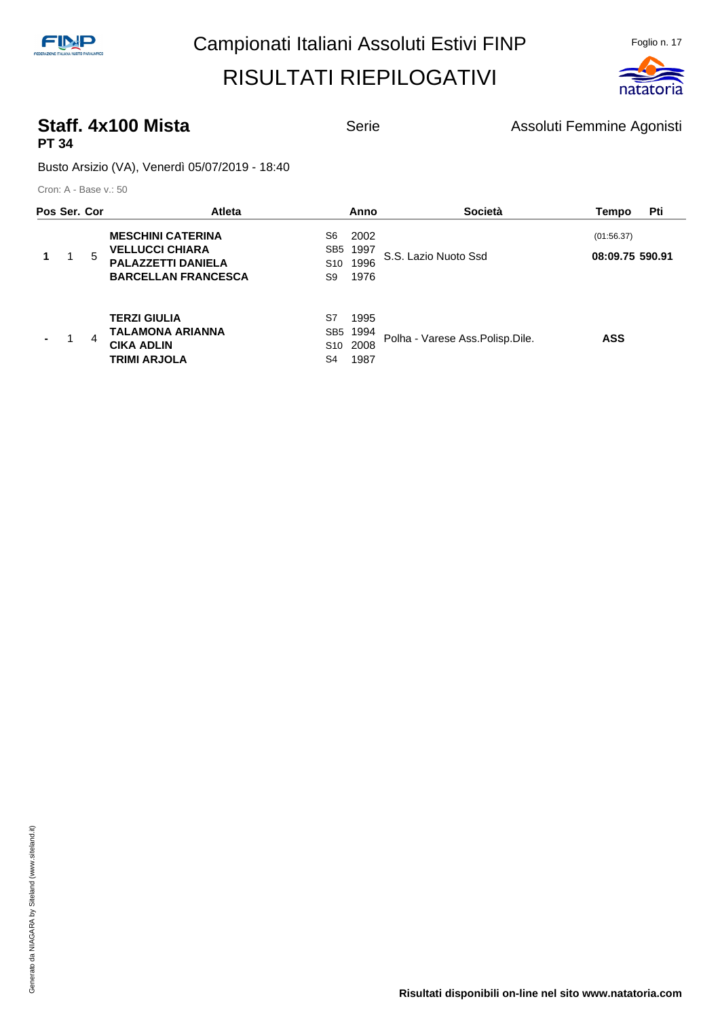

#### **Staff. 4x100 Mista** Serie Serie Assoluti Femmine Agonisti **PT 34**

Busto Arsizio (VA), Venerdì 05/07/2019 - 18:40

| Pos Ser. Cor |   |   | <b>Atleta</b>                                                                                                 |                                                | Anno                         | <b>Società</b>                    | Tempo                         | Pti |
|--------------|---|---|---------------------------------------------------------------------------------------------------------------|------------------------------------------------|------------------------------|-----------------------------------|-------------------------------|-----|
|              | 1 | 5 | <b>MESCHINI CATERINA</b><br><b>VELLUCCI CHIARA</b><br><b>PALAZZETTI DANIELA</b><br><b>BARCELLAN FRANCESCA</b> | S6<br>SB <sub>5</sub><br>S <sub>10</sub><br>S9 | 2002<br>1997<br>1996<br>1976 | S.S. Lazio Nuoto Ssd              | (01:56.37)<br>08:09.75 590.91 |     |
|              |   | 4 | <b>TERZI GIULIA</b><br>TALAMONA ARIANNA<br><b>CIKA ADLIN</b><br><b>TRIMI ARJOLA</b>                           | S7<br>SB <sub>5</sub><br>S <sub>10</sub><br>S4 | 1995<br>1994<br>2008<br>1987 | Polha - Varese Ass. Polisp. Dile. | <b>ASS</b>                    |     |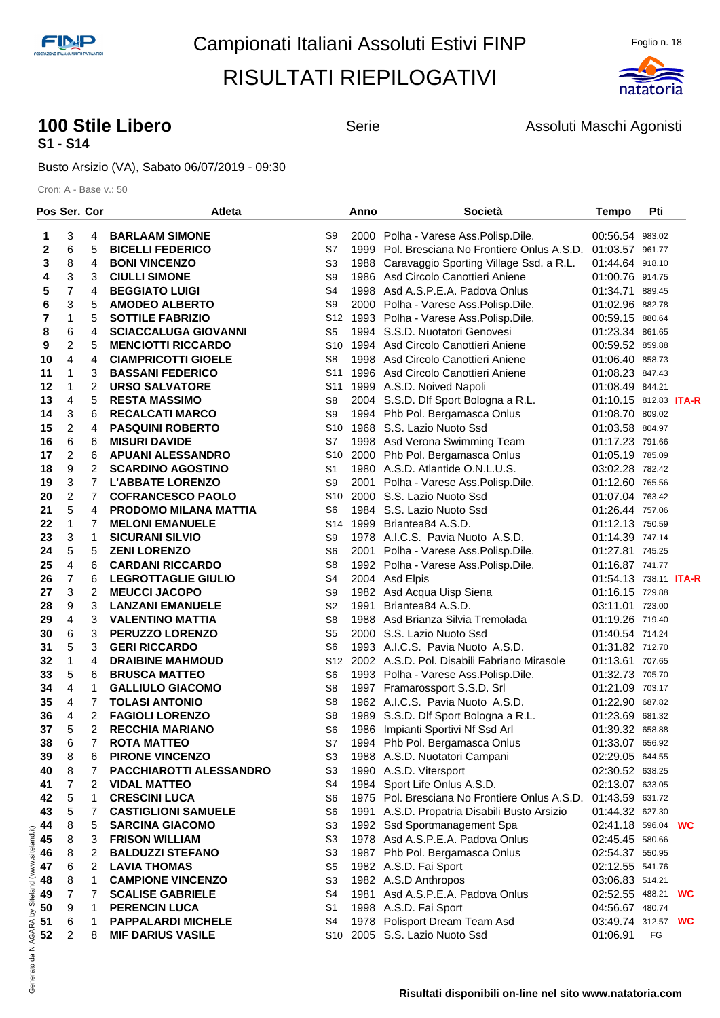

#### **100 Stile Libero 100 Stile Libero** Serie **Assoluti Maschi Agonisti S1 - S14**

Busto Arsizio (VA), Sabato 06/07/2019 - 09:30

|                                                   | Pos Ser. Cor            |                | <b>Atleta</b>                |                 | Anno | Società                                                       | <b>Tempo</b>          | Pti |  |
|---------------------------------------------------|-------------------------|----------------|------------------------------|-----------------|------|---------------------------------------------------------------|-----------------------|-----|--|
|                                                   | 3                       | 4              | <b>BARLAAM SIMONE</b>        | S9              |      | 2000 Polha - Varese Ass. Polisp. Dile.                        | 00:56.54 983.02       |     |  |
| 1<br>$\mathbf 2$                                  | 6                       | 5              | <b>BICELLI FEDERICO</b>      | S7              |      | 1999 Pol. Bresciana No Frontiere Onlus A.S.D. 01:03.57 961.77 |                       |     |  |
| 3                                                 | 8                       | 4              | <b>BONI VINCENZO</b>         | S <sub>3</sub>  |      | 1988 Caravaggio Sporting Village Ssd. a R.L.                  | 01:44.64 918.10       |     |  |
| 4                                                 | 3                       | 3              | <b>CIULLI SIMONE</b>         | S9              |      | 1986 Asd Circolo Canottieri Aniene                            | 01:00.76 914.75       |     |  |
| 5                                                 | 7                       | 4              | <b>BEGGIATO LUIGI</b>        | S <sub>4</sub>  |      | 1998 Asd A.S.P.E.A. Padova Onlus                              | 01:34.71 889.45       |     |  |
| 6                                                 | 3                       | 5              | <b>AMODEO ALBERTO</b>        | S <sub>9</sub>  |      | 2000 Polha - Varese Ass.Polisp.Dile.                          | 01:02.96 882.78       |     |  |
| 7                                                 | 1                       | 5              | <b>SOTTILE FABRIZIO</b>      | S12             |      | 1993 Polha - Varese Ass. Polisp. Dile.                        | 00:59.15 880.64       |     |  |
| 8                                                 | 6                       | 4              | <b>SCIACCALUGA GIOVANNI</b>  | S <sub>5</sub>  |      | 1994 S.S.D. Nuotatori Genovesi                                | 01:23.34 861.65       |     |  |
| 9                                                 | 2                       | 5              | <b>MENCIOTTI RICCARDO</b>    | S <sub>10</sub> |      | 1994 Asd Circolo Canottieri Aniene                            | 00:59.52 859.88       |     |  |
| 10                                                | 4                       | 4              | <b>CIAMPRICOTTI GIOELE</b>   | S <sub>8</sub>  |      | 1998 Asd Circolo Canottieri Aniene                            | 01:06.40 858.73       |     |  |
| 11                                                | 1                       | 3              | <b>BASSANI FEDERICO</b>      | S <sub>11</sub> |      | 1996 Asd Circolo Canottieri Aniene                            | 01:08.23 847.43       |     |  |
| 12                                                | 1                       | $\overline{c}$ | <b>URSO SALVATORE</b>        | S <sub>11</sub> |      | 1999 A.S.D. Noived Napoli                                     | 01:08.49 844.21       |     |  |
| 13                                                | $\overline{4}$          | 5              | <b>RESTA MASSIMO</b>         | S <sub>8</sub>  |      | 2004 S.S.D. Dlf Sport Bologna a R.L.                          | 01:10.15 812.83 ITA-R |     |  |
| 14                                                | 3                       | 6              | <b>RECALCATI MARCO</b>       | S9              |      | 1994 Phb Pol. Bergamasca Onlus                                | 01:08.70 809.02       |     |  |
| 15                                                | 2                       | 4              | <b>PASQUINI ROBERTO</b>      | S <sub>10</sub> |      | 1968 S.S. Lazio Nuoto Ssd                                     | 01:03.58 804.97       |     |  |
| 16                                                | 6                       | 6              | <b>MISURI DAVIDE</b>         | S7              |      | 1998 Asd Verona Swimming Team                                 | 01:17.23 791.66       |     |  |
| 17                                                | 2                       | 6              | <b>APUANI ALESSANDRO</b>     | S <sub>10</sub> |      | 2000 Phb Pol. Bergamasca Onlus                                | 01:05.19 785.09       |     |  |
| 18                                                | 9                       | 2              | <b>SCARDINO AGOSTINO</b>     | S1              |      | 1980 A.S.D. Atlantide O.N.L.U.S.                              | 03:02.28 782.42       |     |  |
| 19                                                | 3                       | $\overline{7}$ | <b>L'ABBATE LORENZO</b>      | S <sub>9</sub>  |      | 2001 Polha - Varese Ass. Polisp. Dile.                        | 01:12.60 765.56       |     |  |
| 20                                                | $\overline{\mathbf{c}}$ | $\overline{7}$ | <b>COFRANCESCO PAOLO</b>     | S <sub>10</sub> |      | 2000 S.S. Lazio Nuoto Ssd                                     | 01:07.04 763.42       |     |  |
| 21                                                | 5                       | 4              | <b>PRODOMO MILANA MATTIA</b> | S <sub>6</sub>  |      | 1984 S.S. Lazio Nuoto Ssd                                     | 01:26.44 757.06       |     |  |
| 22                                                | 1                       | 7              | <b>MELONI EMANUELE</b>       | S14             |      | 1999 Briantea84 A.S.D.                                        | 01:12.13 750.59       |     |  |
| 23                                                | 3                       | $\mathbf{1}$   | <b>SICURANI SILVIO</b>       | S9              |      | 1978 A.I.C.S. Pavia Nuoto A.S.D.                              | 01:14.39 747.14       |     |  |
| 24                                                | 5                       | 5              | <b>ZENI LORENZO</b>          | S <sub>6</sub>  |      | 2001 Polha - Varese Ass. Polisp. Dile.                        | 01:27.81 745.25       |     |  |
| 25                                                | 4                       | 6              | <b>CARDANI RICCARDO</b>      | S <sub>8</sub>  |      | 1992 Polha - Varese Ass. Polisp. Dile.                        | 01:16.87 741.77       |     |  |
| 26                                                | $\overline{7}$          | 6              | <b>LEGROTTAGLIE GIULIO</b>   | S <sub>4</sub>  |      | 2004 Asd Elpis                                                | 01:54.13 738.11 ITA-R |     |  |
| 27                                                | 3                       | 2              | <b>MEUCCI JACOPO</b>         | S9              |      | 1982 Asd Acqua Uisp Siena                                     | 01:16.15 729.88       |     |  |
| 28                                                | 9                       | 3              | <b>LANZANI EMANUELE</b>      | S <sub>2</sub>  | 1991 | Briantea84 A.S.D.                                             | 03:11.01 723.00       |     |  |
| 29                                                | 4                       | 3              | <b>VALENTINO MATTIA</b>      | S <sub>8</sub>  |      | 1988 Asd Brianza Silvia Tremolada                             | 01:19.26 719.40       |     |  |
| 30                                                | 6                       | 3              | PERUZZO LORENZO              | S <sub>5</sub>  |      | 2000 S.S. Lazio Nuoto Ssd                                     | 01:40.54 714.24       |     |  |
| 31                                                | 5                       | 3              | <b>GERI RICCARDO</b>         | S <sub>6</sub>  |      | 1993 A.I.C.S. Pavia Nuoto A.S.D.                              | 01:31.82 712.70       |     |  |
| 32                                                | 1                       | 4              | <b>DRAIBINE MAHMOUD</b>      | S <sub>12</sub> |      | 2002 A.S.D. Pol. Disabili Fabriano Mirasole                   | 01:13.61 707.65       |     |  |
| 33                                                | 5                       | 6              | <b>BRUSCA MATTEO</b>         | S <sub>6</sub>  |      | 1993 Polha - Varese Ass. Polisp. Dile.                        | 01:32.73 705.70       |     |  |
| 34                                                | 4                       | $\mathbf{1}$   | <b>GALLIULO GIACOMO</b>      | S <sub>8</sub>  |      | 1997 Framarossport S.S.D. Srl                                 | 01:21.09 703.17       |     |  |
| 35                                                | 4                       | 7              | <b>TOLASI ANTONIO</b>        | S <sub>8</sub>  |      | 1962 A.I.C.S. Pavia Nuoto A.S.D.                              | 01:22.90 687.82       |     |  |
| 36                                                | 4                       | 2              | <b>FAGIOLI LORENZO</b>       | S8              |      | 1989 S.S.D. Dlf Sport Bologna a R.L.                          | 01:23.69 681.32       |     |  |
| 37                                                | 5                       | $\overline{2}$ | <b>RECCHIA MARIANO</b>       | S <sub>6</sub>  |      | 1986 Impianti Sportivi Nf Ssd Arl                             | 01:39.32 658.88       |     |  |
| 38                                                | 6                       | 7              | <b>ROTA MATTEO</b>           | S7              |      | 1994 Phb Pol. Bergamasca Onlus                                | 01:33.07 656.92       |     |  |
| 39                                                | 8                       | 6              | <b>PIRONE VINCENZO</b>       | S3              |      | 1988 A.S.D. Nuotatori Campani                                 | 02:29.05 644.55       |     |  |
| 40                                                | 8                       | 7              | PACCHIAROTTI ALESSANDRO      | S <sub>3</sub>  |      | 1990 A.S.D. Vitersport                                        | 02:30.52 638.25       |     |  |
| 41                                                | 7                       | 2              | <b>VIDAL MATTEO</b>          | S4              |      | 1984 Sport Life Onlus A.S.D.                                  | 02:13.07 633.05       |     |  |
| 42                                                | 5                       | 1              | <b>CRESCINI LUCA</b>         | S6              |      | 1975 Pol. Bresciana No Frontiere Onlus A.S.D.                 | 01:43.59 631.72       |     |  |
| 43                                                | 5                       | 7              | <b>CASTIGLIONI SAMUELE</b>   | S <sub>6</sub>  |      | 1991 A.S.D. Propatria Disabili Busto Arsizio                  | 01:44.32 627.30       |     |  |
| 44                                                | 8                       | 5              | <b>SARCINA GIACOMO</b>       | S <sub>3</sub>  |      | 1992 Ssd Sportmanagement Spa                                  | 02:41.18 596.04 WC    |     |  |
| 45                                                | 8                       | 3              | <b>FRISON WILLIAM</b>        | S <sub>3</sub>  |      | 1978 Asd A.S.P.E.A. Padova Onlus                              | 02:45.45 580.66       |     |  |
| 46                                                | 8                       | 2              | <b>BALDUZZI STEFANO</b>      | S <sub>3</sub>  |      | 1987 Phb Pol. Bergamasca Onlus                                | 02:54.37 550.95       |     |  |
| 47                                                | 6                       | 2              | <b>LAVIA THOMAS</b>          | S <sub>5</sub>  |      | 1982 A.S.D. Fai Sport                                         | 02:12.55 541.76       |     |  |
| 48                                                | 8                       | 1              | <b>CAMPIONE VINCENZO</b>     | S <sub>3</sub>  |      | 1982 A.S.D Anthropos                                          | 03:06.83 514.21       |     |  |
| 49                                                | 7                       | 7              | <b>SCALISE GABRIELE</b>      | S <sub>4</sub>  |      | 1981 Asd A.S.P.E.A. Padova Onlus                              | 02:52.55 488.21 WC    |     |  |
| 50                                                | 9                       | 1              | <b>PERENCIN LUCA</b>         | S <sub>1</sub>  |      | 1998 A.S.D. Fai Sport                                         | 04:56.67 480.74       |     |  |
| 51                                                | 6                       | 1              | <b>PAPPALARDI MICHELE</b>    | S4              |      | 1978 Polisport Dream Team Asd                                 | 03:49.74 312.57 WC    |     |  |
| 52                                                | 2                       | 8              | <b>MIF DARIUS VASILE</b>     | S10             |      | 2005 S.S. Lazio Nuoto Ssd                                     | 01:06.91              | FG  |  |
| Generato da NIAGARA by Siteland (www.siteland.it) |                         |                |                              |                 |      |                                                               |                       |     |  |
|                                                   |                         |                |                              |                 |      |                                                               |                       |     |  |
|                                                   |                         |                |                              |                 |      |                                                               |                       |     |  |
|                                                   |                         |                |                              |                 |      | Risultati disponibili on-line nel sito www.natatoria.com      |                       |     |  |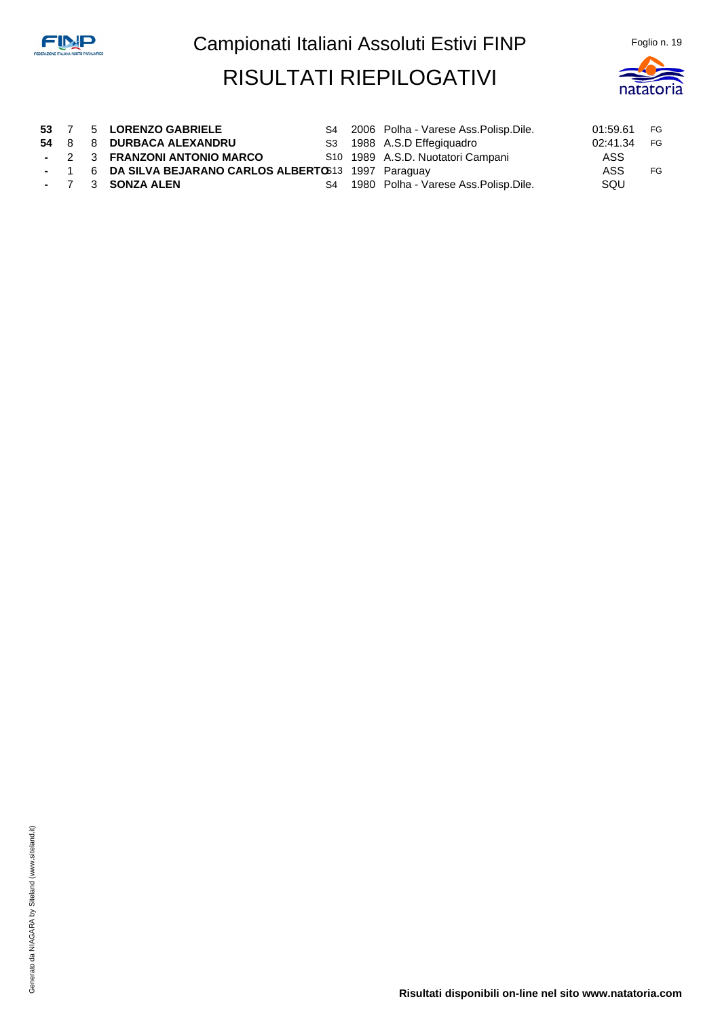

**53** 7 5 **LORENZO GABRIELE** S4 2006 Polha - Varese Ass.Polisp.Dile. 01:59.61 FG **54** 8 8 **DURBACA ALEXANDRU** S3 1988 A.S.D Effegiquadro 02:41.34 FG **-** 2 3 **FRANZONI ANTONIO MARCO** S10 1989 A.S.D. Nuotatori Campani ASS **1 6 DA SILVA BEJARANO CARLOS ALBERTO**S13 1997 Paraguay **ASS ASS** FG **-** 7 3 **SONZA ALEN** S4 1980 Polha - Varese Ass.Polisp.Dile. SQU

**Risultati disponibili on-line nel sito www.natatoria.com**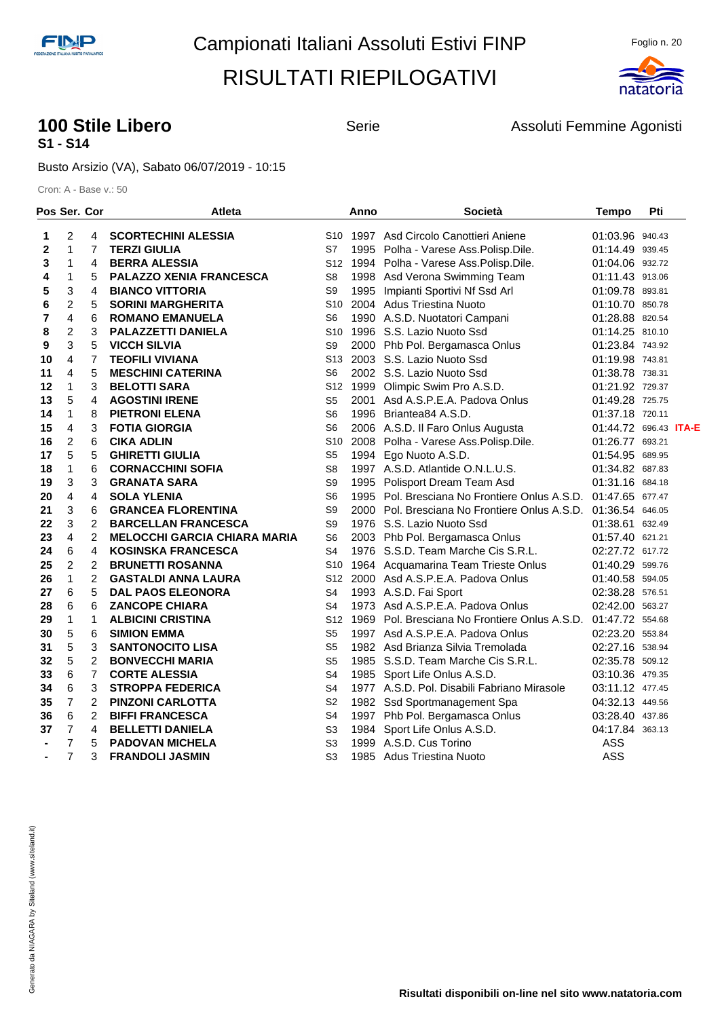

#### **100 Stile Libero 100 Stile Libero** Serie Assoluti Femmine Agonisti **S1 - S14**

Busto Arsizio (VA), Sabato 06/07/2019 - 10:15

| Pos Ser. Cor   |                |                | Atleta                              |                 | Anno | <b>Società</b>                                                | <b>Tempo</b>                 | Pti |  |
|----------------|----------------|----------------|-------------------------------------|-----------------|------|---------------------------------------------------------------|------------------------------|-----|--|
| 1              | 2              | 4              | <b>SCORTECHINI ALESSIA</b>          |                 |      | S <sub>10</sub> 1997 Asd Circolo Canottieri Aniene            | 01:03.96 940.43              |     |  |
| 2              | $\mathbf{1}$   | 7              | <b>TERZI GIULIA</b>                 | S7              |      | 1995 Polha - Varese Ass. Polisp. Dile.                        | 01:14.49 939.45              |     |  |
| 3              | 1              | 4              | <b>BERRA ALESSIA</b>                |                 |      | S12 1994 Polha - Varese Ass. Polisp. Dile.                    | 01:04.06 932.72              |     |  |
| 4              | 1              | 5              | PALAZZO XENIA FRANCESCA             | S8              |      | 1998 Asd Verona Swimming Team                                 | 01:11.43 913.06              |     |  |
| 5              | 3              | 4              | <b>BIANCO VITTORIA</b>              | S9              |      | 1995 Impianti Sportivi Nf Ssd Arl                             | 01:09.78 893.81              |     |  |
| 6              | 2              | 5              | <b>SORINI MARGHERITA</b>            | S10             |      | 2004 Adus Triestina Nuoto                                     | 01:10.70 850.78              |     |  |
| 7              | 4              | 6              | <b>ROMANO EMANUELA</b>              | S6              |      | 1990 A.S.D. Nuotatori Campani                                 | 01:28.88 820.54              |     |  |
| 8              | 2              | 3              | <b>PALAZZETTI DANIELA</b>           | S10             |      | 1996 S.S. Lazio Nuoto Ssd                                     | 01:14.25 810.10              |     |  |
| 9              | 3              | 5              | <b>VICCH SILVIA</b>                 | S9              |      | 2000 Phb Pol. Bergamasca Onlus                                | 01:23.84 743.92              |     |  |
| 10             | 4              | $\overline{7}$ | <b>TEOFILI VIVIANA</b>              | S13             |      | 2003 S.S. Lazio Nuoto Ssd                                     | 01:19.98 743.81              |     |  |
| 11             | 4              | 5              | <b>MESCHINI CATERINA</b>            | S6              |      | 2002 S.S. Lazio Nuoto Ssd                                     | 01:38.78 738.31              |     |  |
| 12             | 1              | 3              | <b>BELOTTI SARA</b>                 | S12             |      | 1999 Olimpic Swim Pro A.S.D.                                  | 01:21.92 729.37              |     |  |
| 13             | 5              | 4              | <b>AGOSTINI IRENE</b>               | S5              | 2001 | Asd A.S.P.E.A. Padova Onlus                                   | 01:49.28 725.75              |     |  |
| 14             | 1              | 8              | <b>PIETRONI ELENA</b>               | S6              |      | 1996 Briantea84 A.S.D.                                        | 01:37.18 720.11              |     |  |
| 15             | 4              | 3              | <b>FOTIA GIORGIA</b>                | S <sub>6</sub>  |      | 2006 A.S.D. Il Faro Onlus Augusta                             | 01:44.72 696.43 <b>ITA-E</b> |     |  |
| 16             | 2              | 6              | <b>CIKA ADLIN</b>                   | S <sub>10</sub> |      | 2008 Polha - Varese Ass. Polisp. Dile.                        | 01:26.77 693.21              |     |  |
| 17             | 5              | 5              | <b>GHIRETTI GIULIA</b>              | S <sub>5</sub>  |      | 1994 Ego Nuoto A.S.D.                                         | 01:54.95 689.95              |     |  |
| 18             | 1              | 6              | <b>CORNACCHINI SOFIA</b>            | S <sub>8</sub>  |      | 1997 A.S.D. Atlantide O.N.L.U.S.                              | 01:34.82 687.83              |     |  |
| 19             | 3              | 3              | <b>GRANATA SARA</b>                 | S9              | 1995 | Polisport Dream Team Asd                                      | 01:31.16 684.18              |     |  |
| 20             | 4              | 4              | <b>SOLA YLENIA</b>                  | S6              |      | 1995 Pol. Bresciana No Frontiere Onlus A.S.D. 01:47.65 677.47 |                              |     |  |
| 21             | 3              | 6              | <b>GRANCEA FLORENTINA</b>           | S9              |      | 2000 Pol. Bresciana No Frontiere Onlus A.S.D. 01:36.54 646.05 |                              |     |  |
| 22             | 3              | 2              | <b>BARCELLAN FRANCESCA</b>          | S <sub>9</sub>  |      | 1976 S.S. Lazio Nuoto Ssd                                     | 01:38.61 632.49              |     |  |
| 23             | 4              | 2              | <b>MELOCCHI GARCIA CHIARA MARIA</b> | S <sub>6</sub>  |      | 2003 Phb Pol. Bergamasca Onlus                                | 01:57.40 621.21              |     |  |
| 24             | 6              | 4              | <b>KOSINSKA FRANCESCA</b>           | S4              |      | 1976 S.S.D. Team Marche Cis S.R.L.                            | 02:27.72 617.72              |     |  |
| 25             | $\overline{2}$ | 2              | <b>BRUNETTI ROSANNA</b>             | S10             |      | 1964 Acquamarina Team Trieste Onlus                           | 01:40.29 599.76              |     |  |
| 26             | 1              | 2              | <b>GASTALDI ANNA LAURA</b>          | S <sub>12</sub> |      | 2000 Asd A.S.P.E.A. Padova Onlus                              | 01:40.58 594.05              |     |  |
| 27             | 6              | 5              | <b>DAL PAOS ELEONORA</b>            | S4              |      | 1993 A.S.D. Fai Sport                                         | 02:38.28 576.51              |     |  |
| 28             | 6              | 6              | <b>ZANCOPE CHIARA</b>               | S4              |      | 1973 Asd A.S.P.E.A. Padova Onlus                              | 02:42.00 563.27              |     |  |
| 29             | 1              | $\mathbf 1$    | <b>ALBICINI CRISTINA</b>            | S <sub>12</sub> |      | 1969 Pol. Bresciana No Frontiere Onlus A.S.D. 01:47.72 554.68 |                              |     |  |
| 30             | 5              | 6              | <b>SIMION EMMA</b>                  | S5              |      | 1997 Asd A.S.P.E.A. Padova Onlus                              | 02:23.20 553.84              |     |  |
| 31             | 5              | 3              | <b>SANTONOCITO LISA</b>             | S <sub>5</sub>  |      | 1982 Asd Brianza Silvia Tremolada                             | 02:27.16 538.94              |     |  |
| 32             | 5              | 2              | <b>BONVECCHI MARIA</b>              | S <sub>5</sub>  |      | 1985 S.S.D. Team Marche Cis S.R.L.                            | 02:35.78 509.12              |     |  |
| 33             | 6              | $\overline{7}$ | <b>CORTE ALESSIA</b>                | S4              |      | 1985 Sport Life Onlus A.S.D.                                  | 03:10.36 479.35              |     |  |
| 34             | 6              | 3              | <b>STROPPA FEDERICA</b>             | S4              |      | 1977 A.S.D. Pol. Disabili Fabriano Mirasole                   | 03:11.12 477.45              |     |  |
| 35             | 7              | 2              | <b>PINZONI CARLOTTA</b>             | S <sub>2</sub>  |      | 1982 Ssd Sportmanagement Spa                                  | 04:32.13 449.56              |     |  |
| 36             | 6              | 2              | <b>BIFFI FRANCESCA</b>              | S4              |      | 1997 Phb Pol. Bergamasca Onlus                                | 03:28.40 437.86              |     |  |
| 37             | 7              | 4              | <b>BELLETTI DANIELA</b>             | S3              | 1984 | Sport Life Onlus A.S.D.                                       | 04:17.84 363.13              |     |  |
| ۰              | $\overline{7}$ | 5              | <b>PADOVAN MICHELA</b>              | S <sub>3</sub>  | 1999 | A.S.D. Cus Torino                                             | ASS                          |     |  |
| $\blacksquare$ | 7              | 3              | <b>FRANDOLI JASMIN</b>              | S <sub>3</sub>  | 1985 | Adus Triestina Nuoto                                          | <b>ASS</b>                   |     |  |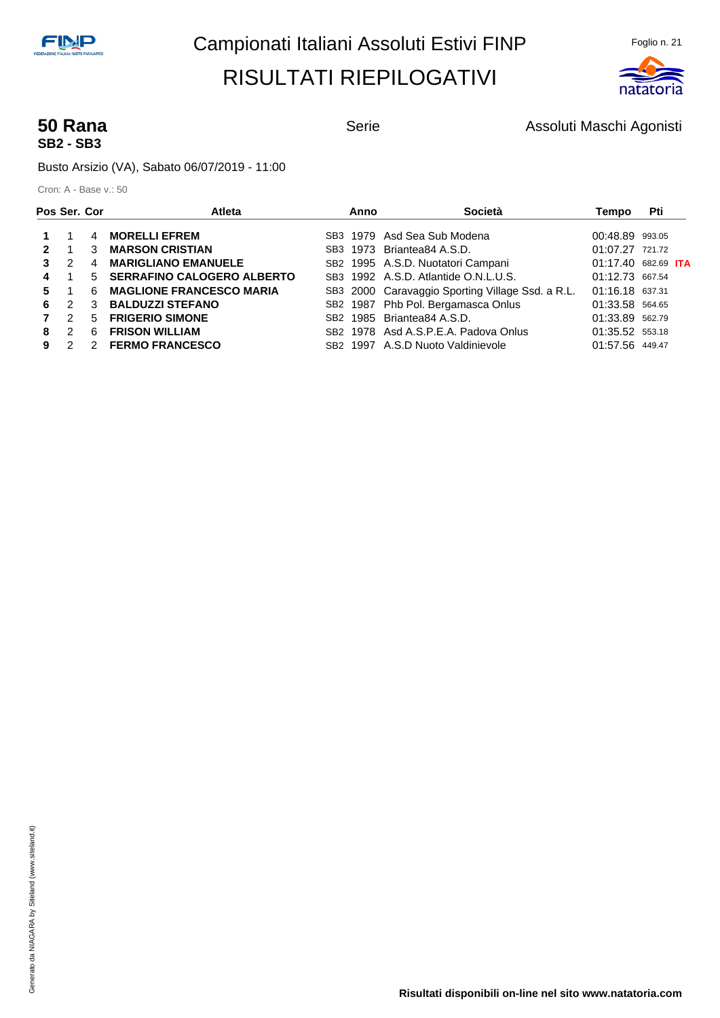

# **SB2 - SB3**

**50 Rana Serie** Serie **Assoluti Maschi Agonisti** Serie Assoluti Maschi Agonisti

Busto Arsizio (VA), Sabato 06/07/2019 - 11:00

| Pos Ser. Cor |               |             | Atleta                            | Anno     | Società                                          | Tempo               | Pti |  |
|--------------|---------------|-------------|-----------------------------------|----------|--------------------------------------------------|---------------------|-----|--|
|              |               | 4           | <b>MORELLI EFREM</b>              |          | SB3 1979 Asd Sea Sub Modena                      | 00:48.89 993.05     |     |  |
|              |               | 3           | <b>MARSON CRISTIAN</b>            |          | SB3 1973 Briantea84 A.S.D.                       | $01:07.27$ 721.72   |     |  |
|              | $\mathcal{P}$ | 4           | <b>MARIGLIANO EMANUELE</b>        |          | SB2 1995 A.S.D. Nuotatori Campani                | 01:17.40 682.69 ITA |     |  |
|              |               | $5^{\circ}$ | <b>SERRAFINO CALOGERO ALBERTO</b> |          | SB3 1992 A.S.D. Atlantide O.N.L.U.S.             | 01:12.73 667.54     |     |  |
|              |               | 6           | <b>MAGLIONE FRANCESCO MARIA</b>   |          | SB3 2000 Caravaggio Sporting Village Ssd. a R.L. | 01:16.18 637.31     |     |  |
| 6            | $\mathcal{P}$ | 3           | <b>BALDUZZI STEFANO</b>           |          | SB2 1987 Phb Pol. Bergamasca Onlus               | 01:33.58 564.65     |     |  |
|              | $\mathcal{P}$ | 5           | <b>FRIGERIO SIMONE</b>            |          | SB <sub>2</sub> 1985 Briantea84 A.S.D.           | 01:33.89 562.79     |     |  |
| 8            | $\mathcal{P}$ | 6           | <b>FRISON WILLIAM</b>             |          | SB <sub>2</sub> 1978 Asd A.S.P.E.A. Padova Onlus | 01:35.52 553.18     |     |  |
|              |               | 2           | <b>FERMO FRANCESCO</b>            | SB2 1997 | A.S.D Nuoto Valdinievole                         | 01:57.56 449.47     |     |  |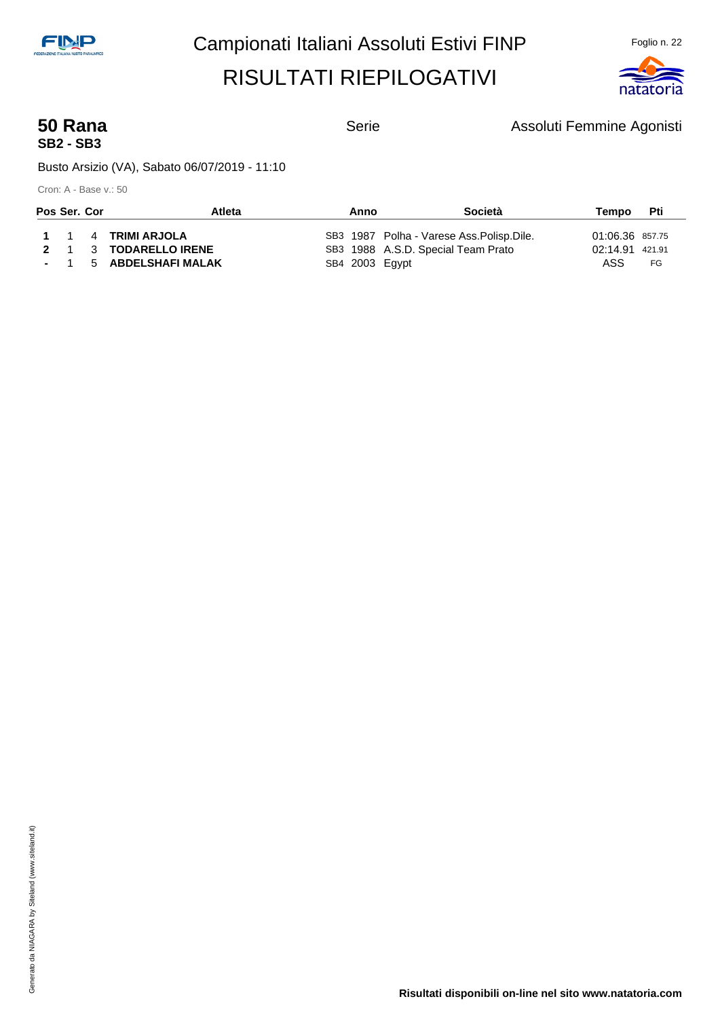

# **SB2 - SB3**

**50 Rana Serie** Serie **Assoluti Femmine Agonisti** Serie Agonisti

Busto Arsizio (VA), Sabato 06/07/2019 - 11:10

| Pos Ser. Cor |  | <b>Atleta</b>          | Anno           | <b>Società</b>                             | Tempo           | <b>Pti</b> |  |
|--------------|--|------------------------|----------------|--------------------------------------------|-----------------|------------|--|
|              |  | 1 1 4 TRIMI ARJOLA     |                | SB3 1987 Polha - Varese Ass. Polisp. Dile. | 01:06.36 857.75 |            |  |
|              |  | 2 1 3 TODARELLO IRENE  |                | SB3 1988 A.S.D. Special Team Prato         | 02:14.91 421.91 |            |  |
|              |  | - 1 5 ABDELSHAFI MALAK | SB4 2003 Egypt |                                            | ASS             | FG         |  |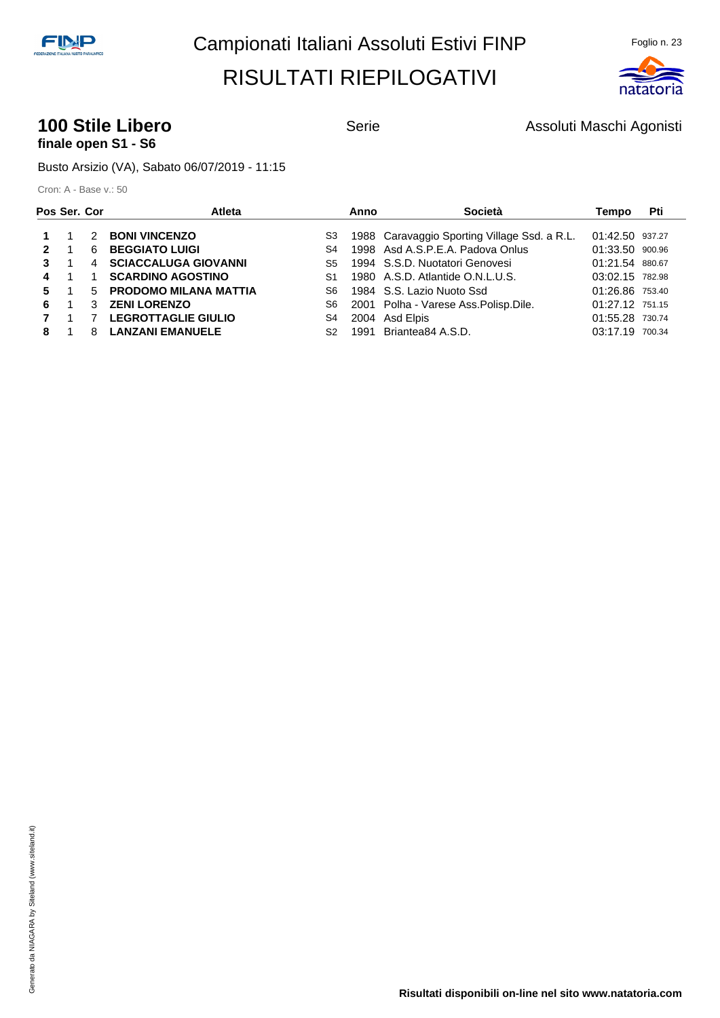

#### **100 Stile Libero 100 Stile Libero** Serie **Assoluti Maschi Agonisti finale open S1 - S6**

Busto Arsizio (VA), Sabato 06/07/2019 - 11:15

|              | Pos Ser. Cor |   | Atleta                      |                | Anno | Società                                      | Tempo           | Pti |
|--------------|--------------|---|-----------------------------|----------------|------|----------------------------------------------|-----------------|-----|
|              |              | 2 | <b>BONI VINCENZO</b>        | S3             |      | 1988 Caravaggio Sporting Village Ssd. a R.L. | 01:42.50 937.27 |     |
| $\mathbf{P}$ |              | 6 | <b>BEGGIATO LUIGI</b>       | S4             |      | 1998 Asd A.S.P.E.A. Padova Onlus             | 01:33.50 900.96 |     |
| 3            |              | 4 | <b>SCIACCALUGA GIOVANNI</b> | S5             |      | 1994 S.S.D. Nuotatori Genovesi               | 01:21.54 880.67 |     |
| 4            |              |   | <b>SCARDINO AGOSTINO</b>    | S <sub>1</sub> |      | 1980 A.S.D. Atlantide O.N.L.U.S.             | 03:02.15 782.98 |     |
| 5.           |              |   | 5 PRODOMO MILANA MATTIA     | S6.            |      | 1984 S.S. Lazio Nuoto Ssd                    | 01:26.86 753.40 |     |
| 6.           |              | 3 | <b>ZENI LORENZO</b>         | S6             |      | 2001 Polha - Varese Ass. Polisp. Dile.       | 01:27.12 751.15 |     |
|              |              |   | <b>LEGROTTAGLIE GIULIO</b>  | S4             |      | 2004 Asd Elpis                               | 01:55.28 730.74 |     |
| 8            |              | 8 | <b>LANZANI EMANUELE</b>     | S <sub>2</sub> |      | 1991 Briantea84 A.S.D.                       | 03:17.19 700.34 |     |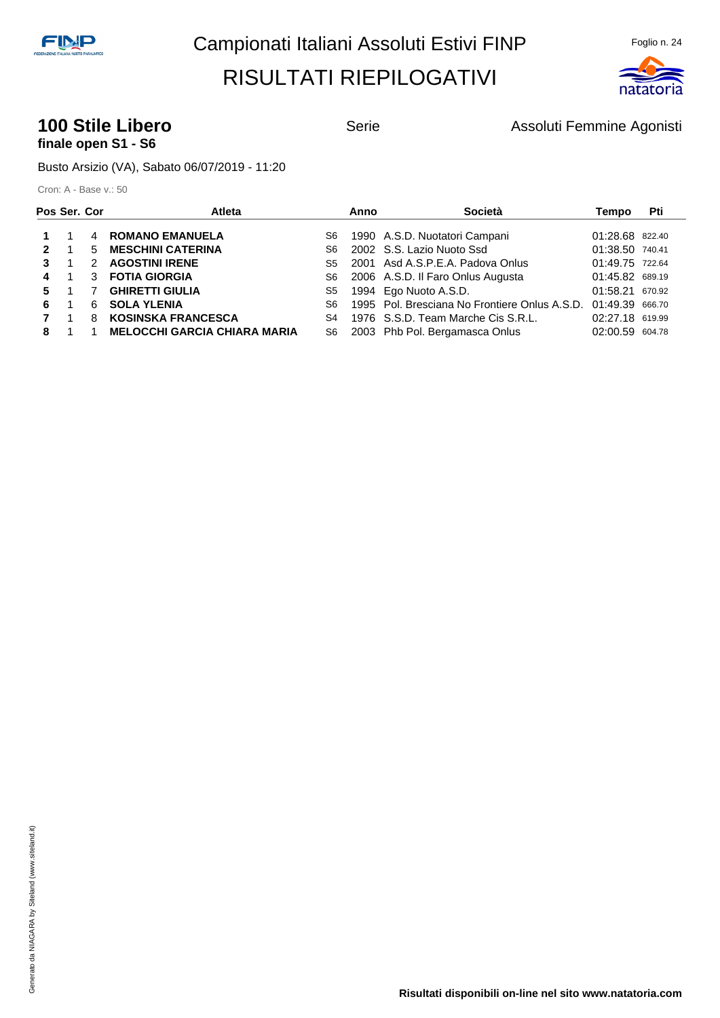

#### **100 Stile Libero 100 Stile Libero** Serie Assoluti Femmine Agonisti **finale open S1 - S6**

Busto Arsizio (VA), Sabato 06/07/2019 - 11:20

| Pos Ser. Cor |    |    | Atleta                              |     | Anno | Società                                       | Tempo           | Pti |
|--------------|----|----|-------------------------------------|-----|------|-----------------------------------------------|-----------------|-----|
|              |    | 4  | <b>ROMANO EMANUELA</b>              | S6  |      | 1990 A.S.D. Nuotatori Campani                 | 01:28.68 822.40 |     |
| $\mathbf{2}$ |    | 5. | <b>MESCHINI CATERINA</b>            | S6. |      | 2002 S.S. Lazio Nuoto Ssd                     | 01:38.50 740.41 |     |
|              |    |    | <b>AGOSTINI IRENE</b>               | S5  |      | 2001 Asd A.S.P.E.A. Padova Onlus              | 01:49.75 722.64 |     |
| 4            |    | 3  | <b>FOTIA GIORGIA</b>                | S6  |      | 2006 A.S.D. Il Faro Onlus Augusta             | 01:45.82 689.19 |     |
| 5.           |    |    | <b>GHIRETTI GIULIA</b>              | S5  |      | 1994 Ego Nuoto A.S.D.                         | 01:58.21 670.92 |     |
| 6.           |    | 6. | <b>SOLA YLENIA</b>                  | S6  |      | 1995 Pol. Bresciana No Frontiere Onlus A.S.D. | 01:49.39 666.70 |     |
|              | 1. |    | <b>KOSINSKA FRANCESCA</b>           | S4  |      | 1976 S.S.D. Team Marche Cis S.R.L.            | 02:27.18 619.99 |     |
| 8            |    |    | <b>MELOCCHI GARCIA CHIARA MARIA</b> | S6  |      | 2003 Phb Pol. Bergamasca Onlus                | 02:00.59 604.78 |     |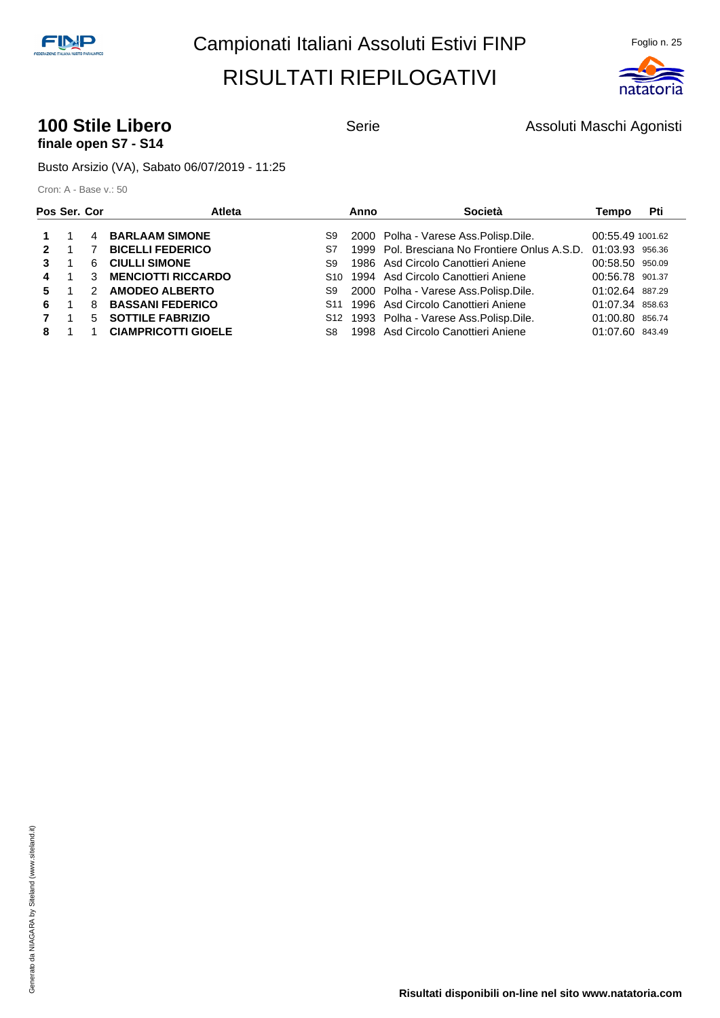

#### **100 Stile Libero 100 Stile Libero** Serie **Assoluti Maschi Agonisti finale open S7 - S14**

Busto Arsizio (VA), Sabato 06/07/2019 - 11:25

| Pos Ser. Cor |                | Atleta                     |     | Anno | Società                                            | Tempo            | Pti |
|--------------|----------------|----------------------------|-----|------|----------------------------------------------------|------------------|-----|
|              | $\overline{4}$ | <b>BARLAAM SIMONE</b>      | S9  |      | 2000 Polha - Varese Ass. Polisp. Dile.             | 00:55.49 1001.62 |     |
| $\mathbf{P}$ |                | <b>BICELLI FEDERICO</b>    | S7  |      | 1999 Pol. Bresciana No Frontiere Onlus A.S.D.      | 01:03.93 956.36  |     |
| 3            | 6              | <b>CIULLI SIMONE</b>       | S9  |      | 1986 Asd Circolo Canottieri Aniene                 | 00:58.50 950.09  |     |
| 4            |                | <b>MENCIOTTI RICCARDO</b>  |     |      | S <sub>10</sub> 1994 Asd Circolo Canottieri Aniene | 00:56.78 901.37  |     |
| 5.           | $\mathcal{P}$  | <b>AMODEO ALBERTO</b>      | S9  |      | 2000 Polha - Varese Ass. Polisp. Dile.             | 01:02.64 887.29  |     |
| 6.           | 8              | <b>BASSANI FEDERICO</b>    |     |      | S <sub>11</sub> 1996 Asd Circolo Canottieri Aniene | 01:07.34 858.63  |     |
|              |                | 5 SOTTILE FABRIZIO         |     |      | S12 1993 Polha - Varese Ass. Polisp. Dile.         | 01:00.80 856.74  |     |
| 8            |                | <b>CIAMPRICOTTI GIOELE</b> | S8. |      | 1998 Asd Circolo Canottieri Aniene                 | 01:07.60 843.49  |     |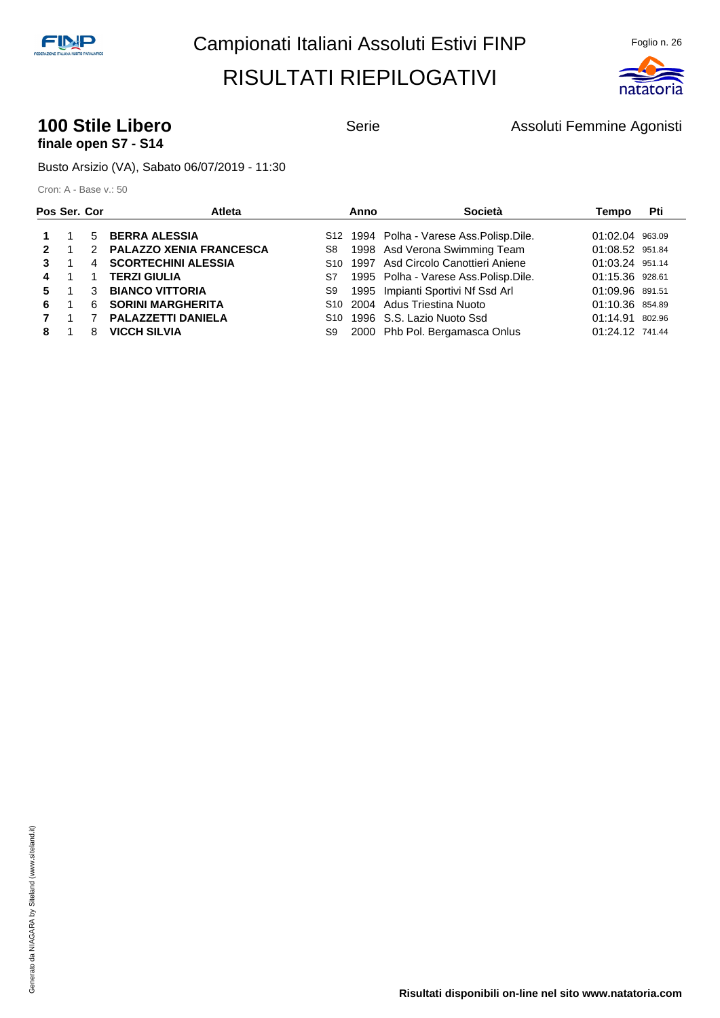

#### **100 Stile Libero 100 Stile Libero** Serie Assoluti Femmine Agonisti **finale open S7 - S14**

Busto Arsizio (VA), Sabato 06/07/2019 - 11:30

|              | Pos Ser. Cor   |   | Atleta                    |    | Anno | Società                                    | Tempo           | Pti |
|--------------|----------------|---|---------------------------|----|------|--------------------------------------------|-----------------|-----|
|              |                |   | 5 BERRA ALESSIA           |    |      | S12 1994 Polha - Varese Ass. Polisp. Dile. | 01:02.04 963.09 |     |
| $\mathbf{2}$ | $\overline{1}$ |   | 2 PALAZZO XENIA FRANCESCA | S8 |      | 1998 Asd Verona Swimming Team              | 01:08.52 951.84 |     |
| 3            |                |   | 4 SCORTECHINI ALESSIA     |    |      | S10 1997 Asd Circolo Canottieri Aniene     | 01:03.24 951.14 |     |
| 4            | $\overline{1}$ |   | <b>TERZI GIULIA</b>       | S7 |      | 1995 Polha - Varese Ass.Polisp.Dile.       | 01:15.36 928.61 |     |
| 5.           | $\overline{1}$ |   | 3 BIANCO VITTORIA         | S9 |      | 1995 Impianti Sportivi Nf Ssd Arl          | 01:09.96 891.51 |     |
| 6            | - 1            | 6 | <b>SORINI MARGHERITA</b>  |    |      | S10 2004 Adus Triestina Nuoto              | 01:10.36 854.89 |     |
|              |                |   | 7 PALAZZETTI DANIELA      |    |      | S <sub>10</sub> 1996 S.S. Lazio Nuoto Ssd  | 01:14.91 802.96 |     |
| 8            |                | 8 | <b>VICCH SILVIA</b>       | S9 |      | 2000 Phb Pol. Bergamasca Onlus             | 01:24.12 741.44 |     |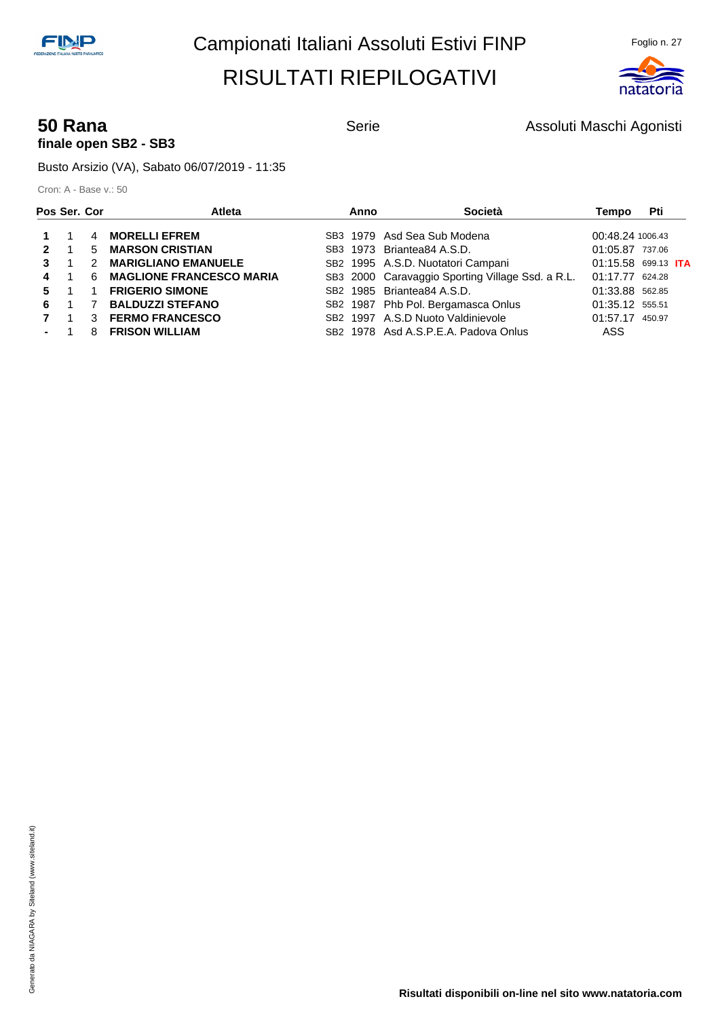

#### **50 Rana Serie** Serie **Assoluti Maschi Agonisti** Serie Assoluti Maschi Agonisti **finale open SB2 - SB3**

Busto Arsizio (VA), Sabato 06/07/2019 - 11:35

| Pos Ser. Cor |   | Atleta                          | Anno | Società                                          | Tempo            | Pti                        |
|--------------|---|---------------------------------|------|--------------------------------------------------|------------------|----------------------------|
|              | 4 | <b>MORELLI EFREM</b>            |      | SB3 1979 Asd Sea Sub Modena                      | 00:48.24 1006.43 |                            |
| $\mathbf{2}$ | 5 | <b>MARSON CRISTIAN</b>          |      | SB3 1973 Briantea84 A.S.D.                       | 01:05.87 737.06  |                            |
|              |   | <b>MARIGLIANO EMANUELE</b>      |      | SB2 1995 A.S.D. Nuotatori Campani                |                  | 01:15.58 699.13 <b>ITA</b> |
| 4            | 6 | <b>MAGLIONE FRANCESCO MARIA</b> |      | SB3 2000 Caravaggio Sporting Village Ssd. a R.L. | 01:17.77 624.28  |                            |
| 5.           |   | <b>FRIGERIO SIMONE</b>          |      | SB <sub>2</sub> 1985 Briantea84 A.S.D.           | 01:33.88 562.85  |                            |
| 6.           |   | <b>BALDUZZI STEFANO</b>         |      | SB2 1987 Phb Pol. Bergamasca Onlus               | 01:35.12 555.51  |                            |
|              | 3 | <b>FERMO FRANCESCO</b>          |      | SB2 1997 A.S.D Nuoto Valdinievole                | 01:57.17 450.97  |                            |
|              | 8 | <b>FRISON WILLIAM</b>           |      | SB <sub>2</sub> 1978 Asd A.S.P.E.A. Padova Onlus | ASS              |                            |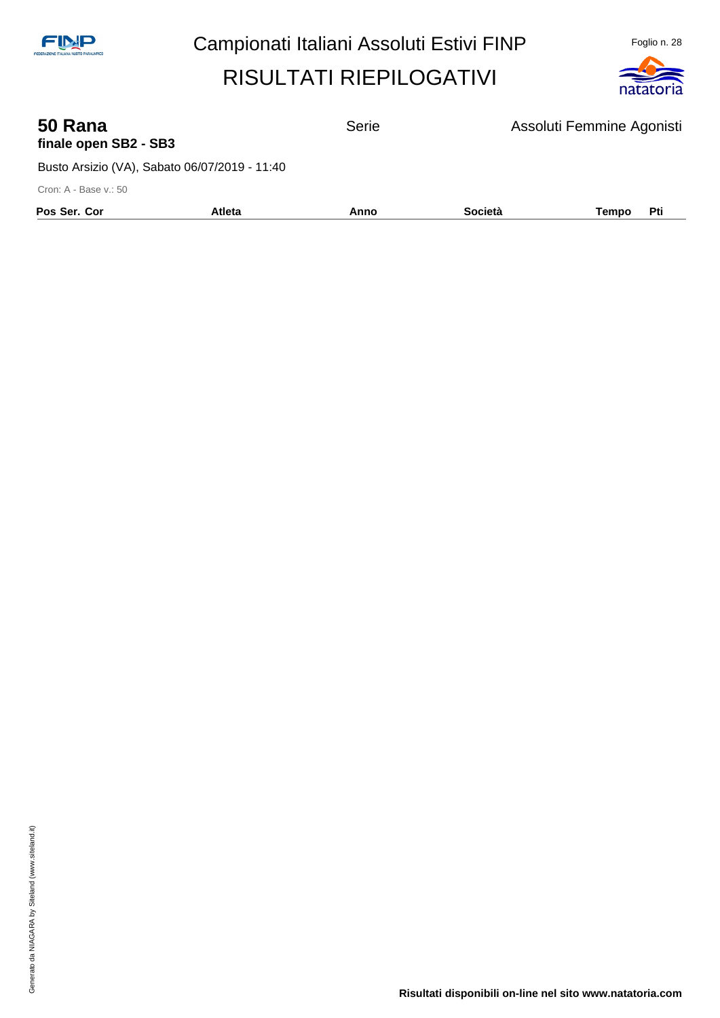

| 50 Rana<br>finale open SB2 - SB3 |                                               | <b>Serie</b> |         | Assoluti Femmine Agonisti |
|----------------------------------|-----------------------------------------------|--------------|---------|---------------------------|
|                                  | Busto Arsizio (VA), Sabato 06/07/2019 - 11:40 |              |         |                           |
| Cron: A - Base v.: 50            |                                               |              |         |                           |
| Pos Ser. Cor                     | <b>Atleta</b>                                 | Anno         | Società | Pti<br>Tempo              |
|                                  |                                               |              |         |                           |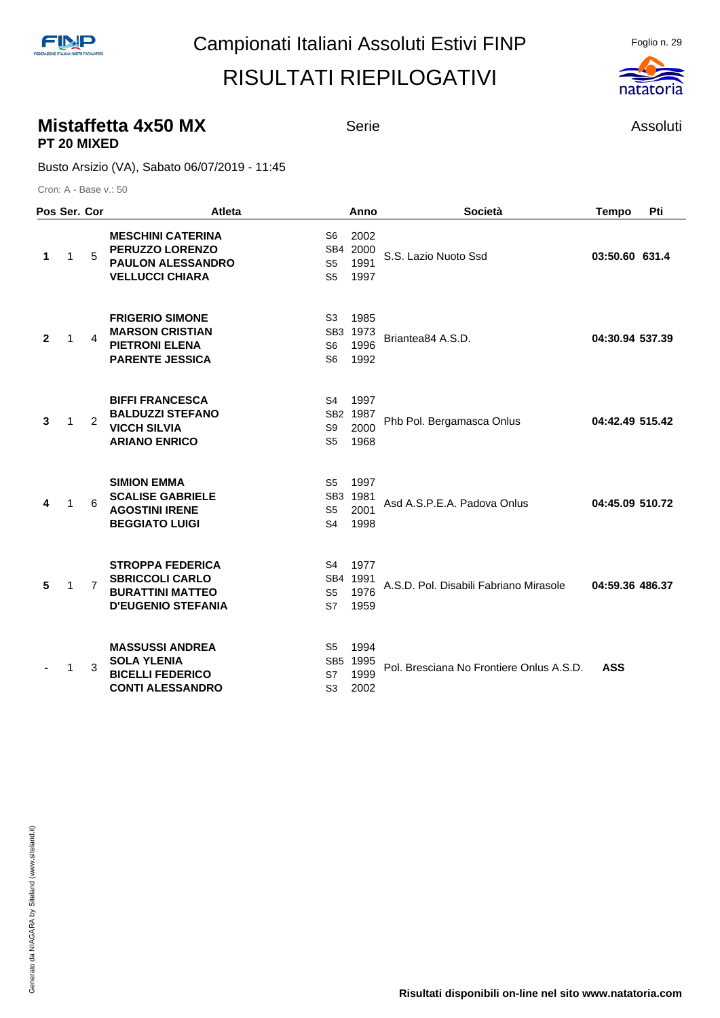#### **Mistaffetta 4x50 MX** Serie **Assoluti** Serie Assoluti **PT 20 MIXED**

Busto Arsizio (VA), Sabato 06/07/2019 - 11:45

|                | Pos Ser. Cor |                | <b>Atleta</b>                                                                                             |                                                                       | Anno                             | <b>Società</b>                           | <b>Tempo</b>    | Pti |
|----------------|--------------|----------------|-----------------------------------------------------------------------------------------------------------|-----------------------------------------------------------------------|----------------------------------|------------------------------------------|-----------------|-----|
| 1              | $\mathbf{1}$ | 5              | <b>MESCHINI CATERINA</b><br><b>PERUZZO LORENZO</b><br><b>PAULON ALESSANDRO</b><br><b>VELLUCCI CHIARA</b>  | S <sub>6</sub><br>S <sub>5</sub><br>S <sub>5</sub>                    | 2002<br>SB4 2000<br>1991<br>1997 | S.S. Lazio Nuoto Ssd                     | 03:50.60 631.4  |     |
| $\overline{2}$ | 1            | 4              | <b>FRIGERIO SIMONE</b><br><b>MARSON CRISTIAN</b><br><b>PIETRONI ELENA</b><br><b>PARENTE JESSICA</b>       | S <sub>3</sub><br>SB <sub>3</sub><br>S <sub>6</sub><br>S <sub>6</sub> | 1985<br>1973<br>1996<br>1992     | Briantea84 A.S.D.                        | 04:30.94 537.39 |     |
| 3              | $\mathbf 1$  | 2              | <b>BIFFI FRANCESCA</b><br><b>BALDUZZI STEFANO</b><br><b>VICCH SILVIA</b><br><b>ARIANO ENRICO</b>          | S4<br>SB <sub>2</sub><br>S <sub>9</sub><br>S <sub>5</sub>             | 1997<br>1987<br>2000<br>1968     | Phb Pol. Bergamasca Onlus                | 04:42.49 515.42 |     |
| 4              | $\mathbf 1$  | 6              | <b>SIMION EMMA</b><br><b>SCALISE GABRIELE</b><br><b>AGOSTINI IRENE</b><br><b>BEGGIATO LUIGI</b>           | S5<br>SB <sub>3</sub><br>S <sub>5</sub><br>S <sub>4</sub>             | 1997<br>1981<br>2001<br>1998     | Asd A.S.P.E.A. Padova Onlus              | 04:45.09 510.72 |     |
| 5              | $\mathbf 1$  | $\overline{7}$ | <b>STROPPA FEDERICA</b><br><b>SBRICCOLI CARLO</b><br><b>BURATTINI MATTEO</b><br><b>D'EUGENIO STEFANIA</b> | S4<br>SB <sub>4</sub><br>S <sub>5</sub><br>S7                         | 1977<br>1991<br>1976<br>1959     | A.S.D. Pol. Disabili Fabriano Mirasole   | 04:59.36 486.37 |     |
|                | 1            | 3              | <b>MASSUSSI ANDREA</b><br><b>SOLA YLENIA</b><br><b>BICELLI FEDERICO</b><br><b>CONTI ALESSANDRO</b>        | S <sub>5</sub><br>S7<br>S <sub>3</sub>                                | 1994<br>SB5 1995<br>1999<br>2002 | Pol. Bresciana No Frontiere Onlus A.S.D. | <b>ASS</b>      |     |

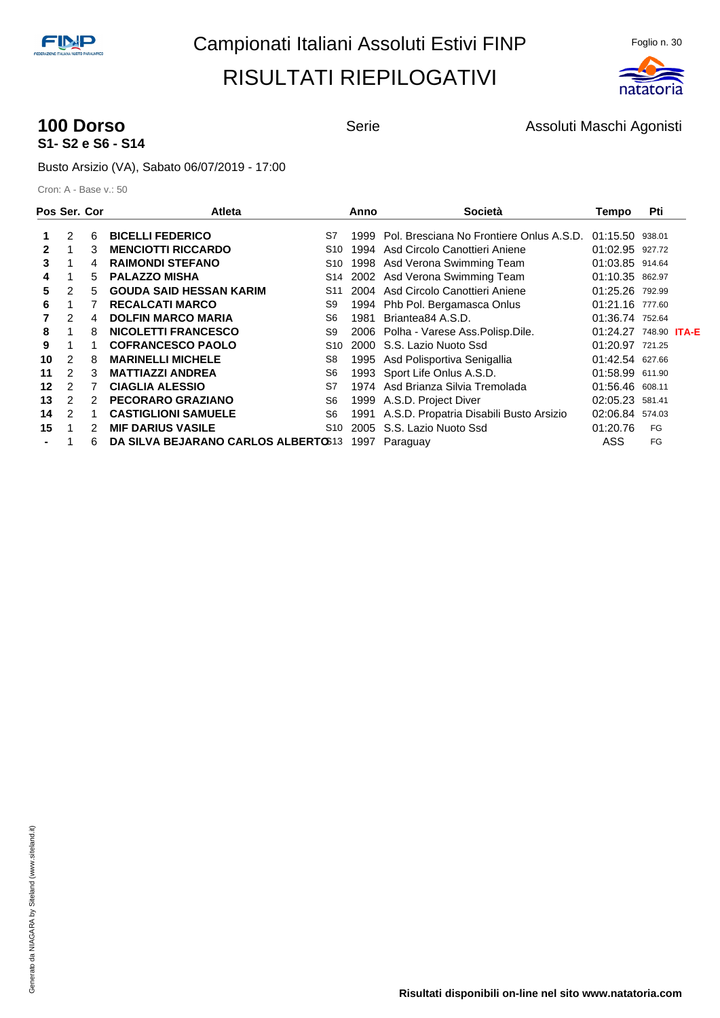

## **S1- S2 e S6 - S14**

**100 Dorso 100 Dorso** Serie Assoluti Maschi Agonisti

Busto Arsizio (VA), Sabato 06/07/2019 - 17:00

| Pos Ser. Cor |                |               | <b>Atleta</b>                         | Anno | <b>Società</b>                               | Tempo                        | Pti    |  |
|--------------|----------------|---------------|---------------------------------------|------|----------------------------------------------|------------------------------|--------|--|
|              | 2              | 6             | <b>BICELLI FEDERICO</b><br>S7         | 1999 | Pol. Bresciana No Frontiere Onlus A.S.D.     | 01:15.50 938.01              |        |  |
| 2            |                | 3             | <b>MENCIOTTI RICCARDO</b><br>S10      | 1994 | Asd Circolo Canottieri Aniene                | 01:02.95 927.72              |        |  |
| 3            |                | 4             | <b>RAIMONDI STEFANO</b><br>S10        |      | 1998 Asd Verona Swimming Team                | 01:03.85 914.64              |        |  |
| 4            |                | 5             | <b>PALAZZO MISHA</b><br>S14           |      | 2002 Asd Verona Swimming Team                | 01:10.35 862.97              |        |  |
| 5            | $\overline{2}$ | 5             | <b>GOUDA SAID HESSAN KARIM</b><br>S11 |      | 2004 Asd Circolo Canottieri Aniene           | 01:25.26                     | 792.99 |  |
| 6            |                |               | <b>RECALCATI MARCO</b><br>S9          |      | 1994 Phb Pol. Bergamasca Onlus               | 01:21.16 777.60              |        |  |
|              | 2              | 4             | <b>DOLFIN MARCO MARIA</b><br>S6       | 1981 | Briantea84 A.S.D.                            | 01:36.74 752.64              |        |  |
| 8            |                | 8             | <b>NICOLETTI FRANCESCO</b><br>S9      |      | 2006 Polha - Varese Ass. Polisp. Dile.       | 01:24.27 748.90 <b>ITA-E</b> |        |  |
| 9            |                |               | <b>COFRANCESCO PAOLO</b><br>S10       |      | 2000 S.S. Lazio Nuoto Ssd                    | 01:20.97 721.25              |        |  |
| 10           | 2              | 8             | <b>MARINELLI MICHELE</b><br>S8        | 1995 | Asd Polisportiva Senigallia                  | 01:42.54 627.66              |        |  |
| 11           | $\overline{2}$ | 3             | <b>MATTIAZZI ANDREA</b><br>S6         |      | 1993 Sport Life Onlus A.S.D.                 | 01:58.99 611.90              |        |  |
| 12           | $\overline{2}$ |               | <b>CIAGLIA ALESSIO</b><br>S7          |      | 1974 Asd Brianza Silvia Tremolada            | 01:56.46 608.11              |        |  |
| 13           | $\mathcal{P}$  | $\mathcal{P}$ | PECORARO GRAZIANO<br>S <sub>6</sub>   |      | 1999 A.S.D. Project Diver                    | 02:05.23                     | 581.41 |  |
| 14           | $\mathcal{P}$  |               | <b>CASTIGLIONI SAMUELE</b><br>S6      |      | 1991 A.S.D. Propatria Disabili Busto Arsizio | 02:06.84                     | 574.03 |  |
| 15           |                | 2             | <b>MIF DARIUS VASILE</b><br>S10       | 2005 | S.S. Lazio Nuoto Ssd                         | 01:20.76                     | FG     |  |
|              |                | 6             | DA SILVA BEJARANO CARLOS ALBERTO 313  | 1997 | Paraguay                                     | ASS                          | FG     |  |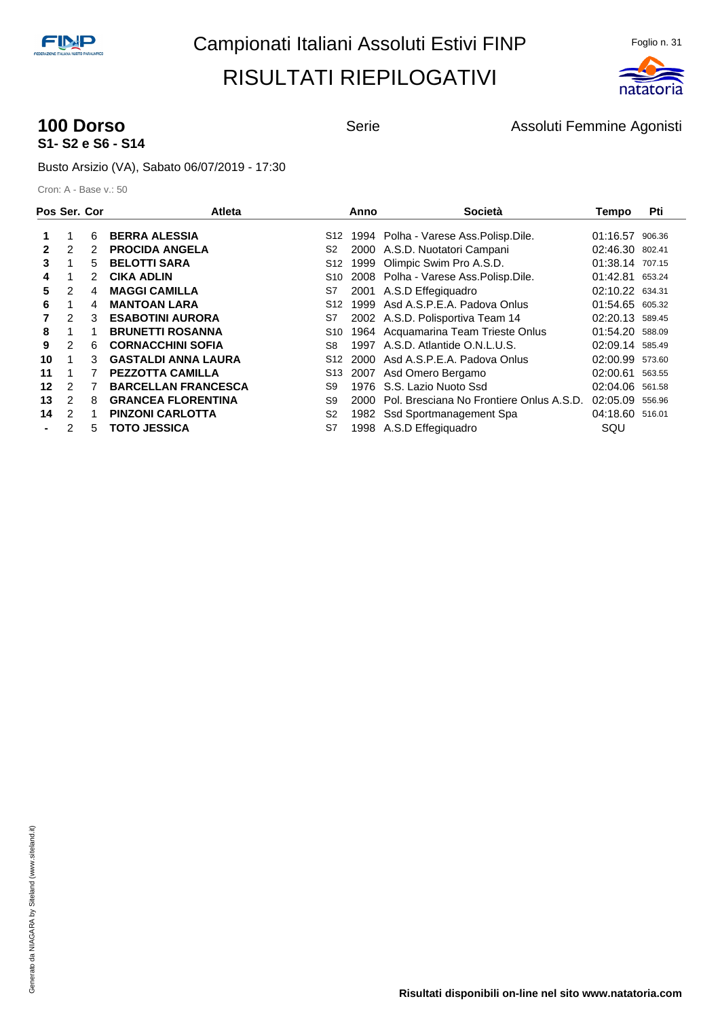

## **S1- S2 e S6 - S14**

**100 Dorso** Serie **Assoluti Femmine Agonisti** Serie Assoluti Femmine Agonisti

Busto Arsizio (VA), Sabato 06/07/2019 - 17:30

| Pos Ser. Cor |                |   | <b>Atleta</b>              |                | Anno | Società                                  | Tempo           | Pti    |
|--------------|----------------|---|----------------------------|----------------|------|------------------------------------------|-----------------|--------|
|              |                | 6 | <b>BERRA ALESSIA</b>       | S12            |      | 1994 Polha - Varese Ass. Polisp. Dile.   | 01:16.57        | 906.36 |
| 2            | 2              | 2 | <b>PROCIDA ANGELA</b>      | S2             |      | 2000 A.S.D. Nuotatori Campani            | 02:46.30 802.41 |        |
| 3            |                | 5 | <b>BELOTTI SARA</b>        | S12            | 1999 | Olimpic Swim Pro A.S.D.                  | 01:38.14 707.15 |        |
| 4            |                | 2 | <b>CIKA ADLIN</b>          | S10            |      | 2008 Polha - Varese Ass. Polisp. Dile.   | 01:42.81 653.24 |        |
| 5            | $\overline{2}$ | 4 | <b>MAGGI CAMILLA</b>       | S7             |      | 2001 A.S.D Effegiquadro                  | 02:10.22 634.31 |        |
| 6            |                | 4 | <b>MANTOAN LARA</b>        | S12            |      | 1999 Asd A.S.P.E.A. Padova Onlus         | 01:54.65 605.32 |        |
|              | $\mathcal{P}$  | 3 | <b>ESABOTINI AURORA</b>    | S7             |      | 2002 A.S.D. Polisportiva Team 14         | 02:20.13 589.45 |        |
| 8            |                |   | <b>BRUNETTI ROSANNA</b>    | S10            |      | 1964 Acquamarina Team Trieste Onlus      | 01:54.20 588.09 |        |
| 9            | 2              | 6 | <b>CORNACCHINI SOFIA</b>   | S8             |      | 1997 A.S.D. Atlantide O.N.L.U.S.         | 02:09.14 585.49 |        |
| 10           |                | 3 | <b>GASTALDI ANNA LAURA</b> | S12            |      | 2000 Asd A.S.P.E.A. Padova Onlus         | 02:00.99        | 573.60 |
| 11           |                |   | <b>PEZZOTTA CAMILLA</b>    | S13            |      | 2007 Asd Omero Bergamo                   | 02:00.61        | 563.55 |
| 12           | 2              |   | <b>BARCELLAN FRANCESCA</b> | S9             |      | 1976 S.S. Lazio Nuoto Ssd                | 02:04.06 561.58 |        |
| 13           | 2              | 8 | <b>GRANCEA FLORENTINA</b>  | S9             | 2000 | Pol. Bresciana No Frontiere Onlus A.S.D. | 02:05.09        | 556.96 |
| 14           | $\mathcal{P}$  |   | <b>PINZONI CARLOTTA</b>    | S <sub>2</sub> | 1982 | Ssd Sportmanagement Spa                  | 04:18.60        | 516.01 |
|              | 2              | 5 | <b>TOTO JESSICA</b>        | S7             |      | 1998 A.S.D Effegiguadro                  | SQU             |        |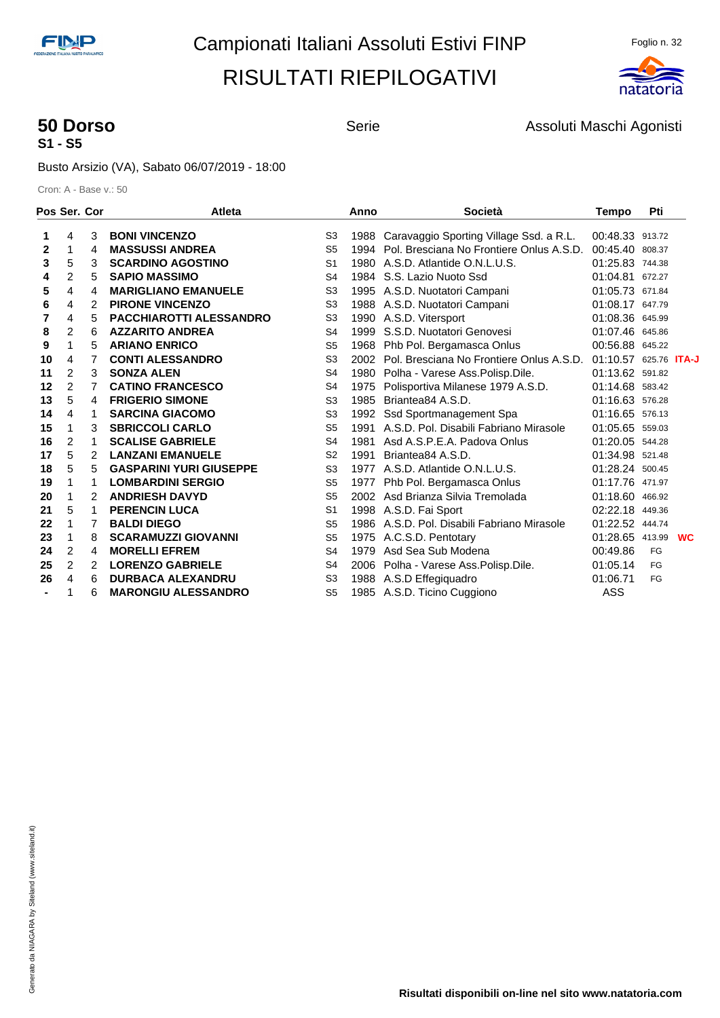

## **S1 - S5**

**50 Dorso Serie** Serie **Assoluti Maschi Agonisti** Agonisti

Busto Arsizio (VA), Sabato 06/07/2019 - 18:00

|                | Pos Ser. Cor   |   | <b>Atleta</b>                  |                | Anno | <b>Società</b>                                | <b>Tempo</b>          | Pti    |           |
|----------------|----------------|---|--------------------------------|----------------|------|-----------------------------------------------|-----------------------|--------|-----------|
| 1              | 4              | 3 | <b>BONI VINCENZO</b>           | S <sub>3</sub> |      | 1988 Caravaggio Sporting Village Ssd. a R.L.  | 00:48.33 913.72       |        |           |
| 2              | 1              | 4 | <b>MASSUSSI ANDREA</b>         | S <sub>5</sub> |      | 1994 Pol. Bresciana No Frontiere Onlus A.S.D. | 00:45.40              | 808.37 |           |
| 3              | 5              | 3 | <b>SCARDINO AGOSTINO</b>       | S <sub>1</sub> |      | 1980 A.S.D. Atlantide O.N.L.U.S.              | 01:25.83 744.38       |        |           |
| 4              | 2              | 5 | <b>SAPIO MASSIMO</b>           | S <sub>4</sub> |      | 1984 S.S. Lazio Nuoto Ssd                     | 01:04.81 672.27       |        |           |
| 5              | 4              | 4 | <b>MARIGLIANO EMANUELE</b>     | S <sub>3</sub> |      | 1995 A.S.D. Nuotatori Campani                 | 01:05.73 671.84       |        |           |
| 6              | 4              | 2 | <b>PIRONE VINCENZO</b>         | S <sub>3</sub> |      | 1988 A.S.D. Nuotatori Campani                 | 01:08.17 647.79       |        |           |
| 7              | 4              | 5 | <b>PACCHIAROTTI ALESSANDRO</b> | S <sub>3</sub> |      | 1990 A.S.D. Vitersport                        | 01:08.36 645.99       |        |           |
| 8              | 2              | 6 | <b>AZZARITO ANDREA</b>         | S <sub>4</sub> | 1999 | S.S.D. Nuotatori Genovesi                     | 01:07.46 645.86       |        |           |
| 9              | 1              | 5 | <b>ARIANO ENRICO</b>           | S <sub>5</sub> |      | 1968 Phb Pol. Bergamasca Onlus                | 00:56.88 645.22       |        |           |
| 10             | 4              | 7 | <b>CONTI ALESSANDRO</b>        | S <sub>3</sub> |      | 2002 Pol. Bresciana No Frontiere Onlus A.S.D. | 01:10.57 625.76 ITA-J |        |           |
| 11             | 2              | 3 | <b>SONZA ALEN</b>              | S <sub>4</sub> |      | 1980 Polha - Varese Ass. Polisp. Dile.        | 01:13.62 591.82       |        |           |
| 12             | $\overline{c}$ | 7 | <b>CATINO FRANCESCO</b>        | S <sub>4</sub> |      | 1975 Polisportiva Milanese 1979 A.S.D.        | 01:14.68 583.42       |        |           |
| 13             | 5              | 4 | <b>FRIGERIO SIMONE</b>         | S <sub>3</sub> | 1985 | Briantea84 A.S.D.                             | 01:16.63 576.28       |        |           |
| 14             | 4              | 1 | <b>SARCINA GIACOMO</b>         | S <sub>3</sub> | 1992 | Ssd Sportmanagement Spa                       | 01:16.65 576.13       |        |           |
| 15             | 1              | 3 | <b>SBRICCOLI CARLO</b>         | S <sub>5</sub> | 1991 | A.S.D. Pol. Disabili Fabriano Mirasole        | 01:05.65 559.03       |        |           |
| 16             | 2              | 1 | <b>SCALISE GABRIELE</b>        | S <sub>4</sub> | 1981 | Asd A.S.P.E.A. Padova Onlus                   | 01:20.05 544.28       |        |           |
| 17             | 5              | 2 | <b>LANZANI EMANUELE</b>        | S <sub>2</sub> | 1991 | Briantea84 A.S.D.                             | 01:34.98 521.48       |        |           |
| 18             | 5              | 5 | <b>GASPARINI YURI GIUSEPPE</b> | S <sub>3</sub> | 1977 | A.S.D. Atlantide O.N.L.U.S.                   | 01:28.24 500.45       |        |           |
| 19             | 1              | 1 | <b>LOMBARDINI SERGIO</b>       | S <sub>5</sub> |      | 1977 Phb Pol. Bergamasca Onlus                | 01:17.76 471.97       |        |           |
| 20             | 1              | 2 | <b>ANDRIESH DAVYD</b>          | S <sub>5</sub> |      | 2002 Asd Brianza Silvia Tremolada             | 01:18.60 466.92       |        |           |
| 21             | 5              | 1 | <b>PERENCIN LUCA</b>           | S <sub>1</sub> |      | 1998 A.S.D. Fai Sport                         | 02:22.18              | 449.36 |           |
| 22             | 1              | 7 | <b>BALDI DIEGO</b>             | S <sub>5</sub> |      | 1986 A.S.D. Pol. Disabili Fabriano Mirasole   | 01:22.52 444.74       |        |           |
| 23             | 1              | 8 | <b>SCARAMUZZI GIOVANNI</b>     | S <sub>5</sub> |      | 1975 A.C.S.D. Pentotary                       | 01:28.65 413.99       |        | <b>WC</b> |
| 24             | 2              | 4 | <b>MORELLI EFREM</b>           | S4             | 1979 | Asd Sea Sub Modena                            | 00:49.86              | FG     |           |
| 25             | 2              | 2 | <b>LORENZO GABRIELE</b>        | S <sub>4</sub> |      | 2006 Polha - Varese Ass. Polisp. Dile.        | 01:05.14              | FG     |           |
| 26             | 4              | 6 | <b>DURBACA ALEXANDRU</b>       | S <sub>3</sub> |      | 1988 A.S.D Effegiquadro                       | 01:06.71              | FG     |           |
| $\blacksquare$ | 1              | 6 | <b>MARONGIU ALESSANDRO</b>     | S <sub>5</sub> |      | 1985 A.S.D. Ticino Cuggiono                   | ASS                   |        |           |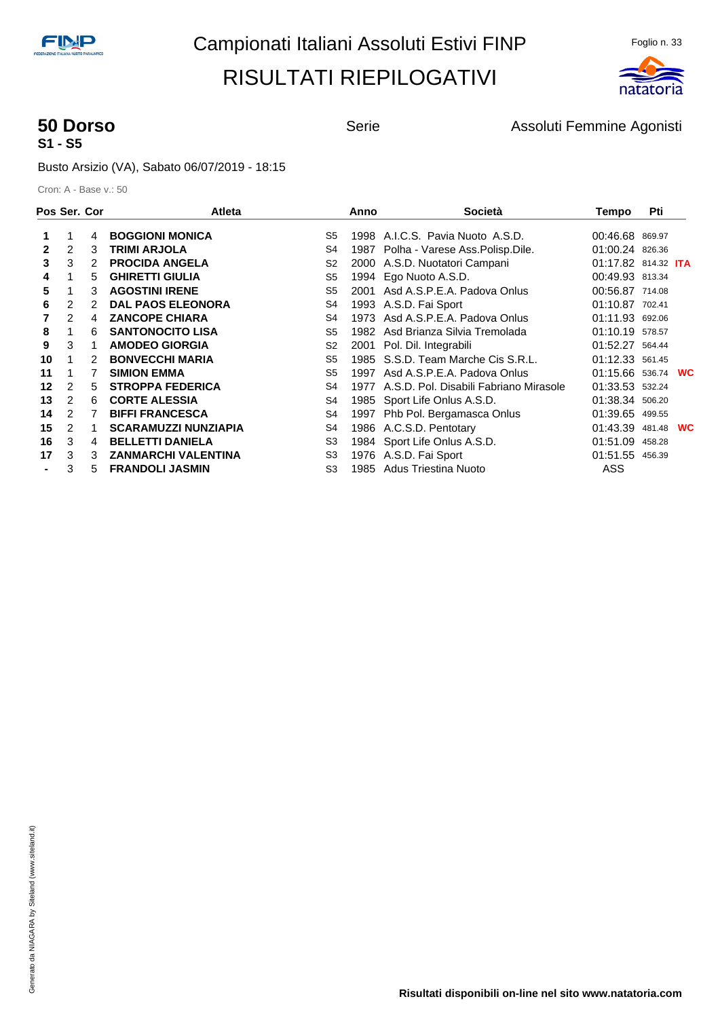

# **S1 - S5**

**50 Dorso** Serie **Assoluti Femmine Agonisti** Serie Assoluti Femmine Agonisti

Busto Arsizio (VA), Sabato 06/07/2019 - 18:15

| Pos Ser. Cor |                |   | <b>Atleta</b>               |                | Anno | Società                                     | Tempo                      | Pti    |           |
|--------------|----------------|---|-----------------------------|----------------|------|---------------------------------------------|----------------------------|--------|-----------|
|              |                | 4 | <b>BOGGIONI MONICA</b>      | S5             |      | 1998 A.I.C.S. Pavia Nuoto A.S.D.            | 00:46.68 869.97            |        |           |
| $\mathbf{2}$ | 2              | 3 | <b>TRIMI ARJOLA</b>         | S4             |      | 1987 Polha - Varese Ass. Polisp. Dile.      | 01:00.24 826.36            |        |           |
| 3            | 3              | 2 | <b>PROCIDA ANGELA</b>       | S <sub>2</sub> |      | 2000 A.S.D. Nuotatori Campani               | 01:17.82 814.32 <b>ITA</b> |        |           |
| 4            |                | 5 | <b>GHIRETTI GIULIA</b>      | S <sub>5</sub> | 1994 | Ego Nuoto A.S.D.                            | 00:49.93 813.34            |        |           |
| 5            |                | 3 | <b>AGOSTINI IRENE</b>       | S <sub>5</sub> | 2001 | Asd A.S.P.E.A. Padova Onlus                 | 00:56.87 714.08            |        |           |
| 6            | 2              | 2 | <b>DAL PAOS ELEONORA</b>    | S4             |      | 1993 A.S.D. Fai Sport                       | 01:10.87 702.41            |        |           |
|              | $\overline{2}$ | 4 | <b>ZANCOPE CHIARA</b>       | S4             |      | 1973 Asd A.S.P.E.A. Padova Onlus            | 01:11.93 692.06            |        |           |
| 8            |                | 6 | <b>SANTONOCITO LISA</b>     | S5             |      | 1982 Asd Brianza Silvia Tremolada           | 01:10.19 578.57            |        |           |
| 9            | 3              |   | <b>AMODEO GIORGIA</b>       | S <sub>2</sub> |      | 2001 Pol. Dil. Integrabili                  | 01:52.27 564.44            |        |           |
| 10           |                | 2 | <b>BONVECCHI MARIA</b>      | S5             |      | 1985 S.S.D. Team Marche Cis S.R.L.          | 01:12.33 561.45            |        |           |
| 11           |                |   | <b>SIMION EMMA</b>          | S5             | 1997 | Asd A.S.P.E.A. Padova Onlus                 | 01:15.66 536.74 WC         |        |           |
| 12           | 2              | 5 | <b>STROPPA FEDERICA</b>     | S4             |      | 1977 A.S.D. Pol. Disabili Fabriano Mirasole | 01:33.53 532.24            |        |           |
| 13           | 2              | 6 | <b>CORTE ALESSIA</b>        | S4             |      | 1985 Sport Life Onlus A.S.D.                | 01:38.34 506.20            |        |           |
| 14           | 2              |   | <b>BIFFI FRANCESCA</b>      | S4             | 1997 | Phb Pol. Bergamasca Onlus                   | 01:39.65                   | 499.55 |           |
| 15           | 2              |   | <b>SCARAMUZZI NUNZIAPIA</b> | S4             |      | 1986 A.C.S.D. Pentotary                     | 01:43.39                   | 481.48 | <b>WC</b> |
| 16           | 3              | 4 | <b>BELLETTI DANIELA</b>     | S <sub>3</sub> |      | 1984 Sport Life Onlus A.S.D.                | 01:51.09                   | 458.28 |           |
| 17           | 3              | 3 | <b>ZANMARCHI VALENTINA</b>  | S <sub>3</sub> |      | 1976 A.S.D. Fai Sport                       | 01:51.55 456.39            |        |           |
|              | 3              | 5 | <b>FRANDOLI JASMIN</b>      | S3             |      | 1985 Adus Triestina Nuoto                   | ASS                        |        |           |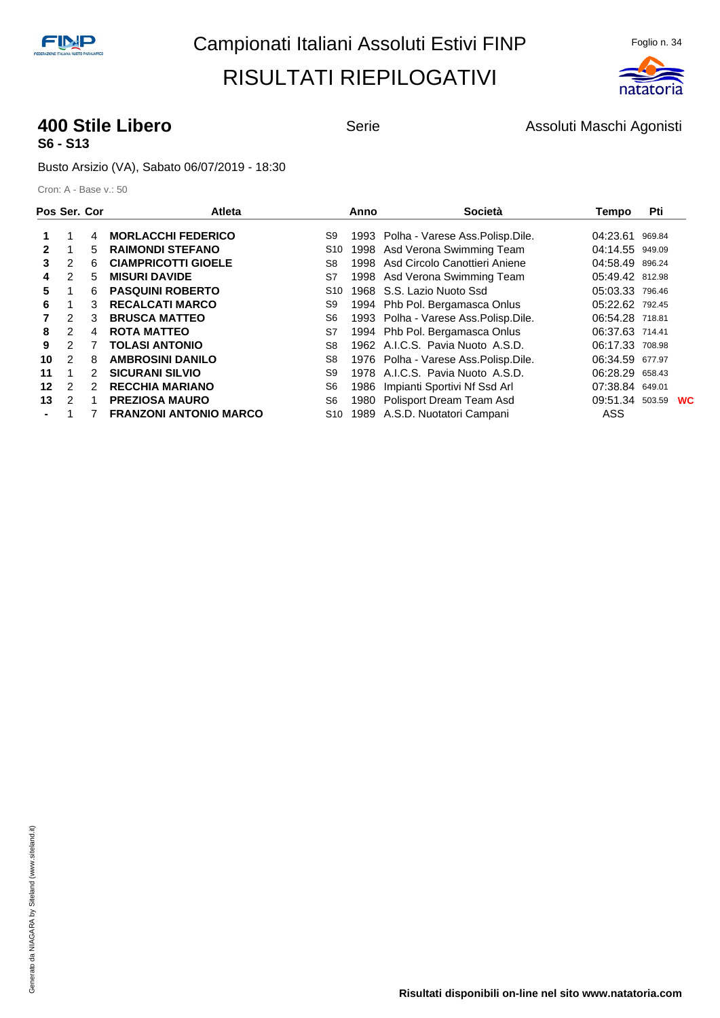

#### **400 Stile Libero Serie** Serie **Assoluti Maschi Agonisti** Agonisti **S6 - S13**

Busto Arsizio (VA), Sabato 06/07/2019 - 18:30

| Pos Ser. Cor |                |               | <b>Atleta</b>                 |                 | Anno | <b>Società</b>                         | Tempo           | Pti    |           |
|--------------|----------------|---------------|-------------------------------|-----------------|------|----------------------------------------|-----------------|--------|-----------|
|              |                | 4             | <b>MORLACCHI FEDERICO</b>     | S9              |      | 1993 Polha - Varese Ass. Polisp. Dile. | 04:23.61        | 969.84 |           |
| $\mathbf{2}$ |                | 5             | <b>RAIMONDI STEFANO</b>       | S <sub>10</sub> |      | 1998 Asd Verona Swimming Team          | 04:14.55 949.09 |        |           |
| 3            | $\overline{2}$ | 6             | <b>CIAMPRICOTTI GIOELE</b>    | S8              | 1998 | Asd Circolo Canottieri Aniene          | 04:58.49 896.24 |        |           |
| 4            | 2              | 5             | <b>MISURI DAVIDE</b>          | S7              |      | 1998 Asd Verona Swimming Team          | 05:49.42 812.98 |        |           |
| 5            |                | 6             | <b>PASQUINI ROBERTO</b>       | S <sub>10</sub> |      | 1968 S.S. Lazio Nuoto Ssd              | 05:03.33 796.46 |        |           |
| 6            |                | 3             | <b>RECALCATI MARCO</b>        | S9              |      | 1994 Phb Pol. Bergamasca Onlus         | 05:22.62 792.45 |        |           |
|              | 2              | 3             | <b>BRUSCA MATTEO</b>          | S6              |      | 1993 Polha - Varese Ass. Polisp. Dile. | 06:54.28 718.81 |        |           |
| 8            | $\overline{2}$ | 4             | <b>ROTA MATTEO</b>            | S7              |      | 1994 Phb Pol. Bergamasca Onlus         | 06:37.63 714.41 |        |           |
| 9            | $\mathcal{P}$  |               | <b>TOLASI ANTONIO</b>         | S8              |      | 1962 A.I.C.S. Pavia Nuoto A.S.D.       | 06:17.33 708.98 |        |           |
| 10           | 2              | 8             | <b>AMBROSINI DANILO</b>       | S8              |      | 1976 Polha - Varese Ass. Polisp. Dile. | 06:34.59        | 677.97 |           |
| 11           | 1              | 2             | <b>SICURANI SILVIO</b>        | S9              |      | 1978 A.I.C.S. Pavia Nuoto A.S.D.       | 06:28.29        | 658.43 |           |
| 12           | $\mathcal{P}$  | $\mathcal{P}$ | <b>RECCHIA MARIANO</b>        | S6              | 1986 | Impianti Sportivi Nf Ssd Arl           | 07:38.84 649.01 |        |           |
| 13           | 2              |               | <b>PREZIOSA MAURO</b>         | S <sub>6</sub>  |      | 1980 Polisport Dream Team Asd          | 09:51.34 503.59 |        | <b>WC</b> |
|              |                |               | <b>FRANZONI ANTONIO MARCO</b> | S10             |      | 1989 A.S.D. Nuotatori Campani          | ASS             |        |           |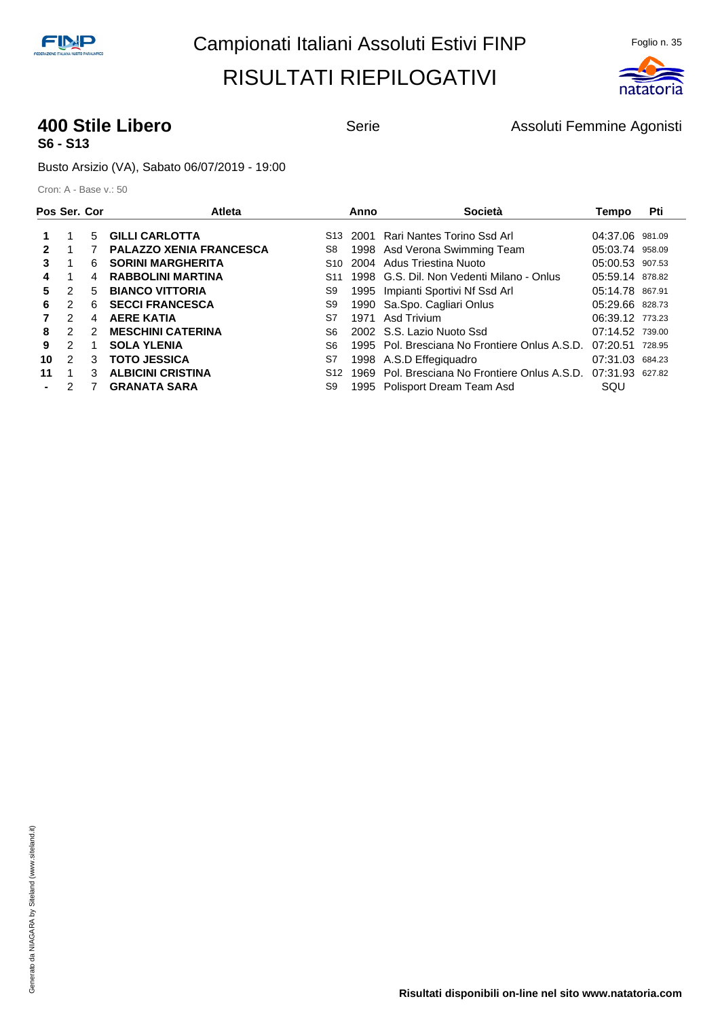

#### **400 Stile Libero Serie** Serie **Assoluti Femmine Agonisti 400 Stile Libero Serie Assoluti Femmine Agonisti S6 - S13**

Busto Arsizio (VA), Sabato 06/07/2019 - 19:00

| Pos Ser. Cor |               |               | <b>Atleta</b>                  |                 | Anno | Società                                                       | Tempo           | Pti    |
|--------------|---------------|---------------|--------------------------------|-----------------|------|---------------------------------------------------------------|-----------------|--------|
|              |               | 5.            | <b>GILLI CARLOTTA</b>          | S13             | 2001 | Rari Nantes Torino Ssd Arl                                    | 04:37.06 981.09 |        |
| 2            |               |               | <b>PALAZZO XENIA FRANCESCA</b> | S8              |      | 1998 Asd Verona Swimming Team                                 | 05:03.74 958.09 |        |
| 3            |               | 6.            | <b>SORINI MARGHERITA</b>       | S10             |      | 2004 Adus Triestina Nuoto                                     | 05:00.53 907.53 |        |
| 4            |               | 4             | <b>RABBOLINI MARTINA</b>       | S <sub>11</sub> |      | 1998 G.S. Dil. Non Vedenti Milano - Onlus                     | 05:59.14 878.82 |        |
| 5.           | $\mathcal{P}$ | 5             | <b>BIANCO VITTORIA</b>         | S9              |      | 1995 Impianti Sportivi Nf Ssd Arl                             | 05:14.78 867.91 |        |
| 6            | 2             | 6.            | <b>SECCI FRANCESCA</b>         | S9              |      | 1990 Sa.Spo. Cagliari Onlus                                   | 05:29.66 828.73 |        |
|              | $\mathcal{P}$ | 4             | <b>AERE KATIA</b>              | S7              |      | 1971 Asd Trivium                                              | 06:39.12 773.23 |        |
| 8            | $\mathcal{P}$ | $\mathcal{P}$ | <b>MESCHINI CATERINA</b>       | S6              |      | 2002 S.S. Lazio Nuoto Ssd                                     | 07:14.52 739.00 |        |
| 9            | $\mathcal{P}$ |               | <b>SOLA YLENIA</b>             | S6              |      | 1995 Pol. Bresciana No Frontiere Onlus A.S.D.                 | 07:20.51        | 728.95 |
| 10           | $\mathcal{P}$ | 3             | <b>TOTO JESSICA</b>            | S7              |      | 1998 A.S.D Effegiguadro                                       | 07:31.03 684.23 |        |
| 11           | 1             | 3             | <b>ALBICINI CRISTINA</b>       | S <sub>12</sub> |      | 1969 Pol. Bresciana No Frontiere Onlus A.S.D. 07:31.93 627.82 |                 |        |
|              | 2             |               | <b>GRANATA SARA</b>            | S9              |      | 1995 Polisport Dream Team Asd                                 | SQU             |        |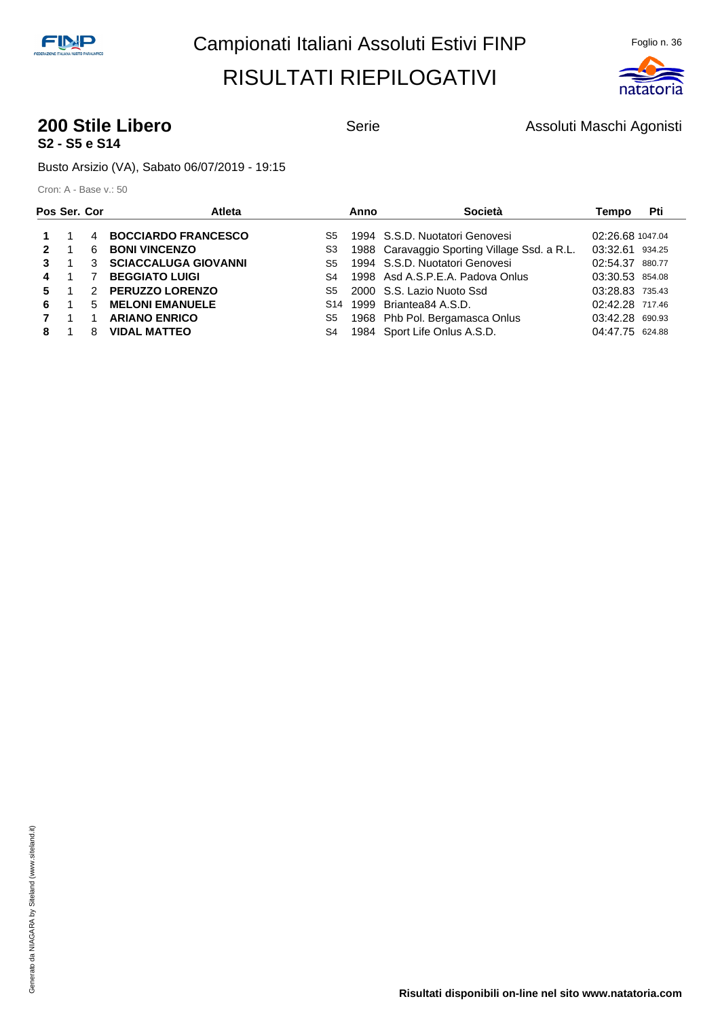

#### **200 Stile Libero Contract Serie** Serie **Assoluti Maschi Agonisti S2 - S5 e S14**

Busto Arsizio (VA), Sabato 06/07/2019 - 19:15

| Pos Ser. Cor |   | Atleta                      |                | Anno | Società                                      | Tempo            | Pti |
|--------------|---|-----------------------------|----------------|------|----------------------------------------------|------------------|-----|
|              | 4 | <b>BOCCIARDO FRANCESCO</b>  | S5             |      | 1994 S.S.D. Nuotatori Genovesi               | 02:26.68 1047.04 |     |
| 2            | 6 | <b>BONI VINCENZO</b>        | S3             |      | 1988 Caravaggio Sporting Village Ssd. a R.L. | 03:32.61 934.25  |     |
| 3            | 3 | <b>SCIACCALUGA GIOVANNI</b> | S5             |      | 1994 S.S.D. Nuotatori Genovesi               | 02:54.37 880.77  |     |
| 4            |   | <b>BEGGIATO LUIGI</b>       | S <sub>4</sub> |      | 1998 Asd A.S.P.E.A. Padova Onlus             | 03:30.53 854.08  |     |
| 5.           |   | 2 PERUZZO LORENZO           | S5             |      | 2000 S.S. Lazio Nuoto Ssd                    | 03:28.83 735.43  |     |
| 6            | 5 | <b>MELONI EMANUELE</b>      | S14            |      | 1999 Briantea84 A.S.D.                       | 02:42.28 717.46  |     |
|              |   | <b>ARIANO ENRICO</b>        | S5             |      | 1968 Phb Pol. Bergamasca Onlus               | 03:42.28 690.93  |     |
| 8            | 8 | <b>VIDAL MATTEO</b>         | S4             |      | 1984 Sport Life Onlus A.S.D.                 | 04:47.75 624.88  |     |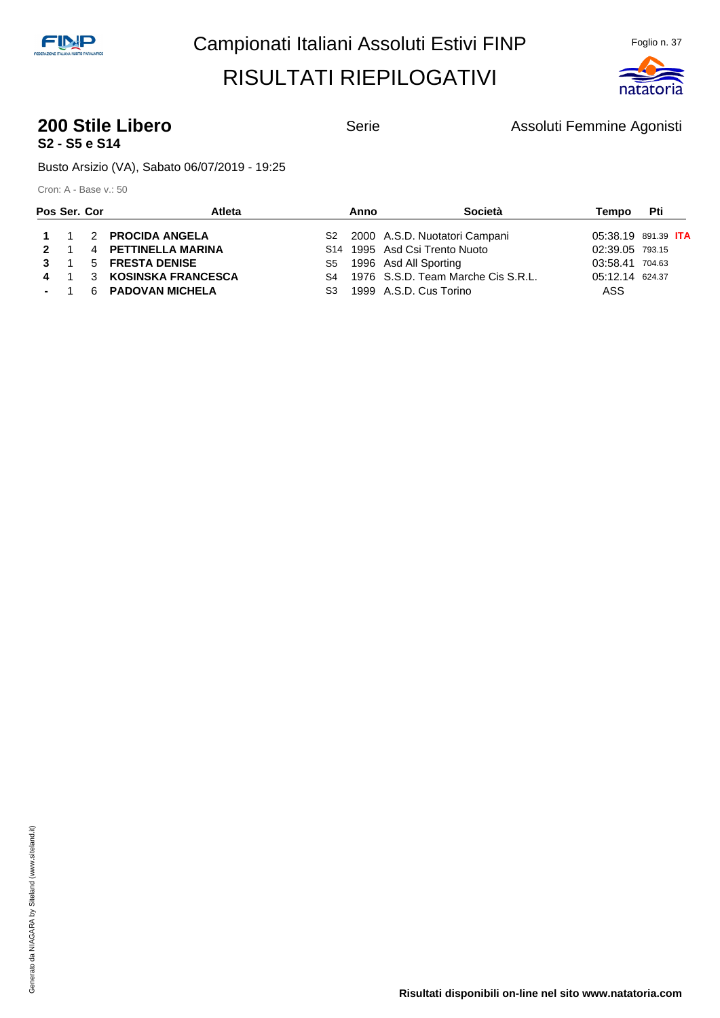

#### **200 Stile Libero Contract Serie** Serie **Assoluti Femmine Agonisti S2 - S5 e S14**

Busto Arsizio (VA), Sabato 06/07/2019 - 19:25

| Pos Ser. Cor | Atleta                   | Anno | Società                               | Tempo           | <b>Pti</b>                 |
|--------------|--------------------------|------|---------------------------------------|-----------------|----------------------------|
|              | 1 1 2 PROCIDA ANGELA     |      | S2 2000 A.S.D. Nuotatori Campani      |                 | 05:38.19 891.39 <b>ITA</b> |
|              | 2 1 4 PETTINELLA MARINA  |      | S14 1995 Asd Csi Trento Nuoto         | 02:39.05 793.15 |                            |
|              | 3 1 5 FRESTA DENISE      |      | S5 1996 Asd All Sporting              | 03:58.41 704.63 |                            |
|              | 4 1 3 KOSINSKA FRANCESCA |      | S4 1976 S.S.D. Team Marche Cis S.R.L. | 05:12.14 624.37 |                            |
|              | - 1 6 PADOVAN MICHELA    |      | S3 1999 A.S.D. Cus Torino             | ASS             |                            |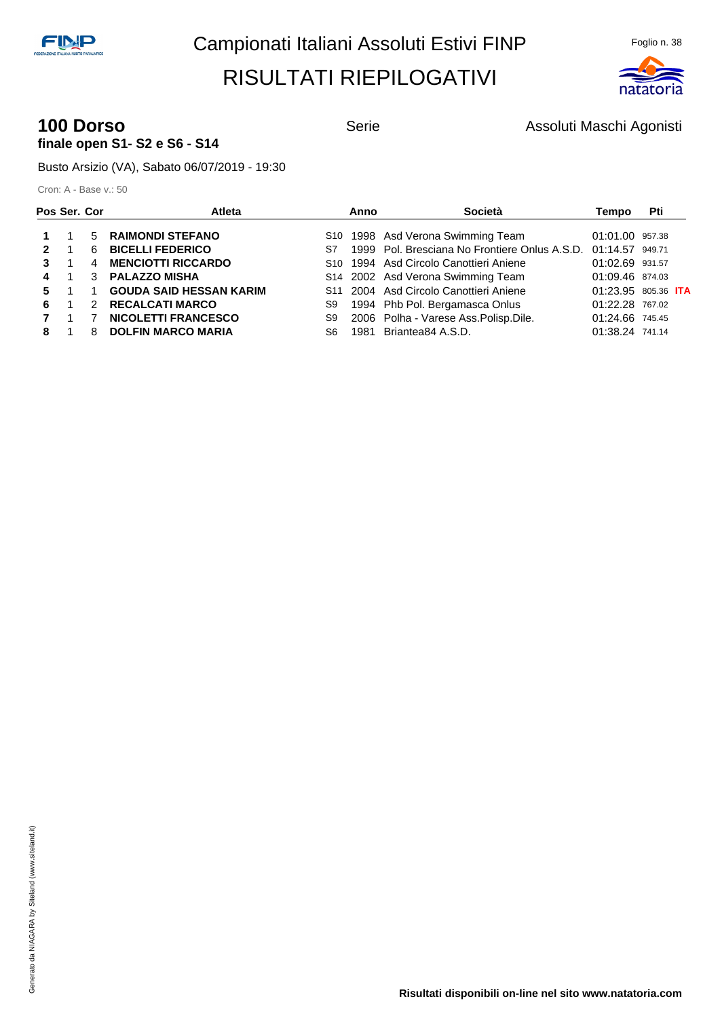

#### **100 Dorso 100 Dorso** Serie Assoluti Maschi Agonisti **finale open S1- S2 e S6 - S14**

Busto Arsizio (VA), Sabato 06/07/2019 - 19:30

| Pos Ser. Cor |   | <b>Atleta</b>                  |     | Anno | Società                                                          | Tempo           | Pti                        |
|--------------|---|--------------------------------|-----|------|------------------------------------------------------------------|-----------------|----------------------------|
|              |   | 5 RAIMONDI STEFANO             |     |      | S10 1998 Asd Verona Swimming Team                                | 01:01.00 957.38 |                            |
| $\mathbf{p}$ | 6 | <b>BICELLI FEDERICO</b>        |     |      | S7 1999 Pol. Bresciana No Frontiere Onlus A.S.D. 01:14.57 949.71 |                 |                            |
|              | 4 | <b>MENCIOTTI RICCARDO</b>      |     |      | S <sub>10</sub> 1994 Asd Circolo Canottieri Aniene               | 01:02.69 931.57 |                            |
|              |   | 3 PALAZZO MISHA                |     |      | S14 2002 Asd Verona Swimming Team                                | 01:09.46 874.03 |                            |
| 5.           |   | <b>GOUDA SAID HESSAN KARIM</b> |     |      | S11 2004 Asd Circolo Canottieri Aniene                           |                 | 01:23.95 805.36 <b>ITA</b> |
| 6.           |   | 2 RECALCATI MARCO              | S9  |      | 1994 Phb Pol. Bergamasca Onlus                                   | 01:22.28 767.02 |                            |
|              |   | <b>NICOLETTI FRANCESCO</b>     | S9  |      | 2006 Polha - Varese Ass. Polisp. Dile.                           | 01:24.66 745.45 |                            |
| 8            | 8 | <b>DOLFIN MARCO MARIA</b>      | S6. |      | 1981 Briantea84 A.S.D.                                           | 01:38.24 741.14 |                            |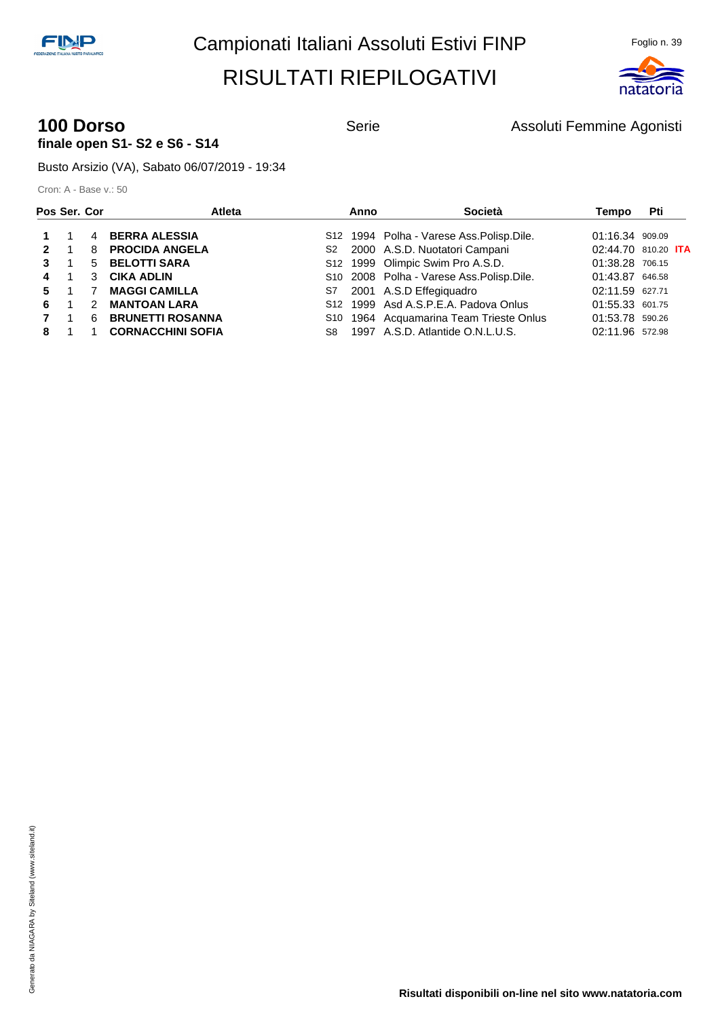

#### **100 Dorso** Serie **Assoluti Femmine Agonisti** Serie Assoluti Femmine Agonisti **finale open S1- S2 e S6 - S14**

Busto Arsizio (VA), Sabato 06/07/2019 - 19:34

| Pos Ser. Cor |               | <b>Atleta</b>            |     | Anno | Società                                    | Tempo           | Pti                        |
|--------------|---------------|--------------------------|-----|------|--------------------------------------------|-----------------|----------------------------|
|              |               | 4 BERRA ALESSIA          |     |      | S12 1994 Polha - Varese Ass. Polisp. Dile. | 01:16.34 909.09 |                            |
| $\mathbf{p}$ |               | 8 PROCIDA ANGELA         |     |      | S2 2000 A.S.D. Nuotatori Campani           |                 | 02:44.70 810.20 <b>ITA</b> |
|              |               | 5 BELOTTI SARA           |     |      | S12 1999 Olimpic Swim Pro A.S.D.           | 01:38.28 706.15 |                            |
| 4            |               | 3 CIKA ADLIN             |     |      | S10 2008 Polha - Varese Ass. Polisp. Dile. | 01:43.87 646.58 |                            |
| 5.           |               | <b>MAGGI CAMILLA</b>     |     |      | S7 2001 A.S.D Effegiquadro                 | 02:11.59 627.71 |                            |
| 6            | $\mathcal{P}$ | <b>MANTOAN LARA</b>      |     |      | S12 1999 Asd A.S.P.E.A. Padova Onlus       | 01:55.33 601.75 |                            |
|              | 6.            | <b>BRUNETTI ROSANNA</b>  |     |      | S10 1964 Acquamarina Team Trieste Onlus    | 01:53.78 590.26 |                            |
| 8            |               | <b>CORNACCHINI SOFIA</b> | S8. |      | 1997 A.S.D. Atlantide O.N.L.U.S.           | 02:11.96 572.98 |                            |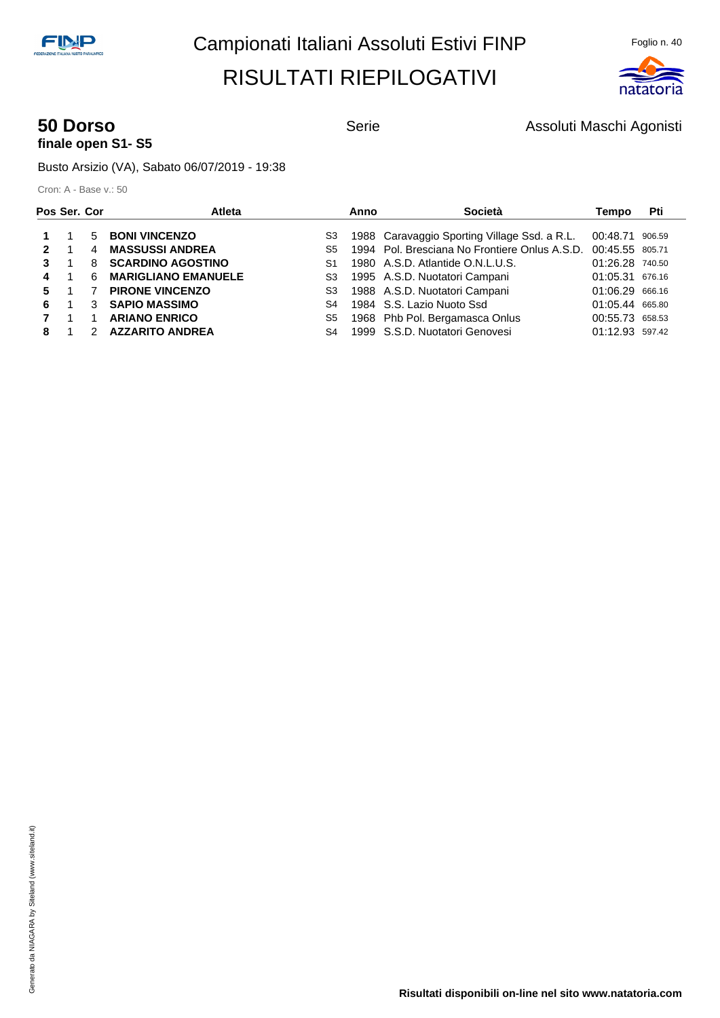

## **finale open S1- S5**

**50 Dorso Serie** Serie **Assoluti Maschi Agonisti** Agonisti

Busto Arsizio (VA), Sabato 06/07/2019 - 19:38

|   | Atleta                     |                                           | Anno | Società | Tempo                                                                                                                                                                                                                                               | Pti                                                              |
|---|----------------------------|-------------------------------------------|------|---------|-----------------------------------------------------------------------------------------------------------------------------------------------------------------------------------------------------------------------------------------------------|------------------------------------------------------------------|
|   |                            |                                           |      |         |                                                                                                                                                                                                                                                     |                                                                  |
| 4 | <b>MASSUSSI ANDREA</b>     | S5                                        |      |         | 00:45.55 805.71                                                                                                                                                                                                                                     |                                                                  |
| 8 | <b>SCARDINO AGOSTINO</b>   | S1                                        |      |         | 01:26.28 740.50                                                                                                                                                                                                                                     |                                                                  |
| 6 | <b>MARIGLIANO EMANUELE</b> | S3                                        |      |         | 01:05.31 676.16                                                                                                                                                                                                                                     |                                                                  |
|   | <b>PIRONE VINCENZO</b>     | S3                                        |      |         | 01:06.29 666.16                                                                                                                                                                                                                                     |                                                                  |
|   | <b>SAPIO MASSIMO</b>       | S4                                        |      |         | 01:05.44 665.80                                                                                                                                                                                                                                     |                                                                  |
|   | <b>ARIANO ENRICO</b>       | S5                                        |      |         | 00:55.73 658.53                                                                                                                                                                                                                                     |                                                                  |
|   | <b>AZZARITO ANDREA</b>     | S <sub>4</sub>                            |      |         | 01:12.93 597.42                                                                                                                                                                                                                                     |                                                                  |
|   | 5                          | Pos Ser. Cor<br><b>BONI VINCENZO</b><br>3 | S3   |         | 1988 Caravaggio Sporting Village Ssd. a R.L.<br>1980 A.S.D. Atlantide O.N.L.U.S.<br>1995 A.S.D. Nuotatori Campani<br>1988 A.S.D. Nuotatori Campani<br>1984 S.S. Lazio Nuoto Ssd<br>1968 Phb Pol. Bergamasca Onlus<br>1999 S.S.D. Nuotatori Genovesi | 00:48.71 906.59<br>1994 Pol. Bresciana No Frontiere Onlus A.S.D. |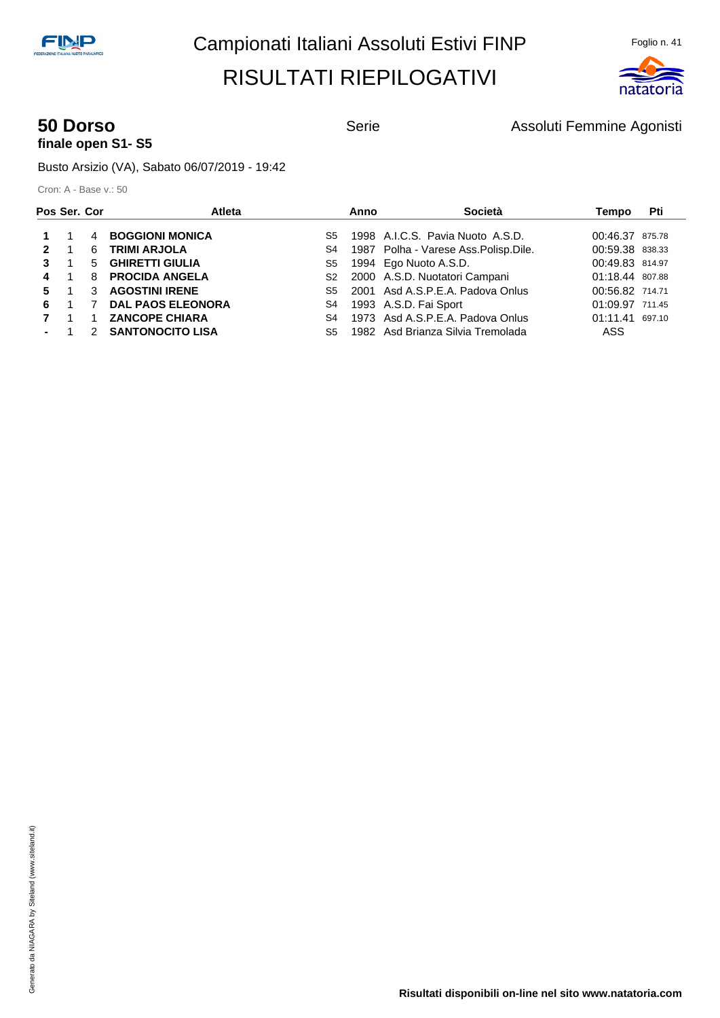

## **finale open S1- S5**

**50 Dorso Serie** Serie **Assoluti Femmine Agonisti** Serie **Assoluti Femmine Agonisti** 

Busto Arsizio (VA), Sabato 06/07/2019 - 19:42

| Pos Ser. Cor |                |   | <b>Atleta</b>            |                | Anno | Società                                | Tempo           | Pti    |
|--------------|----------------|---|--------------------------|----------------|------|----------------------------------------|-----------------|--------|
|              |                | 4 | <b>BOGGIONI MONICA</b>   | S5             |      | 1998 A.I.C.S. Pavia Nuoto A.S.D.       | 00:46.37 875.78 |        |
| 2            |                | 6 | <b>TRIMI ARJOLA</b>      | S4             |      | 1987 Polha - Varese Ass. Polisp. Dile. | 00:59.38 838.33 |        |
| 3            |                |   | 5 GHIRETTI GIULIA        | S5             |      | 1994 Ego Nuoto A.S.D.                  | 00:49.83 814.97 |        |
| 4            | $\overline{1}$ | 8 | <b>PROCIDA ANGELA</b>    | S <sub>2</sub> |      | 2000 A.S.D. Nuotatori Campani          | 01:18.44 807.88 |        |
| 5.           |                | 3 | <b>AGOSTINI IRENE</b>    | S5             |      | 2001 Asd A.S.P.E.A. Padova Onlus       | 00:56.82 714.71 |        |
| 6            |                |   | <b>DAL PAOS ELEONORA</b> | S4             |      | 1993 A.S.D. Fai Sport                  | 01:09.97 711.45 |        |
|              | $\overline{1}$ |   | <b>ZANCOPE CHIARA</b>    | S4             |      | 1973 Asd A.S.P.E.A. Padova Onlus       | 01:11.41        | 697.10 |
|              |                |   | 2 SANTONOCITO LISA       | S5.            |      | 1982 Asd Brianza Silvia Tremolada      | ASS             |        |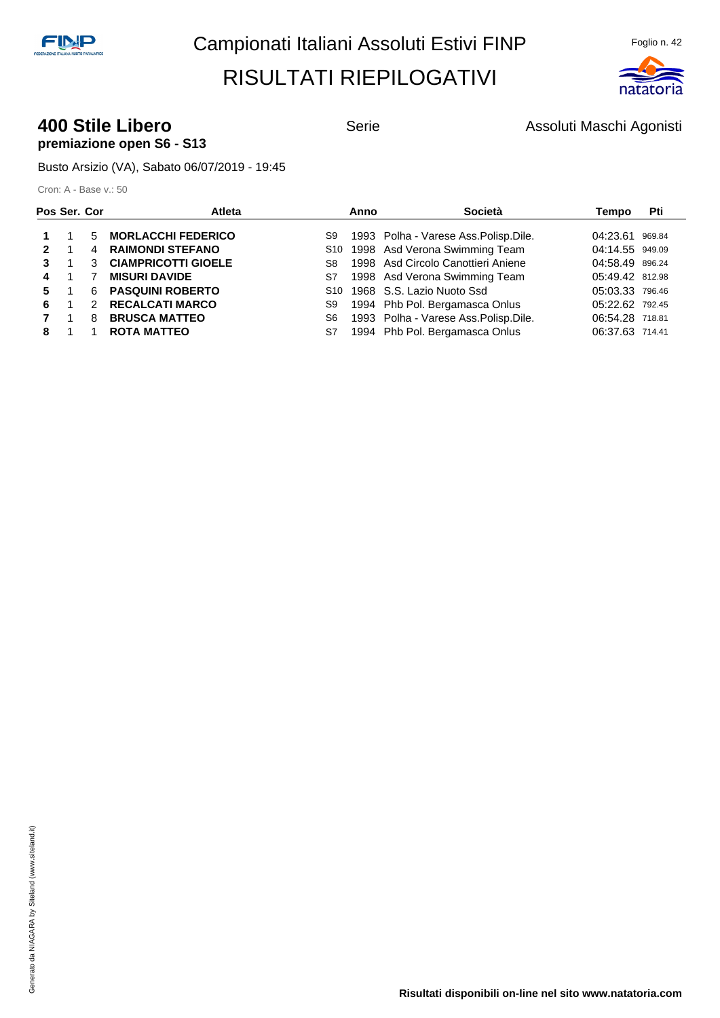

#### **400 Stile Libero Serie** Serie **Assoluti Maschi Agonisti** Agonisti **premiazione open S6 - S13**

Busto Arsizio (VA), Sabato 06/07/2019 - 19:45

| Pos Ser. Cor |                |               | Atleta                     |    | Anno | Società                                   | Tempo           | Pti |
|--------------|----------------|---------------|----------------------------|----|------|-------------------------------------------|-----------------|-----|
|              |                | 5             | <b>MORLACCHI FEDERICO</b>  | S9 |      | 1993 Polha - Varese Ass.Polisp.Dile.      | 04:23.61 969.84 |     |
| 2            | $\blacksquare$ |               | 4 RAIMONDI STEFANO         |    |      | S10 1998 Asd Verona Swimming Team         | 04:14.55 949.09 |     |
| 3            |                | 3             | <b>CIAMPRICOTTI GIOELE</b> | S8 |      | 1998 Asd Circolo Canottieri Aniene        | 04:58.49 896.24 |     |
| 4            | $\mathbf{1}$   |               | <b>MISURI DAVIDE</b>       | S7 |      | 1998 Asd Verona Swimming Team             | 05:49.42 812.98 |     |
| 5.           | - 1            |               | 6 PASQUINI ROBERTO         |    |      | S <sub>10</sub> 1968 S.S. Lazio Nuoto Ssd | 05:03.33 796.46 |     |
| 6.           |                | $\mathcal{P}$ | <b>RECALCATI MARCO</b>     | S9 |      | 1994 Phb Pol. Bergamasca Onlus            | 05:22.62 792.45 |     |
|              | $\overline{1}$ | 8             | <b>BRUSCA MATTEO</b>       | S6 |      | 1993 Polha - Varese Ass. Polisp. Dile.    | 06:54.28 718.81 |     |
| 8            |                |               | <b>ROTA MATTEO</b>         | S7 |      | 1994 Phb Pol. Bergamasca Onlus            | 06:37.63 714.41 |     |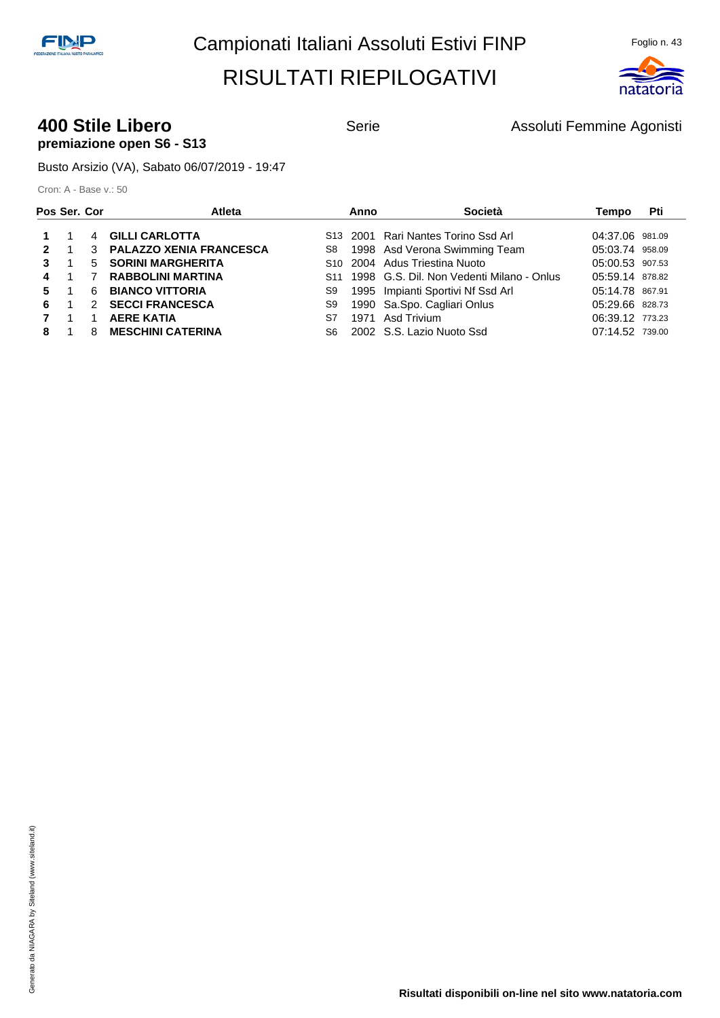

#### **400 Stile Libero Serie** Serie **Assoluti Femmine Agonisti 400 Stile Libero Serie Assoluti Femmine Agonisti premiazione open S6 - S13**

Busto Arsizio (VA), Sabato 06/07/2019 - 19:47

|              | Pos Ser. Cor |               | Atleta                    |     | Anno | Società                                       | Tempo           | Pti |
|--------------|--------------|---------------|---------------------------|-----|------|-----------------------------------------------|-----------------|-----|
|              |              |               | 4 GILLI CARLOTTA          |     |      | S13 2001 Rari Nantes Torino Ssd Arl           | 04:37.06 981.09 |     |
| $\mathbf{p}$ |              |               | 3 PALAZZO XENIA FRANCESCA | S8  |      | 1998 Asd Verona Swimming Team                 | 05:03.74 958.09 |     |
| 3            |              | 5             | <b>SORINI MARGHERITA</b>  |     |      | S10 2004 Adus Triestina Nuoto                 | 05:00.53 907.53 |     |
| 4            |              |               | <b>RABBOLINI MARTINA</b>  |     |      | S11 1998 G.S. Dil. Non Vedenti Milano - Onlus | 05:59.14 878.82 |     |
| 5.           |              | 6             | <b>BIANCO VITTORIA</b>    | S9  |      | 1995 Impianti Sportivi Nf Ssd Arl             | 05:14.78 867.91 |     |
| 6.           |              | $\mathcal{P}$ | <b>SECCI FRANCESCA</b>    | S9  |      | 1990 Sa.Spo. Cagliari Onlus                   | 05:29.66 828.73 |     |
|              | -1           |               | <b>AERE KATIA</b>         | S7  |      | 1971 Asd Trivium                              | 06:39.12 773.23 |     |
| 8            |              | 8             | <b>MESCHINI CATERINA</b>  | S6. |      | 2002 S.S. Lazio Nuoto Ssd                     | 07:14.52 739.00 |     |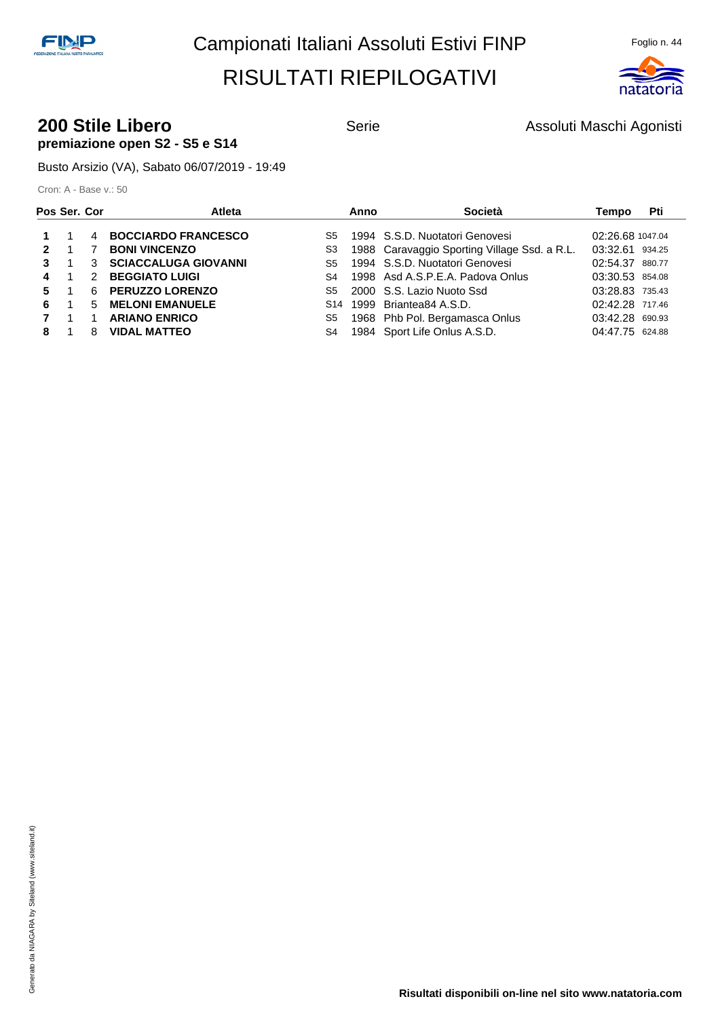

#### **200 Stile Libero Contract Serie** Serie **Assoluti Maschi Agonisti premiazione open S2 - S5 e S14**

Busto Arsizio (VA), Sabato 06/07/2019 - 19:49

| Pos Ser. Cor |    |    | Atleta                      |     | Anno | Società                                      | Tempo            | Pti |
|--------------|----|----|-----------------------------|-----|------|----------------------------------------------|------------------|-----|
|              |    | 4  | <b>BOCCIARDO FRANCESCO</b>  | S5  |      | 1994 S.S.D. Nuotatori Genovesi               | 02:26.68 1047.04 |     |
| $\mathbf{p}$ |    |    | <b>BONI VINCENZO</b>        | S3  |      | 1988 Caravaggio Sporting Village Ssd. a R.L. | 03:32.61 934.25  |     |
| 3            |    | 3  | <b>SCIACCALUGA GIOVANNI</b> | S5  |      | 1994 S.S.D. Nuotatori Genovesi               | 02:54.37 880.77  |     |
| 4            |    | 2  | <b>BEGGIATO LUIGI</b>       | S4  |      | 1998 Asd A.S.P.E.A. Padova Onlus             | 03:30.53 854.08  |     |
| 5.           |    | 6. | <b>PERUZZO LORENZO</b>      | S5  |      | 2000 S.S. Lazio Nuoto Ssd                    | 03:28.83 735.43  |     |
| 6.           |    | 5  | <b>MELONI EMANUELE</b>      | S14 |      | 1999 Briantea84 A.S.D.                       | 02:42.28 717.46  |     |
|              | -1 |    | <b>ARIANO ENRICO</b>        | S5  |      | 1968 Phb Pol. Bergamasca Onlus               | 03:42.28 690.93  |     |
| 8            |    | 8  | <b>VIDAL MATTEO</b>         | S4  |      | 1984 Sport Life Onlus A.S.D.                 | 04:47.75 624.88  |     |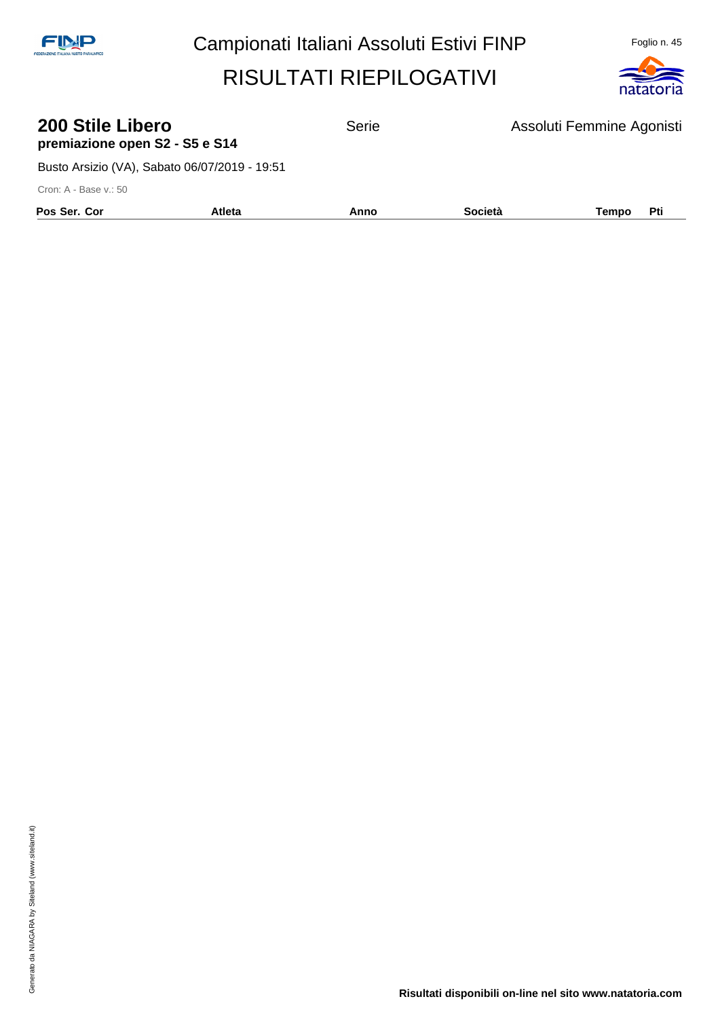

| 200 Stile Libero               |  |
|--------------------------------|--|
| premiazione open S2 - S5 e S14 |  |

**200 Stile Libero** Serie Assoluti Femmine Agonisti

Busto Arsizio (VA), Sabato 06/07/2019 - 19:51

| Pos Ser. Cor | Atleta | Anno | <b>Società</b> | Tempo | Pti |
|--------------|--------|------|----------------|-------|-----|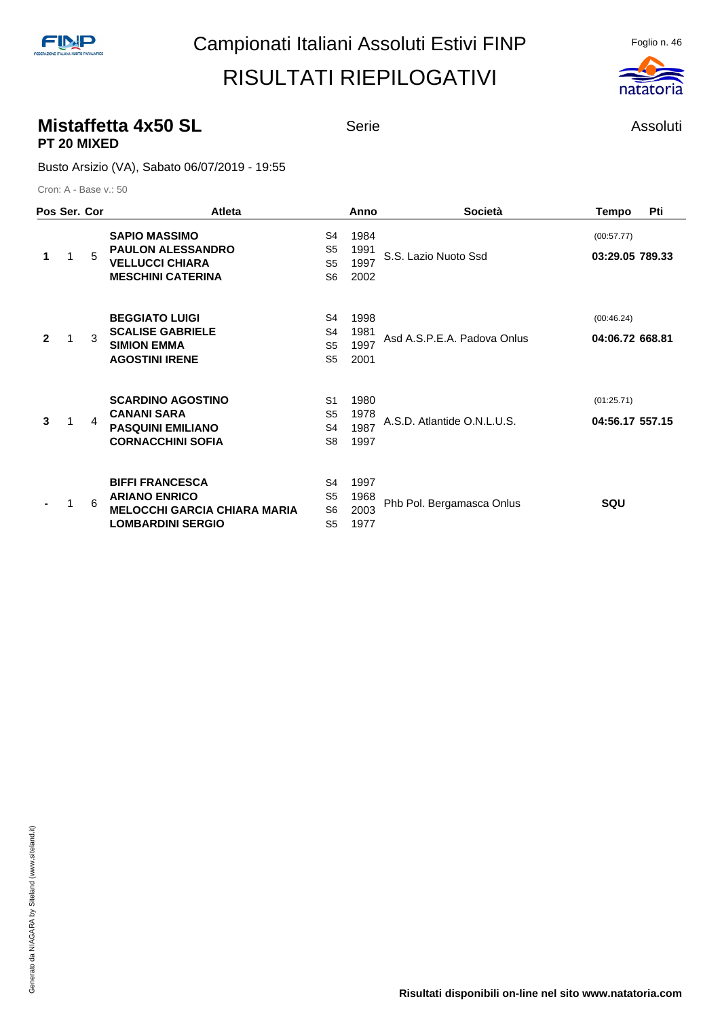#### **Mistaffetta 4x50 SL** Serie **Assoluti** Serie Assoluti **PT 20 MIXED**

#### Busto Arsizio (VA), Sabato 06/07/2019 - 19:55

|              | Pos Ser. Cor |   | <b>Atleta</b>                                                                                                     |                                                                      | Anno                         | <b>Società</b>              | <b>Tempo</b>                  | Pti |
|--------------|--------------|---|-------------------------------------------------------------------------------------------------------------------|----------------------------------------------------------------------|------------------------------|-----------------------------|-------------------------------|-----|
| 1            |              | 5 | <b>SAPIO MASSIMO</b><br><b>PAULON ALESSANDRO</b><br><b>VELLUCCI CHIARA</b><br><b>MESCHINI CATERINA</b>            | S4<br>S <sub>5</sub><br>S <sub>5</sub><br>S <sub>6</sub>             | 1984<br>1991<br>1997<br>2002 | S.S. Lazio Nuoto Ssd        | (00:57.77)<br>03:29.05 789.33 |     |
| $\mathbf{2}$ |              | 3 | <b>BEGGIATO LUIGI</b><br><b>SCALISE GABRIELE</b><br><b>SIMION EMMA</b><br><b>AGOSTINI IRENE</b>                   | S4<br>S4<br>S <sub>5</sub><br>S <sub>5</sub>                         | 1998<br>1981<br>1997<br>2001 | Asd A.S.P.E.A. Padova Onlus | (00:46.24)<br>04:06.72 668.81 |     |
| 3            |              | 4 | <b>SCARDINO AGOSTINO</b><br><b>CANANI SARA</b><br><b>PASQUINI EMILIANO</b><br><b>CORNACCHINI SOFIA</b>            | S <sub>1</sub><br>S <sub>5</sub><br>S <sub>4</sub><br>S <sub>8</sub> | 1980<br>1978<br>1987<br>1997 | A.S.D. Atlantide O.N.L.U.S. | (01:25.71)<br>04:56.17 557.15 |     |
|              |              | 6 | <b>BIFFI FRANCESCA</b><br><b>ARIANO ENRICO</b><br><b>MELOCCHI GARCIA CHIARA MARIA</b><br><b>LOMBARDINI SERGIO</b> | S4<br>S <sub>5</sub><br>S <sub>6</sub><br>S <sub>5</sub>             | 1997<br>1968<br>2003<br>1977 | Phb Pol. Bergamasca Onlus   | SQU                           |     |

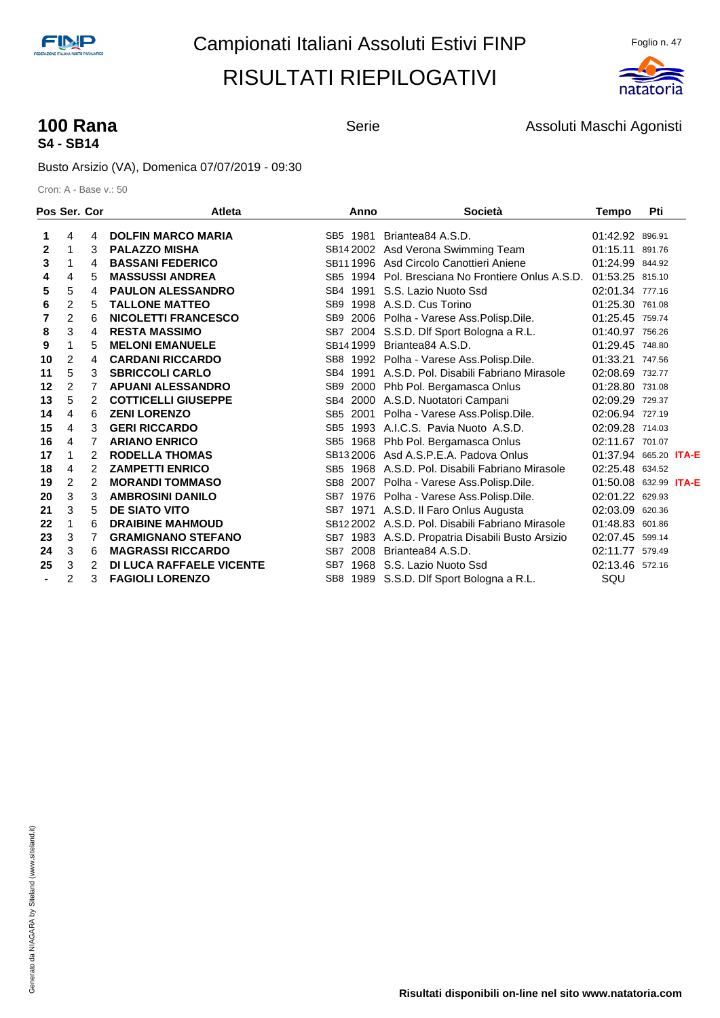

# **S4 - SB14**

**100 Rana 100 Rana** Serie Serie Assoluti Maschi Agonisti

Busto Arsizio (VA), Domenica 07/07/2019 - 09:30

|              | Pos Ser. Cor   |   | <b>Atleta</b>                   | Anno            | <b>Società</b>                                    | <b>Tempo</b>                 | Pti    |  |
|--------------|----------------|---|---------------------------------|-----------------|---------------------------------------------------|------------------------------|--------|--|
|              | 4              | 4 | <b>DOLFIN MARCO MARIA</b>       | SB5 1981        | Briantea84 A.S.D.                                 | 01:42.92 896.91              |        |  |
| $\mathbf{2}$ | 1              | 3 | <b>PALAZZO MISHA</b>            |                 | SB14 2002 Asd Verona Swimming Team                | 01:15.11                     | 891.76 |  |
| 3            | 1              | 4 | <b>BASSANI FEDERICO</b>         |                 | SB11 1996 Asd Circolo Canottieri Aniene           | 01:24.99 844.92              |        |  |
| 4            | 4              | 5 | <b>MASSUSSI ANDREA</b>          |                 | SB5 1994 Pol. Bresciana No Frontiere Onlus A.S.D. | 01:53.25 815.10              |        |  |
| 5            | 5              | 4 | <b>PAULON ALESSANDRO</b>        | SB4 1991        | S.S. Lazio Nuoto Ssd                              | 02:01.34 777.16              |        |  |
| 6            | 2              | 5 | <b>TALLONE MATTEO</b>           |                 | SB9 1998 A.S.D. Cus Torino                        | 01:25.30 761.08              |        |  |
|              | 2              | 6 | <b>NICOLETTI FRANCESCO</b>      | SB <sub>9</sub> | 2006 Polha - Varese Ass. Polisp. Dile.            | 01:25.45 759.74              |        |  |
| 8            | 3              | 4 | <b>RESTA MASSIMO</b>            |                 | SB7 2004 S.S.D. Dlf Sport Bologna a R.L.          | 01:40.97 756.26              |        |  |
| 9            | 1              | 5 | <b>MELONI EMANUELE</b>          | SB141999        | Briantea84 A.S.D.                                 | 01:29.45 748.80              |        |  |
| 10           | $\overline{2}$ | 4 | <b>CARDANI RICCARDO</b>         |                 | SB8 1992 Polha - Varese Ass. Polisp. Dile.        | 01:33.21 747.56              |        |  |
| 11           | 5              | 3 | <b>SBRICCOLI CARLO</b>          |                 | SB4 1991 A.S.D. Pol. Disabili Fabriano Mirasole   | 02:08.69 732.77              |        |  |
| 12           | 2              | 7 | <b>APUANI ALESSANDRO</b>        |                 | SB9 2000 Phb Pol. Bergamasca Onlus                | 01:28.80 731.08              |        |  |
| 13           | 5              | 2 | <b>COTTICELLI GIUSEPPE</b>      | SB4             | 2000 A.S.D. Nuotatori Campani                     | 02:09.29 729.37              |        |  |
| 14           | 4              | 6 | <b>ZENI LORENZO</b>             |                 | SB5 2001 Polha - Varese Ass. Polisp. Dile.        | 02:06.94 727.19              |        |  |
| 15           | 4              | 3 | <b>GERI RICCARDO</b>            |                 | SB5 1993 A.I.C.S. Pavia Nuoto A.S.D.              | 02:09.28 714.03              |        |  |
| 16           | 4              | 7 | <b>ARIANO ENRICO</b>            |                 | SB5 1968 Phb Pol. Bergamasca Onlus                | 02:11.67 701.07              |        |  |
| 17           | 1              | 2 | <b>RODELLA THOMAS</b>           |                 | SB13 2006 Asd A.S.P.E.A. Padova Onlus             | 01:37.94 665.20 <b>ITA-E</b> |        |  |
| 18           | 4              | 2 | <b>ZAMPETTI ENRICO</b>          |                 | SB5 1968 A.S.D. Pol. Disabili Fabriano Mirasole   | 02:25.48 634.52              |        |  |
| 19           | $\overline{c}$ | 2 | <b>MORANDI TOMMASO</b>          |                 | SB8 2007 Polha - Varese Ass. Polisp. Dile.        | 01:50.08 632.99 ITA-E        |        |  |
| 20           | 3              | 3 | <b>AMBROSINI DANILO</b>         |                 | SB7 1976 Polha - Varese Ass. Polisp. Dile.        | 02:01.22 629.93              |        |  |
| 21           | 3              | 5 | <b>DE SIATO VITO</b>            |                 | SB7 1971 A.S.D. Il Faro Onlus Augusta             | 02:03.09 620.36              |        |  |
| 22           | 1              | 6 | <b>DRAIBINE MAHMOUD</b>         |                 | SB12 2002 A.S.D. Pol. Disabili Fabriano Mirasole  | 01:48.83 601.86              |        |  |
| 23           | 3              | 7 | <b>GRAMIGNANO STEFANO</b>       |                 | SB7 1983 A.S.D. Propatria Disabili Busto Arsizio  | 02:07.45 599.14              |        |  |
| 24           | 3              | 6 | <b>MAGRASSI RICCARDO</b>        | SB7 2008        | Briantea84 A.S.D.                                 | 02:11.77 579.49              |        |  |
| 25           | 3              | 2 | <b>DI LUCA RAFFAELE VICENTE</b> |                 | SB7 1968 S.S. Lazio Nuoto Ssd                     | 02:13.46 572.16              |        |  |
|              | 2              | 3 | <b>FAGIOLI LORENZO</b>          |                 | SB8 1989 S.S.D. Dlf Sport Bologna a R.L.          | SQU                          |        |  |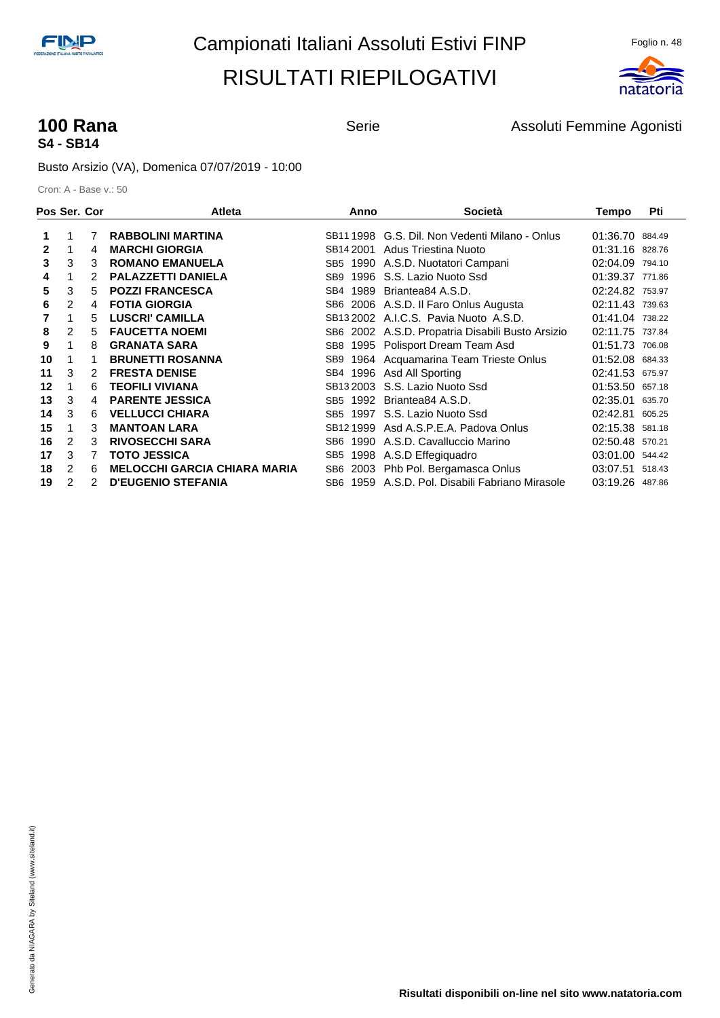

# **S4 - SB14**

**100 Rana 100 Rana Serie** Serie **Assoluti Femmine Agonisti** Assoluti Femmine Agonisti

Busto Arsizio (VA), Domenica 07/07/2019 - 10:00

|              |   | Pos Ser. Cor | <b>Atleta</b>                       | Anno                    | <b>Società</b>                               | Tempo           | Pti    |
|--------------|---|--------------|-------------------------------------|-------------------------|----------------------------------------------|-----------------|--------|
| 1.           |   | 7            | <b>RABBOLINI MARTINA</b>            | SB11 1998               | G.S. Dil. Non Vedenti Milano - Onlus         | 01:36.70 884.49 |        |
| $\mathbf{2}$ |   | 4            | <b>MARCHI GIORGIA</b>               | SB14 2001               | Adus Triestina Nuoto                         | 01:31.16 828.76 |        |
| 3            | 3 | 3            | <b>ROMANO EMANUELA</b>              | SB5                     | 1990 A.S.D. Nuotatori Campani                | 02:04.09 794.10 |        |
| 4            |   | 2            | <b>PALAZZETTI DANIELA</b>           | SB9                     | 1996 S.S. Lazio Nuoto Ssd                    | 01:39.37 771.86 |        |
| 5            | 3 | 5            | <b>POZZI FRANCESCA</b>              | 1989<br>SB4             | Briantea84 A.S.D.                            | 02:24.82 753.97 |        |
| 6            | 2 | 4            | <b>FOTIA GIORGIA</b>                | SB6                     | 2006 A.S.D. Il Faro Onlus Augusta            | 02:11.43        | 739.63 |
|              | 1 | 5            | <b>LUSCRI' CAMILLA</b>              |                         | SB13 2002 A.I.C.S. Pavia Nuoto A.S.D.        | 01:41.04 738.22 |        |
| 8            | 2 | 5            | <b>FAUCETTA NOEMI</b>               | SB6                     | 2002 A.S.D. Propatria Disabili Busto Arsizio | 02:11.75 737.84 |        |
| 9            |   | 8            | <b>GRANATA SARA</b>                 | SB8                     | 1995 Polisport Dream Team Asd                | 01:51.73 706.08 |        |
| 10           |   | 1            | <b>BRUNETTI ROSANNA</b>             | SB9                     | 1964 Acquamarina Team Trieste Onlus          | 01:52.08 684.33 |        |
| 11           | 3 | 2            | <b>FRESTA DENISE</b>                | 1996<br>SB4             | Asd All Sporting                             | 02:41.53 675.97 |        |
| 12           | 1 | 6            | <b>TEOFILI VIVIANA</b>              |                         | SB <sub>13</sub> 2003 S.S. Lazio Nuoto Ssd   | 01:53.50 657.18 |        |
| 13           | 3 | 4            | <b>PARENTE JESSICA</b>              | SB5                     | 1992 Briantea84 A.S.D.                       | 02:35.01        | 635.70 |
| 14           | 3 | 6            | <b>VELLUCCI CHIARA</b>              | SB5                     | 1997 S.S. Lazio Nuoto Ssd                    | 02:42.81        | 605.25 |
| 15           |   | 3            | <b>MANTOAN LARA</b>                 | SB <sub>12</sub> 1999   | Asd A.S.P.E.A. Padova Onlus                  | 02:15.38        | 581.18 |
| 16           | 2 | 3            | <b>RIVOSECCHI SARA</b>              | 1990<br>SB6             | A.S.D. Cavalluccio Marino                    | 02:50.48 570.21 |        |
| 17           | 3 | 7            | <b>TOTO JESSICA</b>                 | SB <sub>5</sub><br>1998 | A.S.D Effegiquadro                           | 03:01.00        | 544.42 |
| 18           | 2 | 6            | <b>MELOCCHI GARCIA CHIARA MARIA</b> | SB6<br>2003             | Phb Pol. Bergamasca Onlus                    | 03:07.51        | 518.43 |
| 19           | 2 | 2            | <b>D'EUGENIO STEFANIA</b>           | SB6                     | 1959 A.S.D. Pol. Disabili Fabriano Mirasole  | 03:19.26        | 487.86 |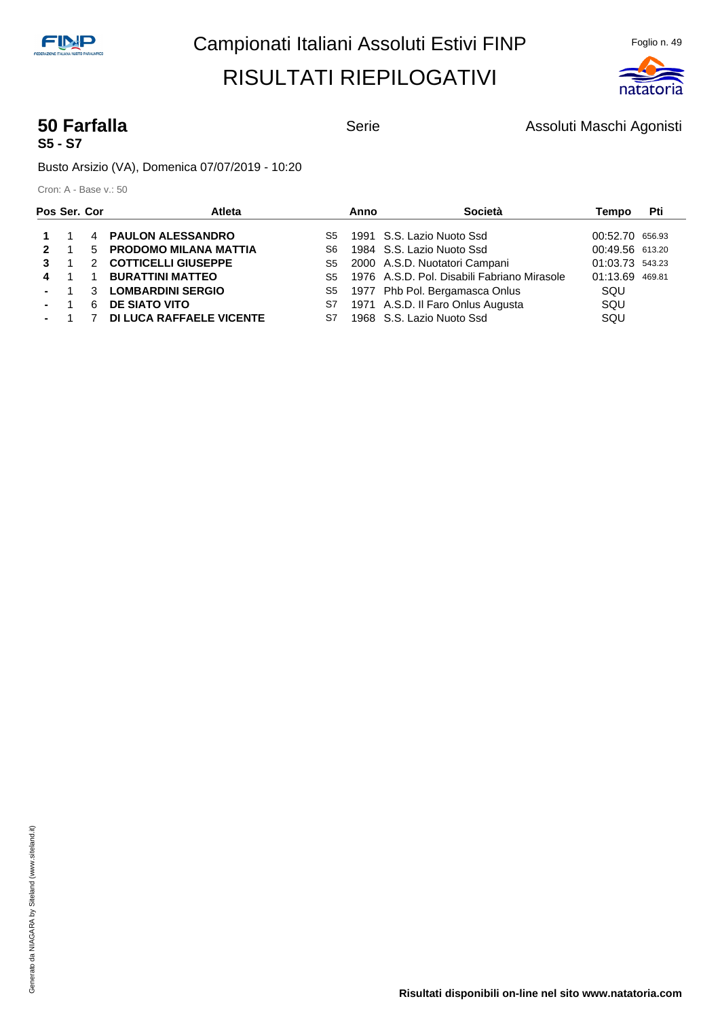

# **S5 - S7**

**50 Farfalla** Serie **Serie Assoluti Maschi Agonisti** Serie Assoluti Maschi Agonisti

Busto Arsizio (VA), Domenica 07/07/2019 - 10:20

| Pos Ser. Cor |                |   | <b>Atleta</b>                   |     | Anno | Società                                        | Tempo           | Pti |
|--------------|----------------|---|---------------------------------|-----|------|------------------------------------------------|-----------------|-----|
|              |                |   | 4 PAULON ALESSANDRO             |     |      | S5 1991 S.S. Lazio Nuoto Ssd                   | 00:52.70 656.93 |     |
| $2^{\circ}$  | $\overline{1}$ |   | 5 PRODOMO MILANA MATTIA         | S6. |      | 1984 S.S. Lazio Nuoto Ssd                      | 00:49.56 613.20 |     |
|              |                |   | 2 COTTICELLI GIUSEPPE           | S5  |      | 2000 A.S.D. Nuotatori Campani                  | 01:03.73 543.23 |     |
|              | 4 1            |   | 1 BURATTINI MATTEO              |     |      | S5 1976 A.S.D. Pol. Disabili Fabriano Mirasole | 01:13.69 469.81 |     |
|              |                | 3 | <b>LOMBARDINI SERGIO</b>        |     |      | S5 1977 Phb Pol. Bergamasca Onlus              | SQU             |     |
|              |                | 6 | <b>DE SIATO VITO</b>            | S7  |      | 1971 A.S.D. Il Faro Onlus Augusta              | SQU             |     |
|              | $-1$           |   | <b>DI LUCA RAFFAELE VICENTE</b> | S7  |      | 1968 S.S. Lazio Nuoto Ssd                      | SQU             |     |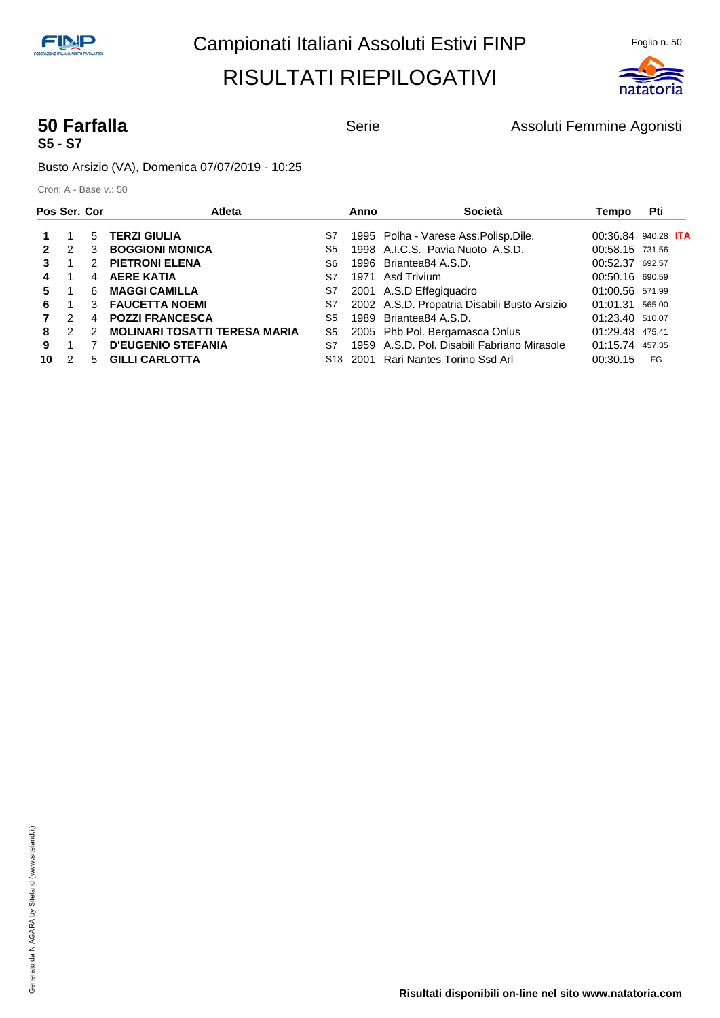

# **S5 - S7**

**50 Farfalla Serie** Serie **Assoluti Femmine Agonisti** Serie Agonisti

Busto Arsizio (VA), Domenica 07/07/2019 - 10:25

| Pos Ser. Cor |               |   | <b>Atleta</b>                        |                | Anno | Società                                      | Tempo           | Pti                        |
|--------------|---------------|---|--------------------------------------|----------------|------|----------------------------------------------|-----------------|----------------------------|
|              |               | 5 | <b>TERZI GIULIA</b>                  | S7             |      | 1995 Polha - Varese Ass. Polisp. Dile.       |                 | 00:36.84 940.28 <b>ITA</b> |
|              | $\mathcal{P}$ | 3 | <b>BOGGIONI MONICA</b>               | S5             |      | 1998 A.I.C.S. Pavia Nuoto A.S.D.             | 00:58.15 731.56 |                            |
|              |               | 2 | <b>PIETRONI ELENA</b>                | S6             |      | 1996 Briantea84 A.S.D.                       | 00:52.37 692.57 |                            |
| 4            |               | 4 | <b>AERE KATIA</b>                    | S7             | 1971 | Asd Trivium                                  | 00:50.16 690.59 |                            |
| 5.           |               | 6 | <b>MAGGI CAMILLA</b>                 | S7             |      | 2001 A.S.D Effegiquadro                      | 01:00.56 571.99 |                            |
| 6.           | 1             | 3 | <b>FAUCETTA NOEMI</b>                | S7             |      | 2002 A.S.D. Propatria Disabili Busto Arsizio | 01:01.31 565.00 |                            |
|              | $\mathcal{P}$ | 4 | <b>POZZI FRANCESCA</b>               | S <sub>5</sub> |      | 1989 Briantea84 A.S.D.                       | 01:23.40 510.07 |                            |
| 8            | $\mathcal{P}$ | 2 | <b>MOLINARI TOSATTI TERESA MARIA</b> | S5             |      | 2005 Phb Pol. Bergamasca Onlus               | 01:29.48 475.41 |                            |
| 9            |               |   | <b>D'EUGENIO STEFANIA</b>            | S7             |      | 1959 A.S.D. Pol. Disabili Fabriano Mirasole  | 01:15.74 457.35 |                            |
| 10           | $\mathcal{P}$ | 5 | <b>GILLI CARLOTTA</b>                | S13            | 2001 | Rari Nantes Torino Ssd Arl                   | 00:30.15        | FG                         |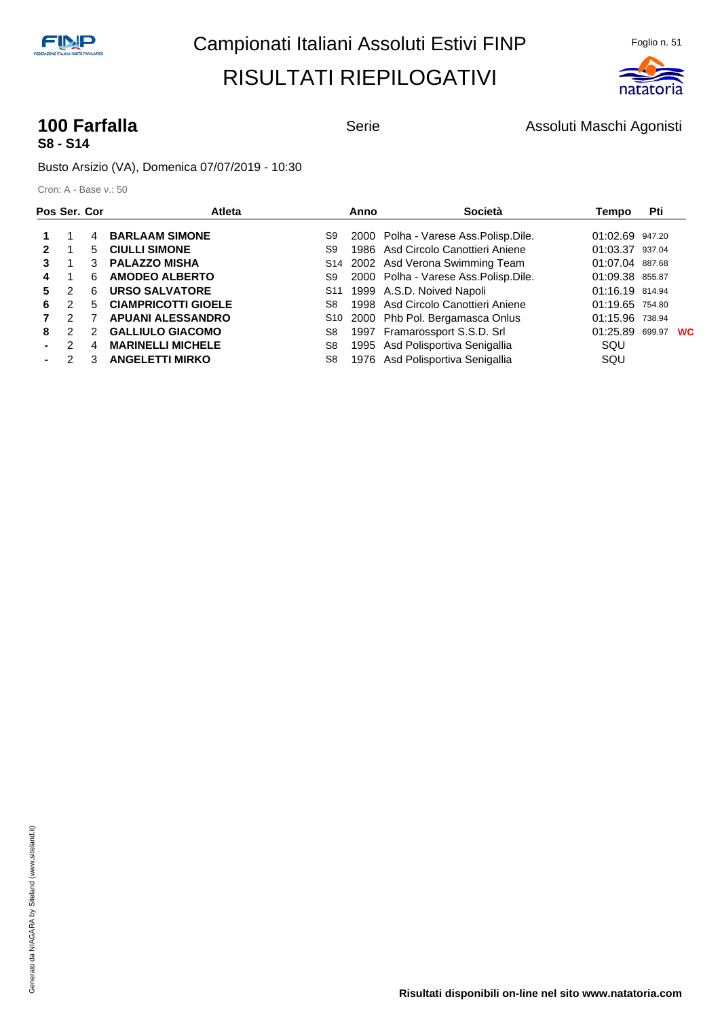

## **S8 - S14**

**100 Farfalla 100 Farfalla** Serie Serie Assoluti Maschi Agonisti

Busto Arsizio (VA), Domenica 07/07/2019 - 10:30

| Pos Ser. Cor |               |   | <b>Atleta</b>              |                 | Anno | Società                                | Tempo           | Pti    |           |
|--------------|---------------|---|----------------------------|-----------------|------|----------------------------------------|-----------------|--------|-----------|
|              |               | 4 | <b>BARLAAM SIMONE</b>      | S9              |      | 2000 Polha - Varese Ass. Polisp. Dile. | 01:02.69 947.20 |        |           |
|              |               | 5 | <b>CIULLI SIMONE</b>       | S9              |      | 1986 Asd Circolo Canottieri Aniene     | 01:03.37 937.04 |        |           |
|              |               | 3 | <b>PALAZZO MISHA</b>       |                 |      | S14 2002 Asd Verona Swimming Team      | 01:07.04 887.68 |        |           |
| 4            |               | 6 | <b>AMODEO ALBERTO</b>      | S9              |      | 2000 Polha - Varese Ass. Polisp. Dile. | 01:09.38 855.87 |        |           |
| 5.           | 2             | 6 | <b>URSO SALVATORE</b>      | S <sub>11</sub> |      | 1999 A.S.D. Noived Napoli              | 01:16.19 814.94 |        |           |
| 6            | $\mathcal{P}$ | 5 | <b>CIAMPRICOTTI GIOELE</b> | S8              |      | 1998 Asd Circolo Canottieri Aniene     | 01:19.65 754.80 |        |           |
|              | $\mathcal{P}$ |   | <b>APUANI ALESSANDRO</b>   |                 |      | S10 2000 Phb Pol. Bergamasca Onlus     | 01:15.96 738.94 |        |           |
| 8            | $\mathcal{P}$ | 2 | <b>GALLIULO GIACOMO</b>    | S8              |      | 1997 Framarossport S.S.D. Srl          | 01:25.89        | 699.97 | <b>WC</b> |
|              |               | 4 | <b>MARINELLI MICHELE</b>   | S8              |      | 1995 Asd Polisportiva Senigallia       | SQU             |        |           |
|              | 2             | 3 | <b>ANGELETTI MIRKO</b>     | S8              |      | 1976 Asd Polisportiva Senigallia       | SQU             |        |           |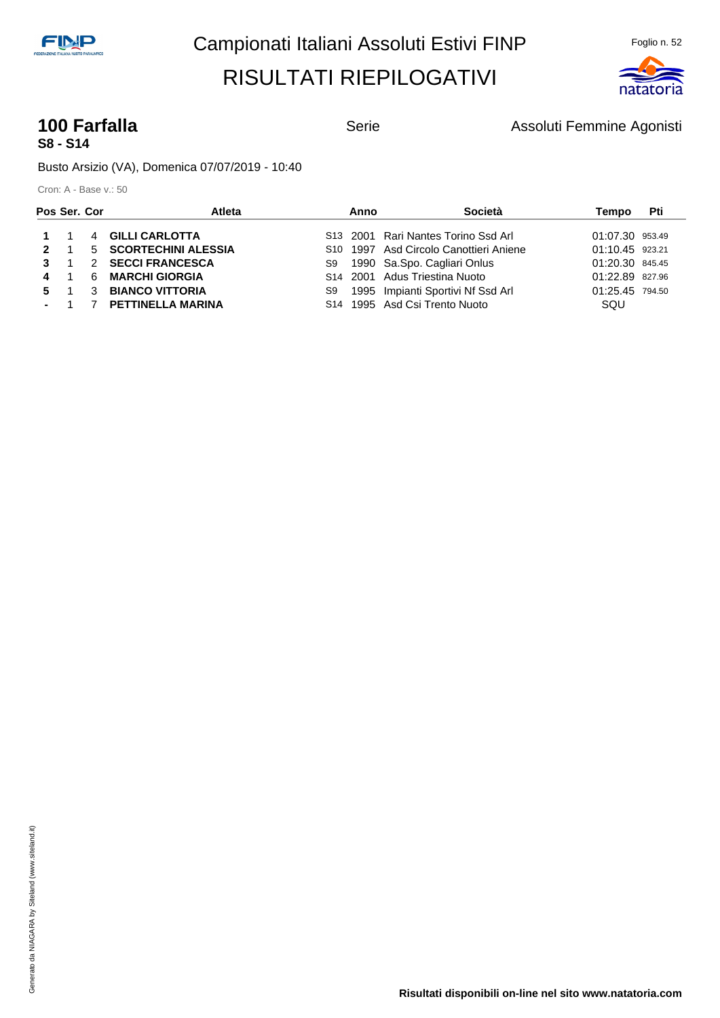

## **S8 - S14**

**100 Farfalla 100 Farfalla** Serie Assoluti Femmine Agonisti

Busto Arsizio (VA), Domenica 07/07/2019 - 10:40

| Pos Ser. Cor |             | <b>Atleta</b>           | Anno | Società                                            | Tempo           | Pti |
|--------------|-------------|-------------------------|------|----------------------------------------------------|-----------------|-----|
|              | $1 \quad 1$ | 4 GILLI CARLOTTA        |      | S13 2001 Rari Nantes Torino Ssd Arl                | 01:07.30 953.49 |     |
|              | $2 \quad 1$ | 5 SCORTECHINI ALESSIA   |      | S <sub>10</sub> 1997 Asd Circolo Canottieri Aniene | 01:10.45 923.21 |     |
| $3 \quad 1$  |             | 2 SECCI FRANCESCA       |      | S9 1990 Sa.Spo. Cagliari Onlus                     | 01:20.30 845.45 |     |
| 4 1          |             | 6 MARCHI GIORGIA        |      | S <sub>14</sub> 2001 Adus Triestina Nuoto          | 01:22.89 827.96 |     |
|              | 5 1         | 3 BIANCO VITTORIA       | S9   | 1995 Impianti Sportivi Nf Ssd Arl                  | 01:25.45 794.50 |     |
|              |             | - 1 7 PETTINELLA MARINA |      | S <sub>14</sub> 1995 Asd Csi Trento Nuoto          | SQU             |     |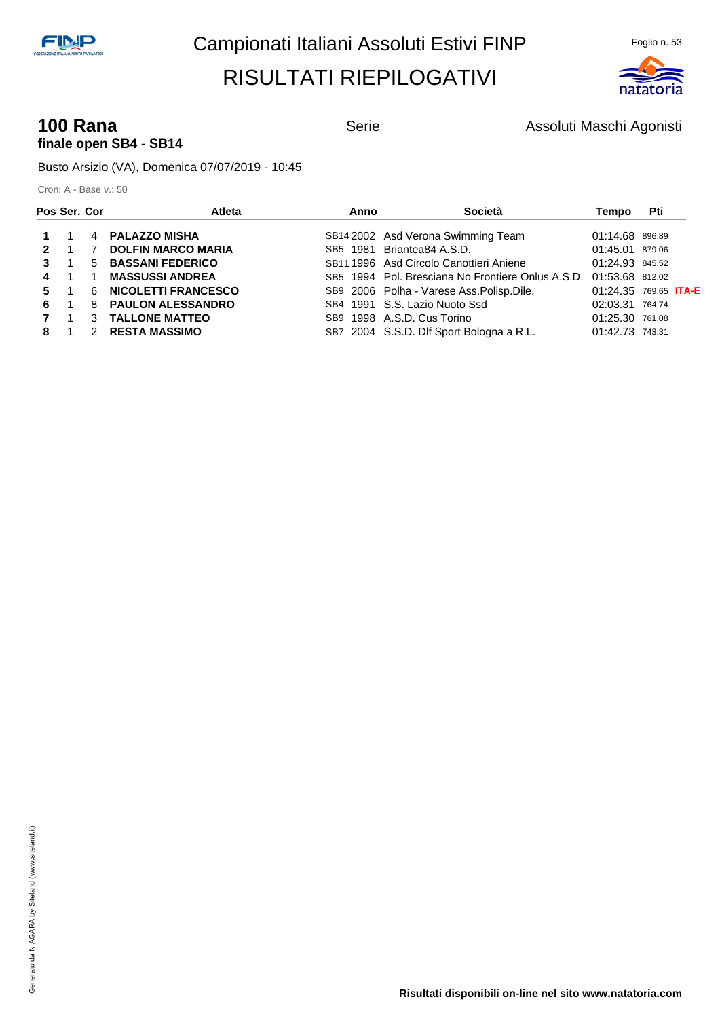

#### **100 Rana 100 Rana** Serie Serie Assoluti Maschi Agonisti **finale open SB4 - SB14**

Busto Arsizio (VA), Domenica 07/07/2019 - 10:45

| Pos Ser. Cor |                |               | Atleta                     | Anno | Società                                                           | Tempo                        | Pti |  |
|--------------|----------------|---------------|----------------------------|------|-------------------------------------------------------------------|------------------------------|-----|--|
|              |                |               | 4 PALAZZO MISHA            |      | SB14 2002 Asd Verona Swimming Team                                | 01:14.68 896.89              |     |  |
| $\mathbf{P}$ |                |               | <b>DOLFIN MARCO MARIA</b>  |      | SB5 1981 Briantea84 A.S.D.                                        | 01:45.01 879.06              |     |  |
| 3            |                | 5             | <b>BASSANI FEDERICO</b>    |      | SB11 1996 Asd Circolo Canottieri Aniene                           | 01:24.93 845.52              |     |  |
| 4            | $\overline{1}$ | - 1           | <b>MASSUSSI ANDREA</b>     |      | SB5 1994 Pol. Bresciana No Frontiere Onlus A.S.D. 01:53.68 812.02 |                              |     |  |
| 5            | $\overline{1}$ | -6            | <b>NICOLETTI FRANCESCO</b> |      | SB9 2006 Polha - Varese Ass. Polisp. Dile.                        | 01:24.35 769.65 <b>ITA-E</b> |     |  |
| 6.           |                | 8             | <b>PAULON ALESSANDRO</b>   |      | SB4 1991 S.S. Lazio Nuoto Ssd                                     | 02:03.31 764.74              |     |  |
|              |                | 3             | <b>TALLONE MATTEO</b>      |      | SB9 1998 A.S.D. Cus Torino                                        | 01:25.30 761.08              |     |  |
|              |                | $\mathcal{P}$ | <b>RESTA MASSIMO</b>       |      | SB7 2004 S.S.D. Dlf Sport Bologna a R.L.                          | 01:42.73 743.31              |     |  |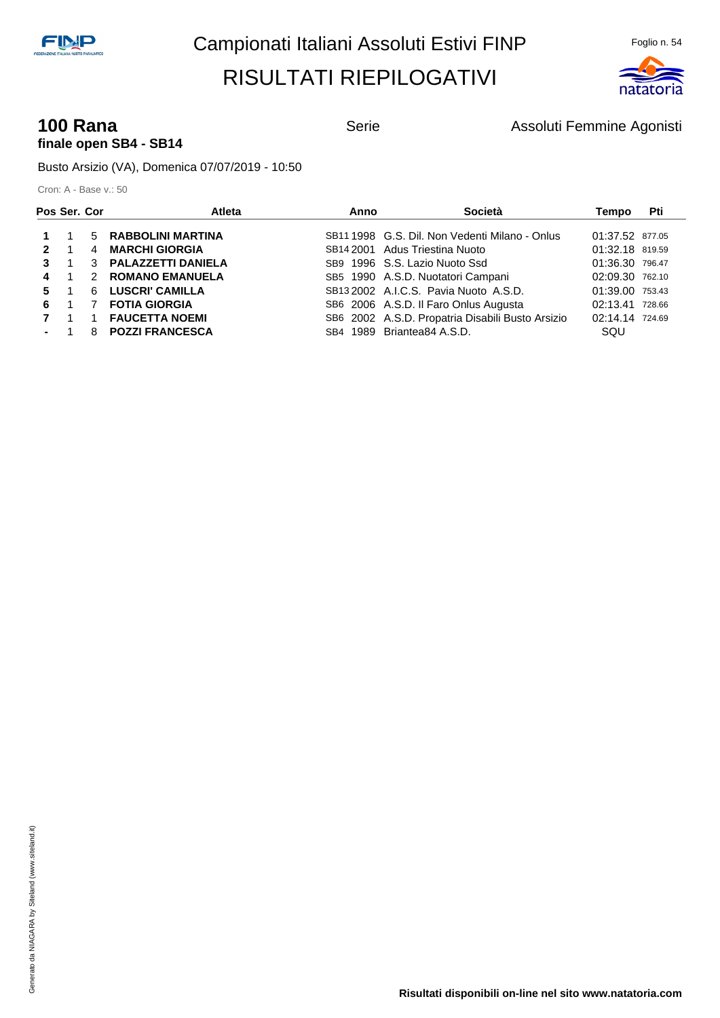

#### **100 Rana 100 Rana Serie** Serie **Assoluti Femmine Agonisti** Assoluti Femmine Agonisti **finale open SB4 - SB14**

Busto Arsizio (VA), Domenica 07/07/2019 - 10:50

|              | Pos Ser. Cor   | <b>Atleta</b>        | Anno | Società                                          | Tempo           | Pti |
|--------------|----------------|----------------------|------|--------------------------------------------------|-----------------|-----|
|              |                | 5 RABBOLINI MARTINA  |      | SB11 1998 G.S. Dil. Non Vedenti Milano - Onlus   | 01:37.52 877.05 |     |
| $\mathbf{2}$ | $\blacksquare$ | 4 MARCHI GIORGIA     |      | SB14 2001 Adus Triestina Nuoto                   | 01:32.18 819.59 |     |
| 3            |                | 3 PALAZZETTI DANIELA |      | SB9 1996 S.S. Lazio Nuoto Ssd                    | 01:36.30 796.47 |     |
| 4            | $\overline{1}$ | 2 ROMANO EMANUELA    |      | SB5 1990 A.S.D. Nuotatori Campani                | 02:09.30 762.10 |     |
|              | $5 \quad 1$    | 6 LUSCRI' CAMILLA    |      | SB132002 A.I.C.S. Pavia Nuoto A.S.D.             | 01:39.00 753.43 |     |
| 6            |                | <b>FOTIA GIORGIA</b> |      | SB6 2006 A.S.D. Il Faro Onlus Augusta            | 02:13.41 728.66 |     |
|              | $\overline{1}$ | 1 FAUCETTA NOEMI     |      | SB6 2002 A.S.D. Propatria Disabili Busto Arsizio | 02:14.14 724.69 |     |
|              | $-1$           | 8 POZZI FRANCESCA    |      | SB4 1989 Briantea84 A.S.D.                       | SQU             |     |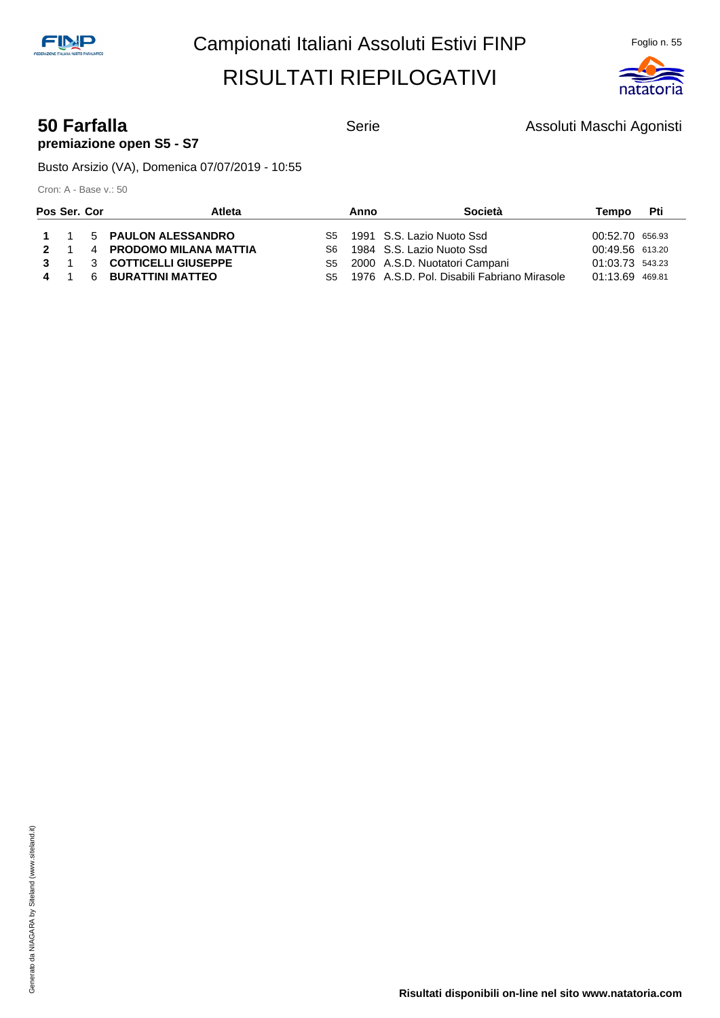

#### **50 Farfalla** Serie **Serie Assoluti Maschi Agonisti** Serie Assoluti Maschi Agonisti **premiazione open S5 - S7**

Busto Arsizio (VA), Domenica 07/07/2019 - 10:55

| Pos Ser. Cor |             | Atleta                    | Anno | <b>Società</b>                                 | Tempo           | Pti |
|--------------|-------------|---------------------------|------|------------------------------------------------|-----------------|-----|
|              |             | 1 1 5 PAULON ALESSANDRO   |      | S5 1991 S.S. Lazio Nuoto Ssd                   | 00:52.70 656.93 |     |
|              | $2 \quad 1$ | 4 PRODOMO MILANA MATTIA   |      | S6 1984 S.S. Lazio Nuoto Ssd                   | 00:49.56 613.20 |     |
|              |             | 3 1 3 COTTICELLI GIUSEPPE |      | S5 2000 A.S.D. Nuotatori Campani               | 01:03.73 543.23 |     |
|              | 4 1         | 6 BURATTINI MATTEO        |      | S5 1976 A.S.D. Pol. Disabili Fabriano Mirasole | 01:13.69 469.81 |     |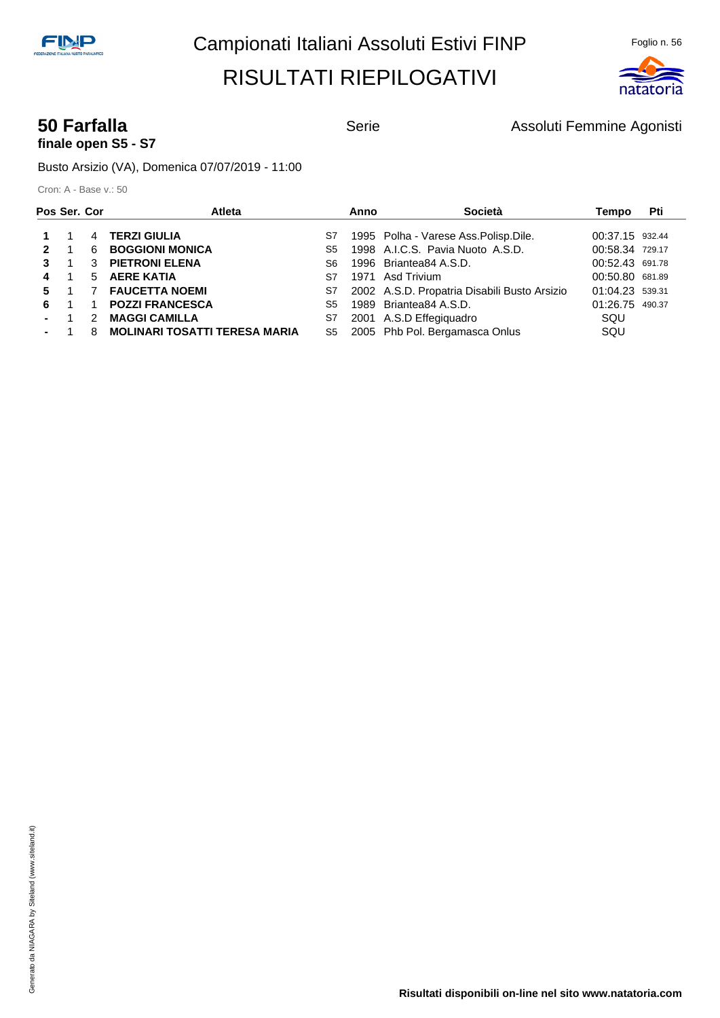

# **finale open S5 - S7**

**50 Farfalla Serie** Serie **Assoluti Femmine Agonisti** Serie Agonisti

Busto Arsizio (VA), Domenica 07/07/2019 - 11:00

| Pos Ser. Cor |                |               | Atleta                               |    | Anno | Società                                      | Tempo           | Pti |
|--------------|----------------|---------------|--------------------------------------|----|------|----------------------------------------------|-----------------|-----|
|              |                |               | 4 TERZI GIULIA                       | S7 |      | 1995 Polha - Varese Ass. Polisp. Dile.       | 00:37.15 932.44 |     |
| $\mathbf{2}$ | $\blacksquare$ | 6             | <b>BOGGIONI MONICA</b>               | S5 |      | 1998 A.I.C.S. Pavia Nuoto A.S.D.             | 00:58.34 729.17 |     |
| 3            |                |               | <b>3 PIETRONI ELENA</b>              | S6 |      | 1996 Briantea84 A.S.D.                       | 00:52.43 691.78 |     |
| 4            | $\blacksquare$ |               | 5 AERE KATIA                         | S7 |      | 1971 Asd Trivium                             | 00:50.80 681.89 |     |
| 5.           |                |               | <b>7 FAUCETTA NOEMI</b>              | S7 |      | 2002 A.S.D. Propatria Disabili Busto Arsizio | 01:04.23 539.31 |     |
| 6.           |                |               | <b>POZZI FRANCESCA</b>               | S5 |      | 1989 Briantea84 A.S.D.                       | 01:26.75 490.37 |     |
|              |                | $\mathcal{P}$ | <b>MAGGI CAMILLA</b>                 | S7 |      | 2001 A.S.D Effegiquadro                      | SQU             |     |
| $-1$         |                | 8             | <b>MOLINARI TOSATTI TERESA MARIA</b> | S5 |      | 2005 Phb Pol. Bergamasca Onlus               | SQU             |     |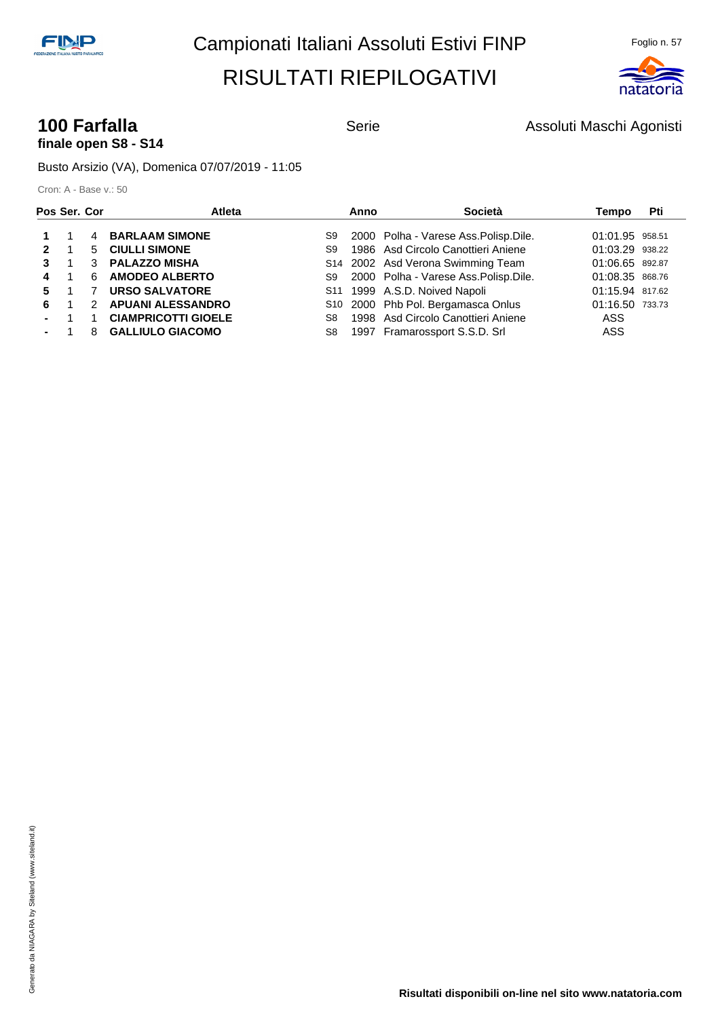

#### **100 Farfalla 100 Farfalla** Serie Serie Assoluti Maschi Agonisti **finale open S8 - S14**

Busto Arsizio (VA), Domenica 07/07/2019 - 11:05

| Pos Ser. Cor   |                |               | Atleta                     |    | Anno | Società                                | Tempo           | Pti |
|----------------|----------------|---------------|----------------------------|----|------|----------------------------------------|-----------------|-----|
|                |                |               | 4 BARLAAM SIMONE           | S9 |      | 2000 Polha - Varese Ass. Polisp. Dile. | 01:01.95 958.51 |     |
| 2              |                |               | 5 CIULLI SIMONE            | S9 |      | 1986 Asd Circolo Canottieri Aniene     | 01:03.29 938.22 |     |
|                |                |               | 3 PALAZZO MISHA            |    |      | S14 2002 Asd Verona Swimming Team      | 01:06.65 892.87 |     |
| 4              | $\blacksquare$ | 6             | <b>AMODEO ALBERTO</b>      | S9 |      | 2000 Polha - Varese Ass. Polisp. Dile. | 01:08.35 868.76 |     |
| 5.             |                |               | <b>URSO SALVATORE</b>      |    |      | S11 1999 A.S.D. Noived Napoli          | 01:15.94 817.62 |     |
| 6              |                | $\mathcal{P}$ | <b>APUANI ALESSANDRO</b>   |    |      | S10 2000 Phb Pol. Bergamasca Onlus     | 01:16.50 733.73 |     |
| $\blacksquare$ |                |               | <b>CIAMPRICOTTI GIOELE</b> | S8 |      | 1998 Asd Circolo Canottieri Aniene     | ASS             |     |
|                |                |               | 8 GALLIULO GIACOMO         | S8 |      | 1997 Framarossport S.S.D. Srl          | ASS             |     |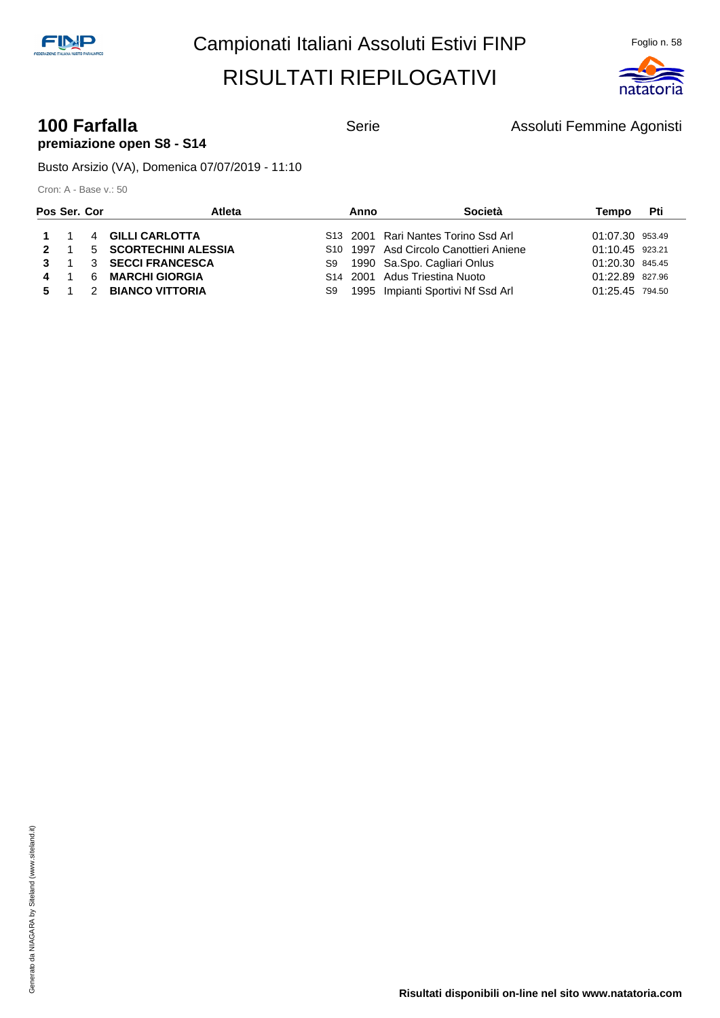

#### **100 Farfalla 100 Farfalla** Serie Assoluti Femmine Agonisti **premiazione open S8 - S14**

Busto Arsizio (VA), Domenica 07/07/2019 - 11:10

| Pos Ser. Cor |             | Atleta                | Anno | <b>Società</b>                                     | Tempo           | Pti |
|--------------|-------------|-----------------------|------|----------------------------------------------------|-----------------|-----|
|              | $1 \quad 1$ | 4 GILLI CARLOTTA      |      | S <sub>13</sub> 2001 Rari Nantes Torino Ssd Arl    | 01:07.30 953.49 |     |
|              | $2 \quad 1$ | 5 SCORTECHINI ALESSIA |      | S <sub>10</sub> 1997 Asd Circolo Canottieri Aniene | 01:10.45 923.21 |     |
|              | $3 \quad 1$ | 3 SECCI FRANCESCA     |      | S9 1990 Sa.Spo. Cagliari Onlus                     | 01:20.30 845.45 |     |
|              | 4 1         | 6 MARCHI GIORGIA      |      | S <sub>14</sub> 2001 Adus Triestina Nuoto          | 01:22.89 827.96 |     |
| 5 1          |             | 2 BIANCO VITTORIA     | S9.  | 1995 Impianti Sportivi Nf Ssd Arl                  | 01:25.45 794.50 |     |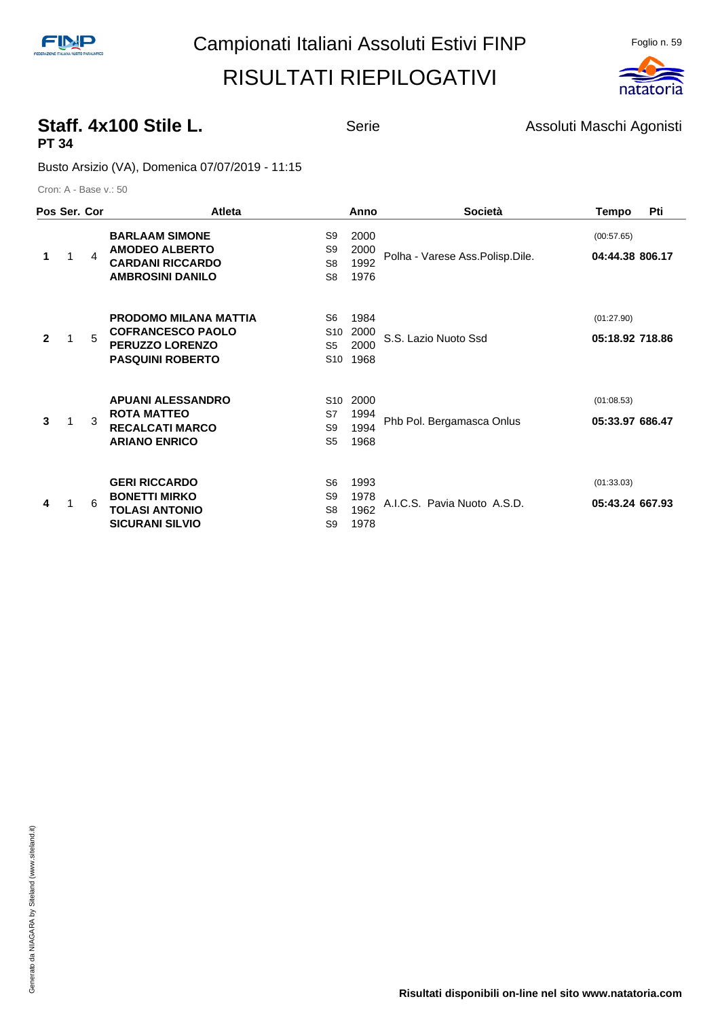

#### **Staff. 4x100 Stile L.** Serie Serie Assoluti Maschi Agonisti **PT 34**

Busto Arsizio (VA), Domenica 07/07/2019 - 11:15

| Pos Ser. Cor |   |                        | Atleta                                                                                                 |                                                          | Anno                         | Società                         | Tempo                         | Pti |
|--------------|---|------------------------|--------------------------------------------------------------------------------------------------------|----------------------------------------------------------|------------------------------|---------------------------------|-------------------------------|-----|
| 1            | 1 | $\boldsymbol{\Lambda}$ | <b>BARLAAM SIMONE</b><br><b>AMODEO ALBERTO</b><br><b>CARDANI RICCARDO</b><br><b>AMBROSINI DANILO</b>   | S9<br>S <sub>9</sub><br>S <sub>8</sub><br>S <sub>8</sub> | 2000<br>2000<br>1992<br>1976 | Polha - Varese Ass.Polisp.Dile. | (00:57.65)<br>04:44.38 806.17 |     |
| $\mathbf{2}$ |   | 5                      | <b>PRODOMO MILANA MATTIA</b><br><b>COFRANCESCO PAOLO</b><br>PERUZZO LORENZO<br><b>PASQUINI ROBERTO</b> | S6<br>S <sub>10</sub><br>S5<br>S10                       | 1984<br>2000<br>2000<br>1968 | S.S. Lazio Nuoto Ssd            | (01:27.90)<br>05:18.92 718.86 |     |
| 3            |   | 3                      | <b>APUANI ALESSANDRO</b><br><b>ROTA MATTEO</b><br><b>RECALCATI MARCO</b><br><b>ARIANO ENRICO</b>       | S <sub>10</sub><br>S7<br>S9<br>S <sub>5</sub>            | 2000<br>1994<br>1994<br>1968 | Phb Pol. Bergamasca Onlus       | (01:08.53)<br>05:33.97 686.47 |     |
| 4            |   | 6                      | <b>GERI RICCARDO</b><br><b>BONETTI MIRKO</b><br><b>TOLASI ANTONIO</b><br><b>SICURANI SILVIO</b>        | S <sub>6</sub><br>S9<br>S <sub>8</sub><br>S <sub>9</sub> | 1993<br>1978<br>1962<br>1978 | A.I.C.S. Pavia Nuoto A.S.D.     | (01:33.03)<br>05:43.24 667.93 |     |